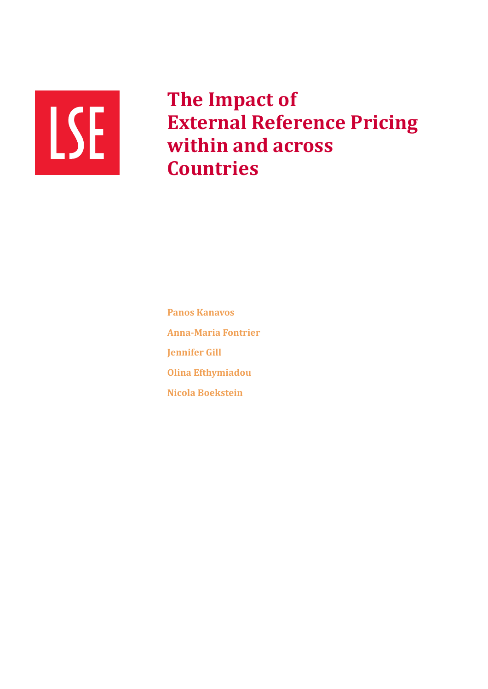

**The Impact of External Reference Pricing within and across Countries**

**Panos Kanavos Anna-Maria Fontrier Jennifer Gill Olina Efthymiadou Nicola Boekstein**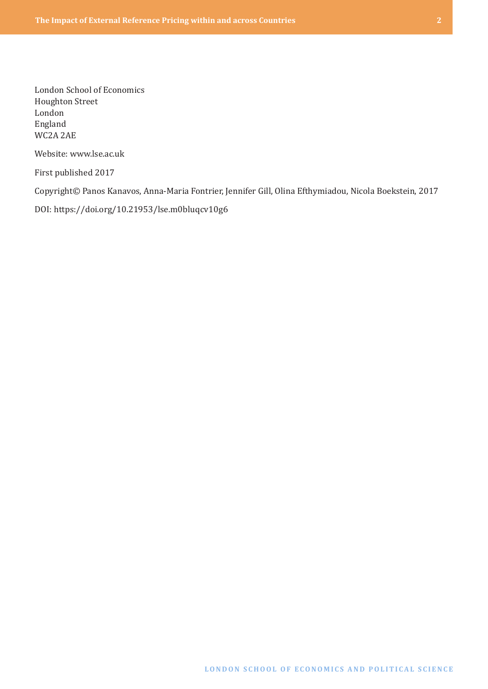London School of Economics Houghton Street London England WC2A 2AE

Website: [www.lse.ac.uk](http://www.lse.ac.uk)

First published 2017

Copyright© Panos Kanavos, Anna-Maria Fontrier, Jennifer Gill, Olina Efthymiadou, Nicola Boekstein, 2017

DOI: <https://doi.org/10.21953/lse.m0bluqcv10g6>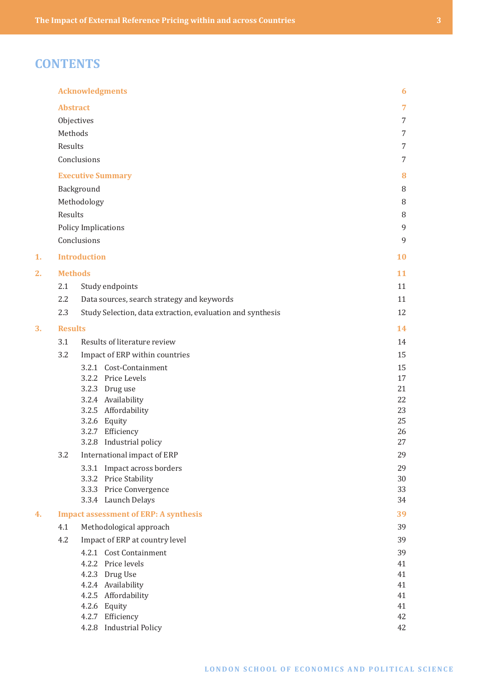# **CONTENTS**

|    |                 | <b>Acknowledgments</b>                                     | 6        |
|----|-----------------|------------------------------------------------------------|----------|
|    | <b>Abstract</b> |                                                            | 7        |
|    |                 | Objectives                                                 | 7        |
|    | Methods         |                                                            | 7        |
|    | Results         |                                                            | 7        |
|    |                 | Conclusions                                                | 7        |
|    |                 | <b>Executive Summary</b>                                   | 8        |
|    |                 | Background                                                 | 8        |
|    |                 | Methodology                                                | 8        |
|    | Results         |                                                            | 8        |
|    |                 | Policy Implications                                        | 9        |
|    |                 | Conclusions                                                | 9        |
| 1. |                 | <b>Introduction</b>                                        | 10       |
| 2. | <b>Methods</b>  |                                                            | 11       |
|    | 2.1             | Study endpoints                                            | 11       |
|    | 2.2             | Data sources, search strategy and keywords                 | 11       |
|    | 2.3             | Study Selection, data extraction, evaluation and synthesis | 12       |
| 3. | <b>Results</b>  |                                                            | 14       |
|    | 3.1             | Results of literature review                               | 14       |
|    | 3.2             | Impact of ERP within countries                             | 15       |
|    |                 | 3.2.1 Cost-Containment                                     | 15       |
|    |                 | 3.2.2 Price Levels                                         | 17       |
|    |                 | 3.2.3 Drug use                                             | 21       |
|    |                 | 3.2.4 Availability                                         | 22       |
|    |                 | 3.2.5 Affordability                                        | 23       |
|    |                 | 3.2.6 Equity<br>3.2.7 Efficiency                           | 25<br>26 |
|    |                 | 3.2.8 Industrial policy                                    | 27       |
|    | 3.2             | International impact of ERP                                | 29       |
|    |                 | 3.3.1 Impact across borders                                | 29       |
|    |                 | 3.3.2 Price Stability                                      | 30       |
|    |                 | 3.3.3 Price Convergence                                    | 33       |
|    |                 | 3.3.4 Launch Delays                                        | 34       |
| 4. |                 | <b>Impact assessment of ERP: A synthesis</b>               | 39       |
|    | 4.1             | Methodological approach                                    | 39       |
|    | 4.2             | Impact of ERP at country level                             | 39       |
|    |                 | 4.2.1 Cost Containment                                     | 39       |
|    |                 | 4.2.2 Price levels                                         | 41       |
|    |                 | 4.2.3 Drug Use                                             | 41       |
|    |                 | 4.2.4 Availability<br>4.2.5 Affordability                  | 41<br>41 |
|    |                 | 4.2.6 Equity                                               | 41       |
|    |                 | 4.2.7 Efficiency                                           | 42       |
|    |                 | 4.2.8 Industrial Policy                                    | 42       |
|    |                 |                                                            |          |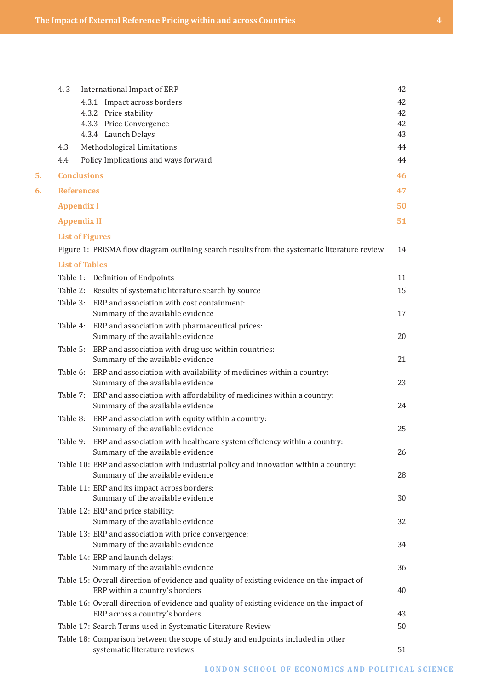|    | 4.3                    | International Impact of ERP                                                                                                 | 42 |
|----|------------------------|-----------------------------------------------------------------------------------------------------------------------------|----|
|    |                        | 4.3.1 Impact across borders                                                                                                 | 42 |
|    |                        | 4.3.2 Price stability                                                                                                       | 42 |
|    |                        | 4.3.3 Price Convergence                                                                                                     | 42 |
|    |                        | 4.3.4 Launch Delays                                                                                                         | 43 |
|    | 4.3                    | Methodological Limitations                                                                                                  | 44 |
|    | 4.4                    | Policy Implications and ways forward                                                                                        | 44 |
| 5. | <b>Conclusions</b>     |                                                                                                                             | 46 |
| 6. | <b>References</b>      |                                                                                                                             | 47 |
|    | <b>Appendix I</b>      |                                                                                                                             | 50 |
|    | <b>Appendix II</b>     |                                                                                                                             | 51 |
|    | <b>List of Figures</b> |                                                                                                                             |    |
|    |                        | Figure 1: PRISMA flow diagram outlining search results from the systematic literature review                                | 14 |
|    | <b>List of Tables</b>  |                                                                                                                             |    |
|    |                        | Table 1: Definition of Endpoints                                                                                            | 11 |
|    |                        | Table 2: Results of systematic literature search by source                                                                  | 15 |
|    |                        | Table 3: ERP and association with cost containment:                                                                         |    |
|    |                        | Summary of the available evidence                                                                                           | 17 |
|    | Table 4:               | ERP and association with pharmaceutical prices:<br>Summary of the available evidence                                        | 20 |
|    | Table 5:               | ERP and association with drug use within countries:                                                                         |    |
|    |                        | Summary of the available evidence                                                                                           | 21 |
|    |                        | Table 6: ERP and association with availability of medicines within a country:                                               |    |
|    |                        | Summary of the available evidence                                                                                           | 23 |
|    | Table 7:               | ERP and association with affordability of medicines within a country:<br>Summary of the available evidence                  | 24 |
|    | Table 8:               | ERP and association with equity within a country:                                                                           |    |
|    |                        | Summary of the available evidence                                                                                           | 25 |
|    |                        | Table 9: ERP and association with healthcare system efficiency within a country:<br>Summary of the available evidence       | 26 |
|    |                        | Table 10: ERP and association with industrial policy and innovation within a country:                                       |    |
|    |                        | Summary of the available evidence                                                                                           | 28 |
|    |                        | Table 11: ERP and its impact across borders:                                                                                |    |
|    |                        | Summary of the available evidence                                                                                           | 30 |
|    |                        | Table 12: ERP and price stability:<br>Summary of the available evidence                                                     | 32 |
|    |                        | Table 13: ERP and association with price convergence:                                                                       |    |
|    |                        | Summary of the available evidence                                                                                           | 34 |
|    |                        | Table 14: ERP and launch delays:                                                                                            |    |
|    |                        | Summary of the available evidence                                                                                           | 36 |
|    |                        | Table 15: Overall direction of evidence and quality of existing evidence on the impact of                                   |    |
|    |                        | ERP within a country's borders                                                                                              | 40 |
|    |                        | Table 16: Overall direction of evidence and quality of existing evidence on the impact of<br>ERP across a country's borders | 43 |
|    |                        | Table 17: Search Terms used in Systematic Literature Review                                                                 | 50 |
|    |                        | Table 18: Comparison between the scope of study and endpoints included in other                                             |    |
|    |                        |                                                                                                                             |    |

systematic literature reviews 51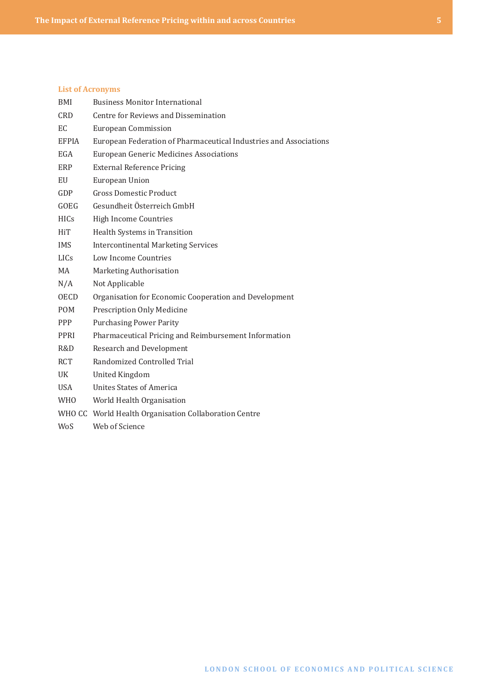#### **List of Acronyms**

| BMI          | <b>Business Monitor International</b>                             |
|--------------|-------------------------------------------------------------------|
| <b>CRD</b>   | Centre for Reviews and Dissemination                              |
| EC.          | <b>European Commission</b>                                        |
| <b>EFPIA</b> | European Federation of Pharmaceutical Industries and Associations |
| EGA          | <b>European Generic Medicines Associations</b>                    |
| ERP          | <b>External Reference Pricing</b>                                 |
| EU           | European Union                                                    |
| GDP          | <b>Gross Domestic Product</b>                                     |
| GOEG         | Gesundheit Österreich GmbH                                        |
| <b>HICs</b>  | <b>High Income Countries</b>                                      |
| <b>HiT</b>   | Health Systems in Transition                                      |
| <b>IMS</b>   | <b>Intercontinental Marketing Services</b>                        |
| <b>LICS</b>  | Low Income Countries                                              |
| MA           | Marketing Authorisation                                           |
| N/A          | Not Applicable                                                    |
| <b>OECD</b>  | Organisation for Economic Cooperation and Development             |
| <b>POM</b>   | <b>Prescription Only Medicine</b>                                 |
| <b>PPP</b>   | <b>Purchasing Power Parity</b>                                    |
| <b>PPRI</b>  | Pharmaceutical Pricing and Reimbursement Information              |
| R&D          | <b>Research and Development</b>                                   |
| <b>RCT</b>   | Randomized Controlled Trial                                       |
| UK           | United Kingdom                                                    |
| USA.         | Unites States of America                                          |
| <b>WHO</b>   | World Health Organisation                                         |
|              | WHO CC World Health Organisation Collaboration Centre             |
| WoS          | Web of Science                                                    |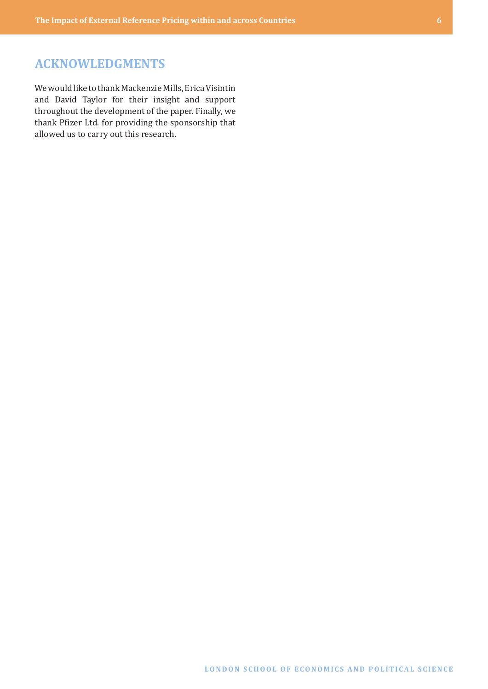## <span id="page-5-0"></span>**ACKNOWLEDGMENTS**

We would like to thank Mackenzie Mills, Erica Visintin and David Taylor for their insight and support throughout the development of the paper. Finally, we thank Pfizer Ltd. for providing the sponsorship that allowed us to carry out this research.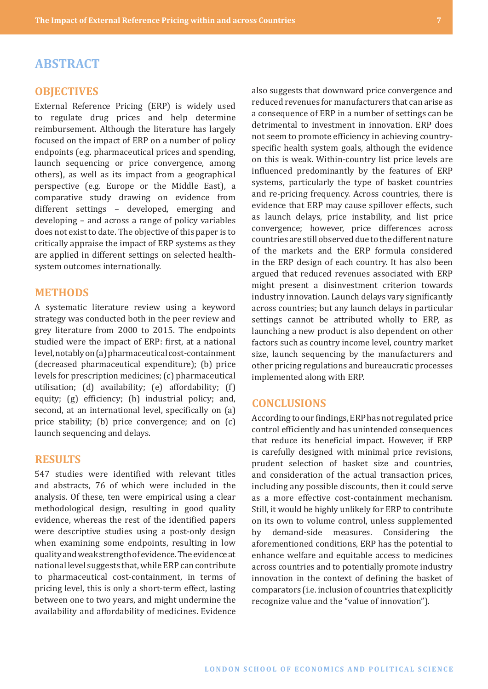## <span id="page-6-0"></span>**ABSTRACT**

#### **OBJECTIVES**

External Reference Pricing (ERP) is widely used to regulate drug prices and help determine reimbursement. Although the literature has largely focused on the impact of ERP on a number of policy endpoints (e.g. pharmaceutical prices and spending, launch sequencing or price convergence, among others), as well as its impact from a geographical perspective (e.g. Europe or the Middle East), a comparative study drawing on evidence from different settings – developed, emerging and developing – and across a range of policy variables does not exist to date. The objective of this paper is to critically appraise the impact of ERP systems as they are applied in different settings on selected healthsystem outcomes internationally.

#### **METHODS**

A systematic literature review using a keyword strategy was conducted both in the peer review and grey literature from 2000 to 2015. The endpoints studied were the impact of ERP: first, at a national level, notably on (a) pharmaceutical cost-containment (decreased pharmaceutical expenditure); (b) price levels for prescription medicines; (c) pharmaceutical utilisation; (d) availability; (e) affordability; (f) equity; (g) efficiency; (h) industrial policy; and, second, at an international level, specifically on (a) price stability; (b) price convergence; and on (c) launch sequencing and delays.

#### **RESULTS**

547 studies were identified with relevant titles and abstracts, 76 of which were included in the analysis. Of these, ten were empirical using a clear methodological design, resulting in good quality evidence, whereas the rest of the identified papers were descriptive studies using a post-only design when examining some endpoints, resulting in low quality and weak strength of evidence. The evidence at national level suggests that, while ERP can contribute to pharmaceutical cost-containment, in terms of pricing level, this is only a short-term effect, lasting between one to two years, and might undermine the availability and affordability of medicines. Evidence

also suggests that downward price convergence and reduced revenues for manufacturers that can arise as a consequence of ERP in a number of settings can be detrimental to investment in innovation. ERP does not seem to promote efficiency in achieving countryspecific health system goals, although the evidence on this is weak. Within-country list price levels are influenced predominantly by the features of ERP systems, particularly the type of basket countries and re-pricing frequency. Across countries, there is evidence that ERP may cause spillover effects, such as launch delays, price instability, and list price convergence; however, price differences across countries are still observed due to the different nature of the markets and the ERP formula considered in the ERP design of each country. It has also been argued that reduced revenues associated with ERP might present a disinvestment criterion towards industry innovation. Launch delays vary significantly across countries; but any launch delays in particular settings cannot be attributed wholly to ERP, as launching a new product is also dependent on other factors such as country income level, country market size, launch sequencing by the manufacturers and other pricing regulations and bureaucratic processes implemented along with ERP.

#### **CONCLUSIONS**

According to our findings, ERP has not regulated price control efficiently and has unintended consequences that reduce its beneficial impact. However, if ERP is carefully designed with minimal price revisions, prudent selection of basket size and countries, and consideration of the actual transaction prices, including any possible discounts, then it could serve as a more effective cost-containment mechanism. Still, it would be highly unlikely for ERP to contribute on its own to volume control, unless supplemented by demand-side measures. Considering the aforementioned conditions, ERP has the potential to enhance welfare and equitable access to medicines across countries and to potentially promote industry innovation in the context of defining the basket of comparators (i.e. inclusion of countries that explicitly recognize value and the "value of innovation").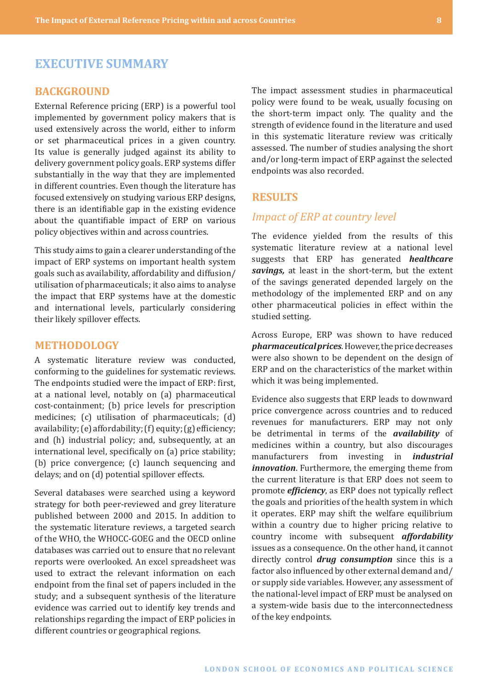# <span id="page-7-0"></span>**EXECUTIVE SUMMARY**

#### **BACKGROUND**

External Reference pricing (ERP) is a powerful tool implemented by government policy makers that is used extensively across the world, either to inform or set pharmaceutical prices in a given country. Its value is generally judged against its ability to delivery government policy goals. ERP systems differ substantially in the way that they are implemented in different countries. Even though the literature has focused extensively on studying various ERP designs, there is an identifiable gap in the existing evidence about the quantifiable impact of ERP on various policy objectives within and across countries.

This study aims to gain a clearer understanding of the impact of ERP systems on important health system goals such as availability, affordability and diffusion/ utilisation of pharmaceuticals; it also aims to analyse the impact that ERP systems have at the domestic and international levels, particularly considering their likely spillover effects.

#### **METHODOLOGY**

A systematic literature review was conducted, conforming to the guidelines for systematic reviews. The endpoints studied were the impact of ERP: first, at a national level, notably on (a) pharmaceutical cost-containment; (b) price levels for prescription medicines; (c) utilisation of pharmaceuticals; (d) availability;(e) affordability;(f) equity;(g) efficiency; and (h) industrial policy; and, subsequently, at an international level, specifically on (a) price stability; (b) price convergence; (c) launch sequencing and delays; and on (d) potential spillover effects.

Several databases were searched using a keyword strategy for both peer-reviewed and grey literature published between 2000 and 2015. In addition to the systematic literature reviews, a targeted search of the WHO, the WHOCC-GOEG and the OECD online databases was carried out to ensure that no relevant reports were overlooked. An excel spreadsheet was used to extract the relevant information on each endpoint from the final set of papers included in the study; and a subsequent synthesis of the literature evidence was carried out to identify key trends and relationships regarding the impact of ERP policies in different countries or geographical regions.

The impact assessment studies in pharmaceutical policy were found to be weak, usually focusing on the short-term impact only. The quality and the strength of evidence found in the literature and used in this systematic literature review was critically assessed. The number of studies analysing the short and/or long-term impact of ERP against the selected endpoints was also recorded.

#### **RESULTS**

#### *Impact of ERP at country level*

The evidence yielded from the results of this systematic literature review at a national level suggests that ERP has generated *healthcare savings,* at least in the short-term, but the extent of the savings generated depended largely on the methodology of the implemented ERP and on any other pharmaceutical policies in effect within the studied setting.

Across Europe, ERP was shown to have reduced *pharmaceutical prices*. However, the price decreases were also shown to be dependent on the design of ERP and on the characteristics of the market within which it was being implemented.

Evidence also suggests that ERP leads to downward price convergence across countries and to reduced revenues for manufacturers. ERP may not only be detrimental in terms of the *availability* of medicines within a country, but also discourages manufacturers from investing in *industrial innovation*. Furthermore, the emerging theme from the current literature is that ERP does not seem to promote *efficiency*, as ERP does not typically reflect the goals and priorities of the health system in which it operates. ERP may shift the welfare equilibrium within a country due to higher pricing relative to country income with subsequent *affordability*  issues as a consequence. On the other hand, it cannot directly control *drug consumption* since this is a factor also influenced by other external demand and/ or supply side variables. However, any assessment of the national-level impact of ERP must be analysed on a system-wide basis due to the interconnectedness of the key endpoints.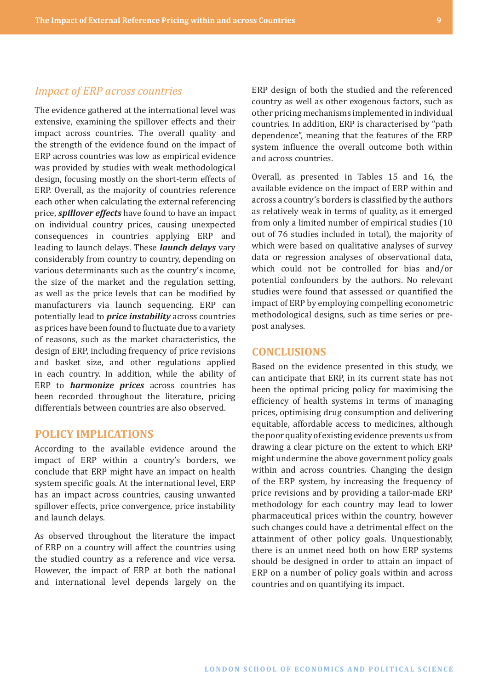#### <span id="page-8-0"></span>*Impact of ERP across countries*

The evidence gathered at the international level was extensive, examining the spillover effects and their impact across countries. The overall quality and the strength of the evidence found on the impact of ERP across countries was low as empirical evidence was provided by studies with weak methodological design, focusing mostly on the short-term effects of ERP. Overall, as the majority of countries reference each other when calculating the external referencing price, *spillover effects* have found to have an impact on individual country prices, causing unexpected consequences in countries applying ERP and leading to launch delays. These *launch delays* vary considerably from country to country, depending on various determinants such as the country's income, the size of the market and the regulation setting, as well as the price levels that can be modified by manufacturers via launch sequencing. ERP can potentially lead to *price instability* across countries as prices have been found to fluctuate due to a variety of reasons, such as the market characteristics, the design of ERP, including frequency of price revisions and basket size, and other regulations applied in each country. In addition, while the ability of ERP to *harmonize prices* across countries has been recorded throughout the literature, pricing differentials between countries are also observed.

## **POLICY IMPLICATIONS**

According to the available evidence around the impact of ERP within a country's borders, we conclude that ERP might have an impact on health system specific goals. At the international level, ERP has an impact across countries, causing unwanted spillover effects, price convergence, price instability and launch delays.

As observed throughout the literature the impact of ERP on a country will affect the countries using the studied country as a reference and vice versa. However, the impact of ERP at both the national and international level depends largely on the

ERP design of both the studied and the referenced country as well as other exogenous factors, such as other pricing mechanisms implemented in individual countries. In addition, ERP is characterised by "path dependence", meaning that the features of the ERP system influence the overall outcome both within and across countries.

Overall, as presented in Tables 15 and 16, the available evidence on the impact of ERP within and across a country's borders is classified by the authors as relatively weak in terms of quality, as it emerged from only a limited number of empirical studies (10 out of 76 studies included in total), the majority of which were based on qualitative analyses of survey data or regression analyses of observational data, which could not be controlled for bias and/or potential confounders by the authors. No relevant studies were found that assessed or quantified the impact of ERP by employing compelling econometric methodological designs, such as time series or prepost analyses.

#### **CONCLUSIONS**

Based on the evidence presented in this study, we can anticipate that ERP, in its current state has not been the optimal pricing policy for maximising the efficiency of health systems in terms of managing prices, optimising drug consumption and delivering equitable, affordable access to medicines, although the poor quality of existing evidence prevents us from drawing a clear picture on the extent to which ERP might undermine the above government policy goals within and across countries. Changing the design of the ERP system, by increasing the frequency of price revisions and by providing a tailor-made ERP methodology for each country may lead to lower pharmaceutical prices within the country, however such changes could have a detrimental effect on the attainment of other policy goals. Unquestionably, there is an unmet need both on how ERP systems should be designed in order to attain an impact of ERP on a number of policy goals within and across countries and on quantifying its impact.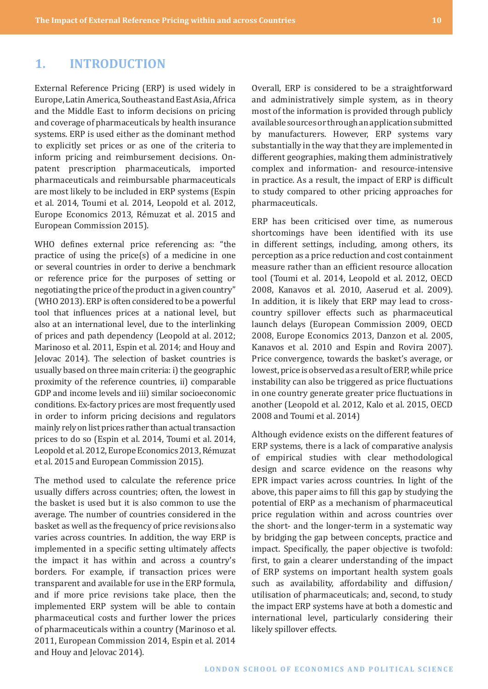## <span id="page-9-0"></span>**1. INTRODUCTION**

External Reference Pricing (ERP) is used widely in Europe, Latin America, Southeast and East Asia, Africa and the Middle East to inform decisions on pricing and coverage of pharmaceuticals by health insurance systems. ERP is used either as the dominant method to explicitly set prices or as one of the criteria to inform pricing and reimbursement decisions. Onpatent prescription pharmaceuticals, imported pharmaceuticals and reimbursable pharmaceuticals are most likely to be included in ERP systems (Espin et al. 2014, Toumi et al. 2014, Leopold et al. 2012, Europe Economics 2013, Rémuzat et al. 2015 and European Commission 2015).

WHO defines external price referencing as: "the practice of using the price(s) of a medicine in one or several countries in order to derive a benchmark or reference price for the purposes of setting or negotiating the price of the product in a given country" (WHO 2013). ERP is often considered to be a powerful tool that influences prices at a national level, but also at an international level, due to the interlinking of prices and path dependency (Leopold at al. 2012; Marinoso et al. 2011, Espin et al. 2014; and Houy and Jelovac 2014). The selection of basket countries is usually based on three main criteria: i) the geographic proximity of the reference countries, ii) comparable GDP and income levels and iii) similar socioeconomic conditions. Ex-factory prices are most frequently used in order to inform pricing decisions and regulators mainly rely on list prices rather than actual transaction prices to do so (Espin et al. 2014, Toumi et al. 2014, Leopold et al. 2012, Europe Economics 2013, Rémuzat et al. 2015 and European Commission 2015).

The method used to calculate the reference price usually differs across countries; often, the lowest in the basket is used but it is also common to use the average. The number of countries considered in the basket as well as the frequency of price revisions also varies across countries. In addition, the way ERP is implemented in a specific setting ultimately affects the impact it has within and across a country's borders. For example, if transaction prices were transparent and available for use in the ERP formula, and if more price revisions take place, then the implemented ERP system will be able to contain pharmaceutical costs and further lower the prices of pharmaceuticals within a country (Marinoso et al. 2011, European Commission 2014, Espin et al. 2014 and Houy and Jelovac 2014).

Overall, ERP is considered to be a straightforward and administratively simple system, as in theory most of the information is provided through publicly available sources or through an application submitted by manufacturers. However, ERP systems vary substantially in the way that they are implemented in different geographies, making them administratively complex and information- and resource-intensive in practice. As a result, the impact of ERP is difficult to study compared to other pricing approaches for pharmaceuticals.

ERP has been criticised over time, as numerous shortcomings have been identified with its use in different settings, including, among others, its perception as a price reduction and cost containment measure rather than an efficient resource allocation tool (Toumi et al. 2014, Leopold et al. 2012, OECD 2008, Kanavos et al. 2010, Aaserud et al. 2009). In addition, it is likely that ERP may lead to crosscountry spillover effects such as pharmaceutical launch delays (European Commission 2009, OECD 2008, Europe Economics 2013, Danzon et al. 2005, Kanavos et al. 2010 and Espin and Rovira 2007). Price convergence, towards the basket's average, or lowest, price is observed as a result of ERP, while price instability can also be triggered as price fluctuations in one country generate greater price fluctuations in another (Leopold et al. 2012, Kalo et al. 2015, OECD 2008 and Toumi et al. 2014)

Although evidence exists on the different features of ERP systems, there is a lack of comparative analysis of empirical studies with clear methodological design and scarce evidence on the reasons why EPR impact varies across countries. In light of the above, this paper aims to fill this gap by studying the potential of ERP as a mechanism of pharmaceutical price regulation within and across countries over the short- and the longer-term in a systematic way by bridging the gap between concepts, practice and impact. Specifically, the paper objective is twofold: first, to gain a clearer understanding of the impact of ERP systems on important health system goals such as availability, affordability and diffusion/ utilisation of pharmaceuticals; and, second, to study the impact ERP systems have at both a domestic and international level, particularly considering their likely spillover effects.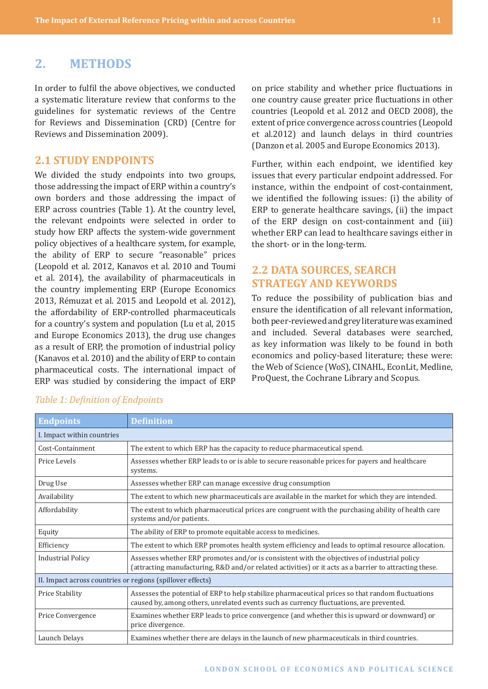## <span id="page-10-0"></span>**2. METHODS**

In order to fulfil the above objectives, we conducted a systematic literature review that conforms to the guidelines for systematic reviews of the Centre for Reviews and Dissemination (CRD) (Centre for Reviews and Dissemination 2009).

## **2.1 STUDY ENDPOINTS**

We divided the study endpoints into two groups, those addressing the impact of ERP within a country's own borders and those addressing the impact of ERP across countries (Table 1). At the country level, the relevant endpoints were selected in order to study how ERP affects the system-wide government policy objectives of a healthcare system, for example, the ability of ERP to secure "reasonable" prices (Leopold et al. 2012, Kanavos et al. 2010 and Toumi et al. 2014), the availability of pharmaceuticals in the country implementing ERP (Europe Economics 2013, Rémuzat et al. 2015 and Leopold et al. 2012), the affordability of ERP-controlled pharmaceuticals for a country's system and population (Lu et al, 2015 and Europe Economics 2013), the drug use changes as a result of ERP, the promotion of industrial policy (Kanavos et al. 2010) and the ability of ERP to contain pharmaceutical costs. The international impact of ERP was studied by considering the impact of ERP

on price stability and whether price fluctuations in one country cause greater price fluctuations in other countries (Leopold et al. 2012 and OECD 2008), the extent of price convergence across countries (Leopold et al.2012) and launch delays in third countries (Danzon et al. 2005 and Europe Economics 2013).

Further, within each endpoint, we identified key issues that every particular endpoint addressed. For instance, within the endpoint of cost-containment, we identified the following issues: (i) the ability of ERP to generate healthcare savings, (ii) the impact of the ERP design on cost-containment and (iii) whether ERP can lead to healthcare savings either in the short- or in the long-term.

## **2.2 DATA SOURCES, SEARCH STRATEGY AND KEYWORDS**

To reduce the possibility of publication bias and ensure the identification of all relevant information, both peer-reviewed and grey literature was examined and included. Several databases were searched, as key information was likely to be found in both economics and policy-based literature; these were: the Web of Science (WoS), CINAHL, EconLit, Medline, ProQuest, the Cochrane Library and Scopus.

| <b>Endpoints</b>                                           | <b>Definition</b>                                                                                                                                                                                     |
|------------------------------------------------------------|-------------------------------------------------------------------------------------------------------------------------------------------------------------------------------------------------------|
| I. Impact within countries                                 |                                                                                                                                                                                                       |
| Cost-Containment                                           | The extent to which ERP has the capacity to reduce pharmaceutical spend.                                                                                                                              |
| Price Levels                                               | Assesses whether ERP leads to or is able to secure reasonable prices for payers and healthcare<br>systems.                                                                                            |
| Drug Use                                                   | Assesses whether ERP can manage excessive drug consumption                                                                                                                                            |
| Availability                                               | The extent to which new pharmaceuticals are available in the market for which they are intended.                                                                                                      |
| Affordability                                              | The extent to which pharmaceutical prices are congruent with the purchasing ability of health care<br>systems and/or patients.                                                                        |
| Equity                                                     | The ability of ERP to promote equitable access to medicines.                                                                                                                                          |
| Efficiency                                                 | The extent to which ERP promotes health system efficiency and leads to optimal resource allocation.                                                                                                   |
| <b>Industrial Policy</b>                                   | Assesses whether ERP promotes and/or is consistent with the objectives of industrial policy<br>(attracting manufacturing, R&D and/or related activities) or it acts as a barrier to attracting these. |
| II. Impact across countries or regions (spillover effects) |                                                                                                                                                                                                       |
| <b>Price Stability</b>                                     | Assesses the potential of ERP to help stabilize pharmaceutical prices so that random fluctuations<br>caused by, among others, unrelated events such as currency fluctuations, are prevented.          |
| Price Convergence                                          | Examines whether ERP leads to price convergence (and whether this is upward or downward) or<br>price divergence.                                                                                      |
| Launch Delays                                              | Examines whether there are delays in the launch of new pharmaceuticals in third countries.                                                                                                            |

#### *Table 1: Definition of Endpoints*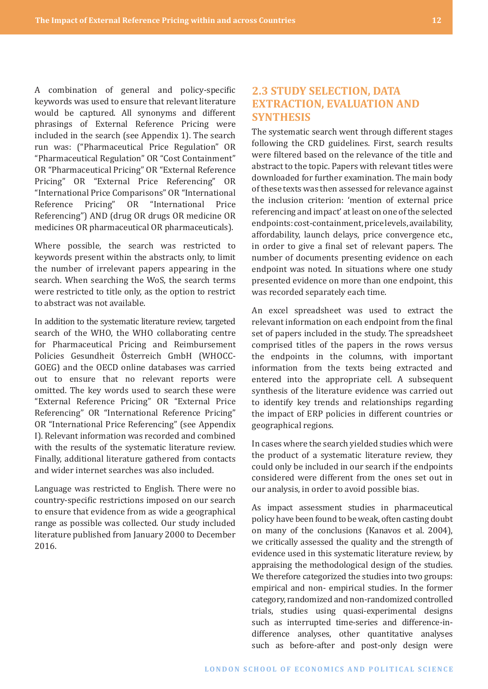<span id="page-11-0"></span>A combination of general and policy-specific keywords was used to ensure that relevant literature would be captured. All synonyms and different phrasings of External Reference Pricing were included in the search (see Appendix 1). The search run was: ("Pharmaceutical Price Regulation" OR "Pharmaceutical Regulation" OR "Cost Containment" OR "Pharmaceutical Pricing" OR "External Reference Pricing" OR "External Price Referencing" OR "International Price Comparisons" OR "International Reference Pricing" OR "International Price Referencing") AND (drug OR drugs OR medicine OR medicines OR pharmaceutical OR pharmaceuticals).

Where possible, the search was restricted to keywords present within the abstracts only, to limit the number of irrelevant papers appearing in the search. When searching the WoS, the search terms were restricted to title only, as the option to restrict to abstract was not available.

In addition to the systematic literature review, targeted search of the WHO, the WHO collaborating centre for Pharmaceutical Pricing and Reimbursement Policies Gesundheit Österreich GmbH (WHOCC-GOEG) and the OECD online databases was carried out to ensure that no relevant reports were omitted. The key words used to search these were "External Reference Pricing" OR "External Price Referencing" OR "International Reference Pricing" OR "International Price Referencing" (see Appendix I). Relevant information was recorded and combined with the results of the systematic literature review. Finally, additional literature gathered from contacts and wider internet searches was also included.

Language was restricted to English. There were no country-specific restrictions imposed on our search to ensure that evidence from as wide a geographical range as possible was collected. Our study included literature published from January 2000 to December 2016.

## **2.3 STUDY SELECTION, DATA EXTRACTION, EVALUATION AND SYNTHESIS**

The systematic search went through different stages following the CRD guidelines. First, search results were filtered based on the relevance of the title and abstract to the topic. Papers with relevant titles were downloaded for further examination. The main body of these texts was then assessed for relevance against the inclusion criterion: 'mention of external price referencing and impact' at least on one of the selected endpoints: cost-containment, price levels, availability, affordability, launch delays, price convergence etc., in order to give a final set of relevant papers. The number of documents presenting evidence on each endpoint was noted. In situations where one study presented evidence on more than one endpoint, this was recorded separately each time.

An excel spreadsheet was used to extract the relevant information on each endpoint from the final set of papers included in the study. The spreadsheet comprised titles of the papers in the rows versus the endpoints in the columns, with important information from the texts being extracted and entered into the appropriate cell. A subsequent synthesis of the literature evidence was carried out to identify key trends and relationships regarding the impact of ERP policies in different countries or geographical regions.

In cases where the search yielded studies which were the product of a systematic literature review, they could only be included in our search if the endpoints considered were different from the ones set out in our analysis, in order to avoid possible bias.

As impact assessment studies in pharmaceutical policy have been found to be weak, often casting doubt on many of the conclusions (Kanavos et al. 2004), we critically assessed the quality and the strength of evidence used in this systematic literature review, by appraising the methodological design of the studies. We therefore categorized the studies into two groups: empirical and non- empirical studies. In the former category, randomized and non-randomized controlled trials, studies using quasi-experimental designs such as interrupted time-series and difference-indifference analyses, other quantitative analyses such as before-after and post-only design were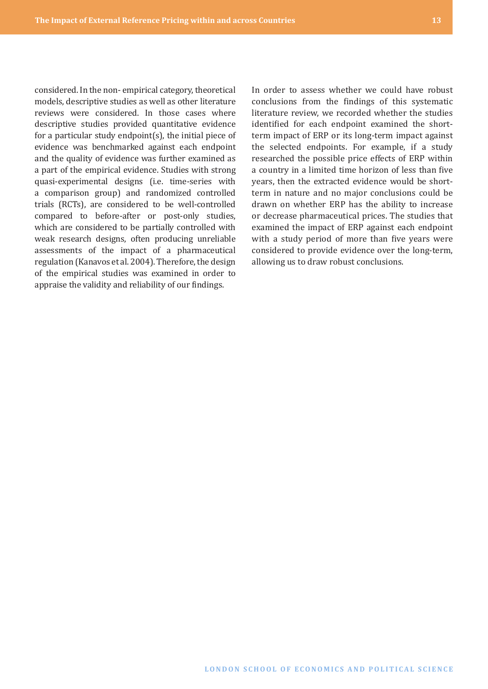considered. In the non- empirical category, theoretical models, descriptive studies as well as other literature reviews were considered. In those cases where descriptive studies provided quantitative evidence for a particular study endpoint(s), the initial piece of evidence was benchmarked against each endpoint and the quality of evidence was further examined as a part of the empirical evidence. Studies with strong quasi-experimental designs (i.e. time-series with a comparison group) and randomized controlled trials (RCTs), are considered to be well-controlled compared to before-after or post-only studies, which are considered to be partially controlled with weak research designs, often producing unreliable assessments of the impact of a pharmaceutical regulation (Kanavos et al. 2004). Therefore, the design of the empirical studies was examined in order to appraise the validity and reliability of our findings.

In order to assess whether we could have robust conclusions from the findings of this systematic literature review, we recorded whether the studies identified for each endpoint examined the shortterm impact of ERP or its long-term impact against the selected endpoints. For example, if a study researched the possible price effects of ERP within a country in a limited time horizon of less than five years, then the extracted evidence would be shortterm in nature and no major conclusions could be drawn on whether ERP has the ability to increase or decrease pharmaceutical prices. The studies that examined the impact of ERP against each endpoint with a study period of more than five years were considered to provide evidence over the long-term, allowing us to draw robust conclusions.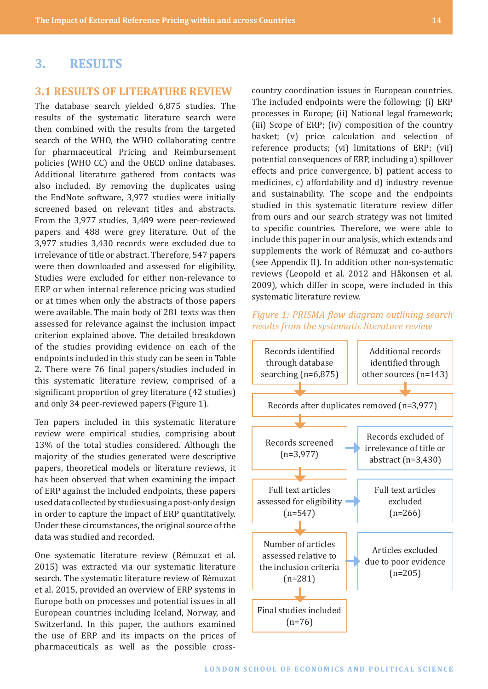## <span id="page-13-0"></span>**3. RESULTS**

#### **3.1 RESULTS OF LITERATURE REVIEW**

The database search yielded 6,875 studies. The results of the systematic literature search were then combined with the results from the targeted search of the WHO, the WHO collaborating centre for pharmaceutical Pricing and Reimbursement policies (WHO CC) and the OECD online databases. Additional literature gathered from contacts was also included. By removing the duplicates using the EndNote software, 3,977 studies were initially screened based on relevant titles and abstracts. From the 3,977 studies, 3,489 were peer-reviewed papers and 488 were grey literature. Out of the 3,977 studies 3,430 records were excluded due to irrelevance of title or abstract. Therefore, 547 papers were then downloaded and assessed for eligibility. Studies were excluded for either non-relevance to ERP or when internal reference pricing was studied or at times when only the abstracts of those papers were available. The main body of 281 texts was then assessed for relevance against the inclusion impact criterion explained above. The detailed breakdown of the studies providing evidence on each of the endpoints included in this study can be seen in Table 2. There were 76 final papers/studies included in this systematic literature review, comprised of a significant proportion of grey literature (42 studies) and only 34 peer-reviewed papers (Figure 1).

Ten papers included in this systematic literature review were empirical studies, comprising about 13% of the total studies considered. Although the majority of the studies generated were descriptive papers, theoretical models or literature reviews, it has been observed that when examining the impact of ERP against the included endpoints, these papers used data collected by studies using a post-only design in order to capture the impact of ERP quantitatively. Under these circumstances, the original source of the data was studied and recorded.

One systematic literature review (Rémuzat et al. 2015) was extracted via our systematic literature search. The systematic literature review of Rémuzat et al. 2015, provided an overview of ERP systems in Europe both on processes and potential issues in all European countries including Iceland, Norway, and Switzerland. In this paper, the authors examined the use of ERP and its impacts on the prices of pharmaceuticals as well as the possible crosscountry coordination issues in European countries. The included endpoints were the following: (i) ERP processes in Europe; (ii) National legal framework; (iii) Scope of ERP; (iv) composition of the country basket; (v) price calculation and selection of reference products; (vi) limitations of ERP; (vii) potential consequences of ERP, including a) spillover effects and price convergence, b) patient access to medicines, c) affordability and d) industry revenue and sustainability. The scope and the endpoints studied in this systematic literature review differ from ours and our search strategy was not limited to specific countries. Therefore, we were able to include this paper in our analysis, which extends and supplements the work of Rémuzat and co-authors (see Appendix II). In addition other non-systematic reviews (Leopold et al. 2012 and Håkonsen et al. 2009), which differ in scope, were included in this systematic literature review.

#### *Figure 1: PRISMA flow diagram outlining search results from the systematic literature review*

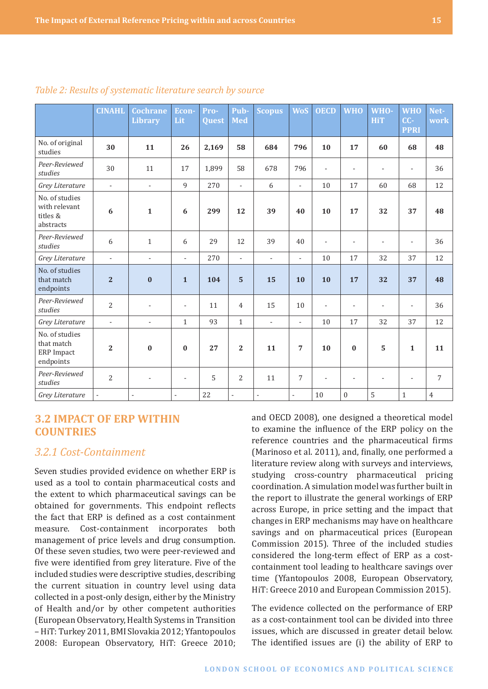|                                                                | <b>CINAHL</b>            | <b>Cochrane</b>          | Econ-                    | Pro-         | <b>Pub</b>     | <b>Scopus</b>            | <b>WoS</b>               | <b>OECD</b>    | <b>WHO</b>               | WHO-                     | <b>WHO</b>               | Net-           |
|----------------------------------------------------------------|--------------------------|--------------------------|--------------------------|--------------|----------------|--------------------------|--------------------------|----------------|--------------------------|--------------------------|--------------------------|----------------|
|                                                                |                          | <b>Library</b>           | Lit                      | <b>Quest</b> | <b>Med</b>     |                          |                          |                |                          | HiT                      | CC-<br><b>PPRI</b>       | work           |
| No. of original                                                |                          |                          |                          |              |                |                          |                          |                |                          |                          |                          |                |
| studies                                                        | 30                       | 11                       | 26                       | 2,169        | 58             | 684                      | 796                      | 10             | 17                       | 60                       | 68                       | 48             |
| Peer-Reviewed<br>studies                                       | 30                       | 11                       | 17                       | 1,899        | 58             | 678                      | 796                      | $\overline{a}$ | $\overline{\phantom{a}}$ | $\overline{\phantom{a}}$ | $\overline{\phantom{a}}$ | 36             |
| Grey Literature                                                | $\overline{\phantom{a}}$ | $\overline{\phantom{a}}$ | 9                        | 270          | $\blacksquare$ | 6                        | $\overline{a}$           | 10             | 17                       | 60                       | 68                       | 12             |
| No. of studies<br>with relevant<br>titles &<br>abstracts       | 6                        | $\mathbf{1}$             | 6                        | 299          | 12             | 39                       | 40                       | 10             | 17                       | 32                       | 37                       | 48             |
| Peer-Reviewed<br>studies                                       | 6                        | $\mathbf{1}$             | 6                        | 29           | 12             | 39                       | 40                       | $\overline{a}$ | $\overline{a}$           | $\overline{\phantom{a}}$ | $\overline{a}$           | 36             |
| Grey Literature                                                | $\overline{\phantom{a}}$ | $\overline{\phantom{a}}$ | $\overline{a}$           | 270          | $\blacksquare$ | $\mathcal{L}$            | $\overline{a}$           | 10             | 17                       | 32                       | 37                       | 12             |
| No. of studies<br>that match<br>endpoints                      | $\overline{2}$           | $\bf{0}$                 | $\mathbf{1}$             | 104          | 5              | 15                       | 10                       | 10             | 17                       | 32                       | 37                       | 48             |
| Peer-Reviewed<br>studies                                       | $\overline{2}$           | $\overline{\phantom{a}}$ | $\overline{\phantom{a}}$ | 11           | $\overline{4}$ | 15                       | 10                       | L,             | $\overline{\phantom{a}}$ | ٠                        | $\overline{\phantom{a}}$ | 36             |
| Grey Literature                                                | $\blacksquare$           | $\overline{\phantom{a}}$ | $\mathbf{1}$             | 93           | $\mathbf{1}$   | $\blacksquare$           | $\overline{\phantom{a}}$ | 10             | 17                       | 32                       | 37                       | 12             |
| No. of studies<br>that match<br><b>ERP</b> Impact<br>endpoints | $\overline{2}$           | $\bf{0}$                 | $\bf{0}$                 | 27           | $\mathbf{2}$   | 11                       | 7                        | 10             | $\bf{0}$                 | 5                        | $\mathbf{1}$             | 11             |
| Peer-Reviewed<br>studies                                       | $\overline{2}$           | $\overline{\phantom{a}}$ | $\overline{\phantom{a}}$ | 5            | $\overline{2}$ | 11                       | 7                        |                |                          |                          | $\overline{\phantom{a}}$ | 7              |
| Grey Literature                                                | ÷,                       | $\overline{a}$           | $\overline{a}$           | 22           | $\overline{a}$ | $\overline{\phantom{a}}$ | $\overline{\phantom{a}}$ | 10             | $\boldsymbol{0}$         | 5                        | $\mathbf{1}$             | $\overline{4}$ |

#### <span id="page-14-0"></span>*Table 2: Results of systematic literature search by source*

## **3.2 IMPACT OF ERP WITHIN COUNTRIES**

## *3.2.1 Cost-Containment*

Seven studies provided evidence on whether ERP is used as a tool to contain pharmaceutical costs and the extent to which pharmaceutical savings can be obtained for governments. This endpoint reflects the fact that ERP is defined as a cost containment measure. Cost-containment incorporates both management of price levels and drug consumption. Of these seven studies, two were peer-reviewed and five were identified from grey literature. Five of the included studies were descriptive studies, describing the current situation in country level using data collected in a post-only design, either by the Ministry of Health and/or by other competent authorities (European Observatory, Health Systems in Transition – HiT: Turkey 2011, BMI Slovakia 2012; Yfantopoulos 2008: European Observatory, HiT: Greece 2010;

and OECD 2008), one designed a theoretical model to examine the influence of the ERP policy on the reference countries and the pharmaceutical firms (Marinoso et al. 2011), and, finally, one performed a literature review along with surveys and interviews, studying cross-country pharmaceutical pricing coordination. A simulation model was further built in the report to illustrate the general workings of ERP across Europe, in price setting and the impact that changes in ERP mechanisms may have on healthcare savings and on pharmaceutical prices (European Commission 2015). Three of the included studies considered the long-term effect of ERP as a costcontainment tool leading to healthcare savings over time (Yfantopoulos 2008, European Observatory, HiT: Greece 2010 and European Commission 2015).

The evidence collected on the performance of ERP as a cost-containment tool can be divided into three issues, which are discussed in greater detail below. The identified issues are (i) the ability of ERP to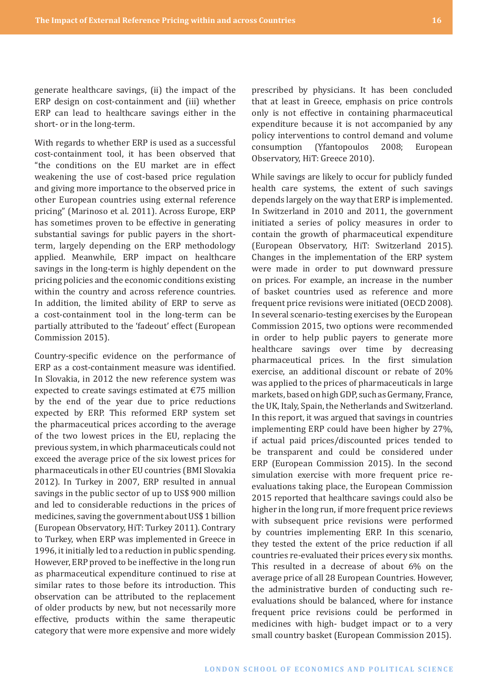generate healthcare savings, (ii) the impact of the ERP design on cost-containment and (iii) whether ERP can lead to healthcare savings either in the short- or in the long-term.

With regards to whether ERP is used as a successful cost-containment tool, it has been observed that "the conditions on the EU market are in effect weakening the use of cost-based price regulation and giving more importance to the observed price in other European countries using external reference pricing" (Marinoso et al. 2011). Across Europe, ERP has sometimes proven to be effective in generating substantial savings for public payers in the shortterm, largely depending on the ERP methodology applied. Meanwhile, ERP impact on healthcare savings in the long-term is highly dependent on the pricing policies and the economic conditions existing within the country and across reference countries. In addition, the limited ability of ERP to serve as a cost-containment tool in the long-term can be partially attributed to the 'fadeout' effect (European Commission 2015).

Country-specific evidence on the performance of ERP as a cost-containment measure was identified. In Slovakia, in 2012 the new reference system was expected to create savings estimated at €75 million by the end of the year due to price reductions expected by ERP. This reformed ERP system set the pharmaceutical prices according to the average of the two lowest prices in the EU, replacing the previous system, in which pharmaceuticals could not exceed the average price of the six lowest prices for pharmaceuticals in other EU countries (BMI Slovakia 2012). In Turkey in 2007, ERP resulted in annual savings in the public sector of up to US\$ 900 million and led to considerable reductions in the prices of medicines, saving the government about US\$ 1 billion (European Observatory, HiT: Turkey 2011). Contrary to Turkey, when ERP was implemented in Greece in 1996, it initially led to a reduction in public spending. However, ERP proved to be ineffective in the long run as pharmaceutical expenditure continued to rise at similar rates to those before its introduction. This observation can be attributed to the replacement of older products by new, but not necessarily more effective, products within the same therapeutic category that were more expensive and more widely

prescribed by physicians. It has been concluded that at least in Greece, emphasis on price controls only is not effective in containing pharmaceutical expenditure because it is not accompanied by any policy interventions to control demand and volume consumption (Yfantopoulos 2008; European Observatory, HiT: Greece 2010).

While savings are likely to occur for publicly funded health care systems, the extent of such savings depends largely on the way that ERP is implemented. In Switzerland in 2010 and 2011, the government initiated a series of policy measures in order to contain the growth of pharmaceutical expenditure (European Observatory, HiT: Switzerland 2015). Changes in the implementation of the ERP system were made in order to put downward pressure on prices. For example, an increase in the number of basket countries used as reference and more frequent price revisions were initiated (OECD 2008). In several scenario-testing exercises by the European Commission 2015, two options were recommended in order to help public payers to generate more healthcare savings over time by decreasing pharmaceutical prices. In the first simulation exercise, an additional discount or rebate of 20% was applied to the prices of pharmaceuticals in large markets, based on high GDP, such as Germany, France, the UK, Italy, Spain, the Netherlands and Switzerland. In this report, it was argued that savings in countries implementing ERP could have been higher by 27%, if actual paid prices/discounted prices tended to be transparent and could be considered under ERP (European Commission 2015). In the second simulation exercise with more frequent price reevaluations taking place, the European Commission 2015 reported that healthcare savings could also be higher in the long run, if more frequent price reviews with subsequent price revisions were performed by countries implementing ERP. In this scenario, they tested the extent of the price reduction if all countries re-evaluated their prices every six months. This resulted in a decrease of about 6% on the average price of all 28 European Countries. However, the administrative burden of conducting such reevaluations should be balanced, where for instance frequent price revisions could be performed in medicines with high- budget impact or to a very small country basket (European Commission 2015).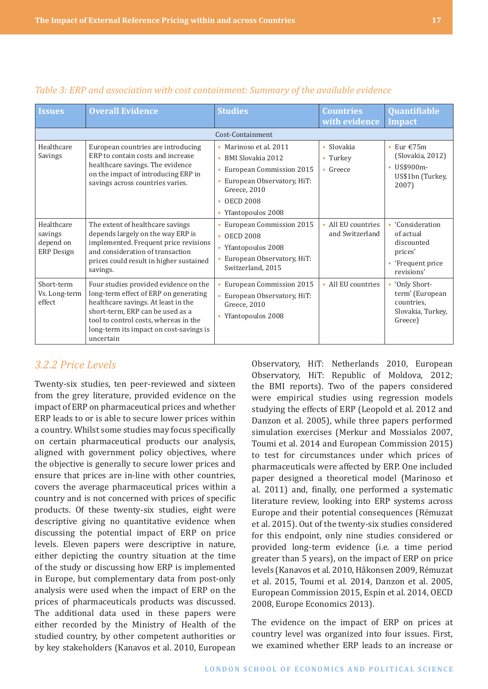| <b>Issues</b>                                           | <b>Overall Evidence</b>                                                                                                                                                                                                                                    | <b>Studies</b>                                                                                                                                                     | <b>Countries</b><br>with evidence           | Quantifiable<br><b>Impact</b>                                                          |  |  |
|---------------------------------------------------------|------------------------------------------------------------------------------------------------------------------------------------------------------------------------------------------------------------------------------------------------------------|--------------------------------------------------------------------------------------------------------------------------------------------------------------------|---------------------------------------------|----------------------------------------------------------------------------------------|--|--|
|                                                         |                                                                                                                                                                                                                                                            | Cost-Containment                                                                                                                                                   |                                             |                                                                                        |  |  |
| Healthcare<br>Savings                                   | European countries are introducing<br>ERP to contain costs and increase<br>healthcare savings. The evidence<br>on the impact of introducing ERP in<br>savings across countries varies.                                                                     | • Marinoso et al. 2011<br>• BMI Slovakia 2012<br>European Commission 2015<br>European Observatory, HiT:<br>Greece, 2010<br><b>OECD 2008</b><br>• Yfantopoulos 2008 | Slovakia<br>$\bullet$<br>Turkey<br>• Greece | Eur $E$ 75m<br>$\bullet$<br>(Slovakia, 2012)<br>US\$900m-<br>US\$1bn (Turkey,<br>2007) |  |  |
| Healthcare<br>savings<br>depend on<br><b>ERP</b> Design | The extent of healthcare savings<br>depends largely on the way ERP is<br>implemented. Frequent price revisions<br>and consideration of transaction<br>prices could result in higher sustained<br>savings.                                                  | European Commission 2015<br>$\cdot$ OECD 2008<br>• Yfantopoulos 2008<br>European Observatory, HiT:<br>Switzerland, 2015                                            | All EU countries<br>and Switzerland         | 'Consideration<br>of actual<br>discounted<br>prices'<br>'Frequent price<br>revisions'  |  |  |
| Short-term<br>Vs. Long-term<br>effect                   | Four studies provided evidence on the<br>long-term effect of ERP on generating<br>healthcare savings. At least in the<br>short-term, ERP can be used as a<br>tool to control costs, whereas in the<br>long-term its impact on cost-savings is<br>uncertain | European Commission 2015<br>European Observatory, HiT:<br>Greece, 2010<br>• Yfantopoulos 2008                                                                      | • All EU countries                          | 'Only Short-<br>term' (European<br>countries.<br>Slovakia, Turkey,<br>Greece)          |  |  |

#### <span id="page-16-0"></span>*Table 3: ERP and association with cost containment: Summary of the available evidence*

## *3.2.2 Price Levels*

Twenty-six studies, ten peer-reviewed and sixteen from the grey literature, provided evidence on the impact of ERP on pharmaceutical prices and whether ERP leads to or is able to secure lower prices within a country. Whilst some studies may focus specifically on certain pharmaceutical products our analysis, aligned with government policy objectives, where the objective is generally to secure lower prices and ensure that prices are in-line with other countries, covers the average pharmaceutical prices within a country and is not concerned with prices of specific products. Of these twenty-six studies, eight were descriptive giving no quantitative evidence when discussing the potential impact of ERP on price levels. Eleven papers were descriptive in nature, either depicting the country situation at the time of the study or discussing how ERP is implemented in Europe, but complementary data from post-only analysis were used when the impact of ERP on the prices of pharmaceuticals products was discussed. The additional data used in these papers were either recorded by the Ministry of Health of the studied country, by other competent authorities or by key stakeholders (Kanavos et al. 2010, European

Observatory, HiT: Netherlands 2010, European Observatory, HiT: Republic of Moldova, 2012; the BMI reports). Two of the papers considered were empirical studies using regression models studying the effects of ERP (Leopold et al. 2012 and Danzon et al. 2005), while three papers performed simulation exercises (Merkur and Mossialos 2007, Toumi et al. 2014 and European Commission 2015) to test for circumstances under which prices of pharmaceuticals were affected by ERP. One included paper designed a theoretical model (Marinoso et al. 2011) and, finally, one performed a systematic literature review, looking into ERP systems across Europe and their potential consequences (Rémuzat et al. 2015). Out of the twenty-six studies considered for this endpoint, only nine studies considered or provided long-term evidence (i.e. a time period greater than 5 years), on the impact of ERP on price levels (Kanavos et al. 2010, Håkonsen 2009, Rémuzat et al. 2015, Toumi et al. 2014, Danzon et al. 2005, European Commission 2015, Espin et al. 2014, OECD 2008, Europe Economics 2013).

The evidence on the impact of ERP on prices at country level was organized into four issues. First, we examined whether ERP leads to an increase or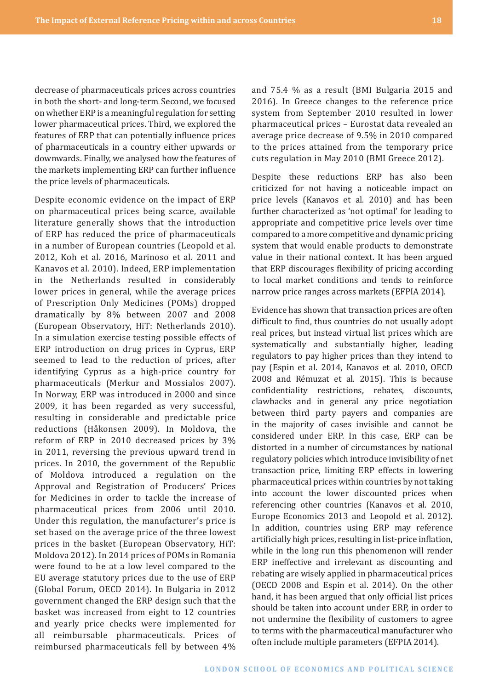decrease of pharmaceuticals prices across countries in both the short- and long-term. Second, we focused on whether ERP is a meaningful regulation for setting lower pharmaceutical prices. Third, we explored the features of ERP that can potentially influence prices of pharmaceuticals in a country either upwards or downwards. Finally, we analysed how the features of the markets implementing ERP can further influence the price levels of pharmaceuticals.

Despite economic evidence on the impact of ERP on pharmaceutical prices being scarce, available literature generally shows that the introduction of ERP has reduced the price of pharmaceuticals in a number of European countries (Leopold et al. 2012, Koh et al. 2016, Marinoso et al. 2011 and Kanavos et al. 2010). Indeed, ERP implementation in the Netherlands resulted in considerably lower prices in general, while the average prices of Prescription Only Medicines (POMs) dropped dramatically by 8% between 2007 and 2008 (European Observatory, HiT: Netherlands 2010). In a simulation exercise testing possible effects of ERP introduction on drug prices in Cyprus, ERP seemed to lead to the reduction of prices, after identifying Cyprus as a high-price country for pharmaceuticals (Merkur and Mossialos 2007). In Norway, ERP was introduced in 2000 and since 2009, it has been regarded as very successful, resulting in considerable and predictable price reductions (Håkonsen 2009). In Moldova, the reform of ERP in 2010 decreased prices by 3% in 2011, reversing the previous upward trend in prices. In 2010, the government of the Republic of Moldova introduced a regulation on the Approval and Registration of Producers' Prices for Medicines in order to tackle the increase of pharmaceutical prices from 2006 until 2010. Under this regulation, the manufacturer's price is set based on the average price of the three lowest prices in the basket (European Observatory, HiT: Moldova 2012). In 2014 prices of POMs in Romania were found to be at a low level compared to the EU average statutory prices due to the use of ERP (Global Forum, OECD 2014). In Bulgaria in 2012 government changed the ERP design such that the basket was increased from eight to 12 countries and yearly price checks were implemented for all reimbursable pharmaceuticals. Prices of reimbursed pharmaceuticals fell by between 4%

and 75.4 % as a result (BMI Bulgaria 2015 and 2016). In Greece changes to the reference price system from September 2010 resulted in lower pharmaceutical prices – Eurostat data revealed an average price decrease of 9.5% in 2010 compared to the prices attained from the temporary price cuts regulation in May 2010 (BMI Greece 2012).

Despite these reductions ERP has also been criticized for not having a noticeable impact on price levels (Kanavos et al. 2010) and has been further characterized as 'not optimal' for leading to appropriate and competitive price levels over time compared to a more competitive and dynamic pricing system that would enable products to demonstrate value in their national context. It has been argued that ERP discourages flexibility of pricing according to local market conditions and tends to reinforce narrow price ranges across markets (EFPIA 2014).

Evidence has shown that transaction prices are often difficult to find, thus countries do not usually adopt real prices, but instead virtual list prices which are systematically and substantially higher, leading regulators to pay higher prices than they intend to pay (Espin et al. 2014, Kanavos et al. 2010, OECD 2008 and Rémuzat et al. 2015). This is because confidentiality restrictions, rebates, discounts, clawbacks and in general any price negotiation between third party payers and companies are in the majority of cases invisible and cannot be considered under ERP. In this case, ERP can be distorted in a number of circumstances by national regulatory policies which introduce invisibility of net transaction price, limiting ERP effects in lowering pharmaceutical prices within countries by not taking into account the lower discounted prices when referencing other countries (Kanavos et al. 2010, Europe Economics 2013 and Leopold et al. 2012). In addition, countries using ERP may reference artificially high prices, resulting in list-price inflation, while in the long run this phenomenon will render ERP ineffective and irrelevant as discounting and rebating are wisely applied in pharmaceutical prices (OECD 2008 and Espin et al. 2014). On the other hand, it has been argued that only official list prices should be taken into account under ERP, in order to not undermine the flexibility of customers to agree to terms with the pharmaceutical manufacturer who often include multiple parameters (EFPIA 2014).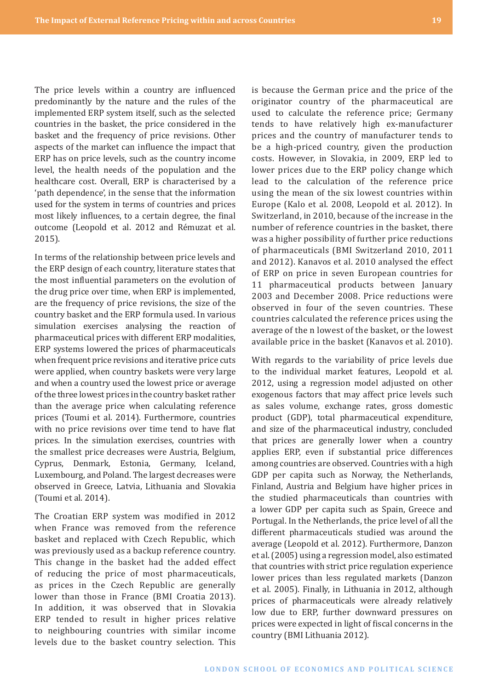The price levels within a country are influenced predominantly by the nature and the rules of the implemented ERP system itself, such as the selected countries in the basket, the price considered in the basket and the frequency of price revisions. Other aspects of the market can influence the impact that ERP has on price levels, such as the country income level, the health needs of the population and the healthcare cost. Overall, ERP is characterised by a 'path dependence', in the sense that the information used for the system in terms of countries and prices most likely influences, to a certain degree, the final outcome (Leopold et al. 2012 and Rémuzat et al. 2015).

In terms of the relationship between price levels and the ERP design of each country, literature states that the most influential parameters on the evolution of the drug price over time, when ERP is implemented, are the frequency of price revisions, the size of the country basket and the ERP formula used. In various simulation exercises analysing the reaction of pharmaceutical prices with different ERP modalities, ERP systems lowered the prices of pharmaceuticals when frequent price revisions and iterative price cuts were applied, when country baskets were very large and when a country used the lowest price or average of the three lowest prices in the country basket rather than the average price when calculating reference prices (Toumi et al. 2014). Furthermore, countries with no price revisions over time tend to have flat prices. In the simulation exercises, countries with the smallest price decreases were Austria, Belgium, Cyprus, Denmark, Estonia, Germany, Iceland, Luxembourg, and Poland. The largest decreases were observed in Greece, Latvia, Lithuania and Slovakia (Toumi et al. 2014).

The Croatian ERP system was modified in 2012 when France was removed from the reference basket and replaced with Czech Republic, which was previously used as a backup reference country. This change in the basket had the added effect of reducing the price of most pharmaceuticals, as prices in the Czech Republic are generally lower than those in France (BMI Croatia 2013). In addition, it was observed that in Slovakia ERP tended to result in higher prices relative to neighbouring countries with similar income levels due to the basket country selection. This is because the German price and the price of the originator country of the pharmaceutical are used to calculate the reference price; Germany tends to have relatively high ex-manufacturer prices and the country of manufacturer tends to be a high-priced country, given the production costs. However, in Slovakia, in 2009, ERP led to lower prices due to the ERP policy change which lead to the calculation of the reference price using the mean of the six lowest countries within Europe (Kalo et al. 2008, Leopold et al. 2012). In Switzerland, in 2010, because of the increase in the number of reference countries in the basket, there was a higher possibility of further price reductions of pharmaceuticals (BMI Switzerland 2010, 2011 and 2012). Kanavos et al. 2010 analysed the effect of ERP on price in seven European countries for 11 pharmaceutical products between January 2003 and December 2008. Price reductions were observed in four of the seven countries. These countries calculated the reference prices using the average of the n lowest of the basket, or the lowest available price in the basket (Kanavos et al. 2010).

With regards to the variability of price levels due to the individual market features, Leopold et al. 2012, using a regression model adjusted on other exogenous factors that may affect price levels such as sales volume, exchange rates, gross domestic product (GDP), total pharmaceutical expenditure, and size of the pharmaceutical industry, concluded that prices are generally lower when a country applies ERP, even if substantial price differences among countries are observed. Countries with a high GDP per capita such as Norway, the Netherlands, Finland, Austria and Belgium have higher prices in the studied pharmaceuticals than countries with a lower GDP per capita such as Spain, Greece and Portugal. In the Netherlands, the price level of all the different pharmaceuticals studied was around the average (Leopold et al. 2012). Furthermore, Danzon et al. (2005) using a regression model, also estimated that countries with strict price regulation experience lower prices than less regulated markets (Danzon et al. 2005). Finally, in Lithuania in 2012, although prices of pharmaceuticals were already relatively low due to ERP, further downward pressures on prices were expected in light of fiscal concerns in the country (BMI Lithuania 2012).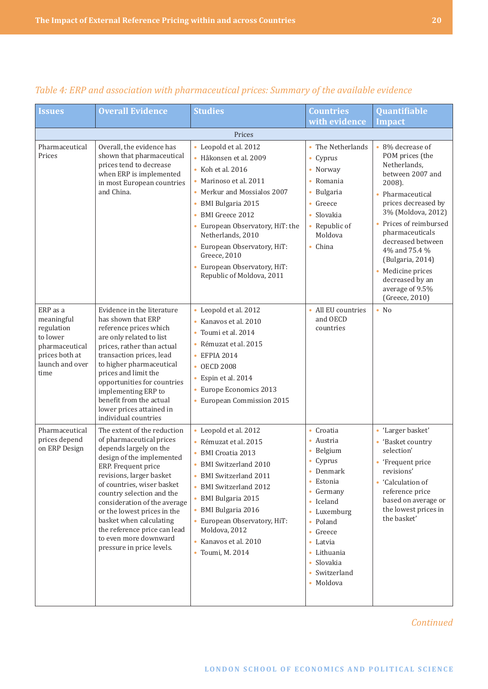| <b>Issues</b>                                                                                                   | <b>Overall Evidence</b>                                                                                                                                                                                                                                                                                                                                                                                      | <b>Studies</b>                                                                                                                                                                                                                                                                                                                                             | <b>Countries</b><br>with evidence                                                                                                                                                                                                                                                           | Quantifiable<br><b>Impact</b>                                                                                                                                                                                                                                                                                                                                |
|-----------------------------------------------------------------------------------------------------------------|--------------------------------------------------------------------------------------------------------------------------------------------------------------------------------------------------------------------------------------------------------------------------------------------------------------------------------------------------------------------------------------------------------------|------------------------------------------------------------------------------------------------------------------------------------------------------------------------------------------------------------------------------------------------------------------------------------------------------------------------------------------------------------|---------------------------------------------------------------------------------------------------------------------------------------------------------------------------------------------------------------------------------------------------------------------------------------------|--------------------------------------------------------------------------------------------------------------------------------------------------------------------------------------------------------------------------------------------------------------------------------------------------------------------------------------------------------------|
|                                                                                                                 |                                                                                                                                                                                                                                                                                                                                                                                                              | Prices                                                                                                                                                                                                                                                                                                                                                     |                                                                                                                                                                                                                                                                                             |                                                                                                                                                                                                                                                                                                                                                              |
| Pharmaceutical<br>Prices                                                                                        | Overall, the evidence has<br>shown that pharmaceutical<br>prices tend to decrease<br>when ERP is implemented<br>in most European countries<br>and China.                                                                                                                                                                                                                                                     | • Leopold et al. 2012<br>· Håkonsen et al. 2009<br>• Koh et al. 2016<br>• Marinoso et al. 2011<br>• Merkur and Mossialos 2007<br>• BMI Bulgaria 2015<br>BMI Greece 2012<br>$\bullet$<br>• European Observatory, HiT: the<br>Netherlands, 2010<br>• European Observatory, HiT:<br>Greece, 2010<br>• European Observatory, HiT:<br>Republic of Moldova, 2011 | • The Netherlands<br>$\bullet$ Cyprus<br>• Norway<br>Romania<br>• Bulgaria<br>Greece<br>$\bullet$<br>$\bullet$ Slovakia<br>• Republic of<br>Moldova<br>• China                                                                                                                              | 8% decrease of<br>$\bullet$<br>POM prices (the<br>Netherlands,<br>between 2007 and<br>2008).<br>Pharmaceutical<br>$\bullet$<br>prices decreased by<br>3% (Moldova, 2012)<br>• Prices of reimbursed<br>pharmaceuticals<br>decreased between<br>4% and 75.4 %<br>(Bulgaria, 2014)<br>• Medicine prices<br>decreased by an<br>average of 9.5%<br>(Greece, 2010) |
| ERP as a<br>meaningful<br>regulation<br>to lower<br>pharmaceutical<br>prices both at<br>launch and over<br>time | Evidence in the literature<br>has shown that ERP<br>reference prices which<br>are only related to list<br>prices, rather than actual<br>transaction prices, lead<br>to higher pharmaceutical<br>prices and limit the<br>opportunities for countries<br>implementing ERP to<br>benefit from the actual<br>lower prices attained in<br>individual countries                                                    | • Leopold et al. 2012<br>· Kanavos et al. 2010<br>Toumi et al. 2014<br>$\bullet$<br>· Rémuzat et al. 2015<br>• EFPIA 2014<br>• OECD 2008<br>· Espin et al. 2014<br>• Europe Economics 2013<br>• European Commission 2015                                                                                                                                   | • All EU countries<br>and OECD<br>countries                                                                                                                                                                                                                                                 | $\bullet$ No                                                                                                                                                                                                                                                                                                                                                 |
| Pharmaceutical<br>prices depend<br>on ERP Design                                                                | The extent of the reduction<br>of pharmaceutical prices<br>depends largely on the<br>design of the implemented<br>ERP. Frequent price<br>revisions, larger basket<br>of countries, wiser basket<br>country selection and the<br>consideration of the average<br>or the lowest prices in the<br>basket when calculating<br>the reference price can lead<br>to even more downward<br>pressure in price levels. | • Leopold et al. 2012<br>• Rémuzat et al. 2015<br>• BMI Croatia 2013<br>• BMI Switzerland 2010<br>• BMI Switzerland 2011<br>• BMI Switzerland 2012<br>· BMI Bulgaria 2015<br>• BMI Bulgaria 2016<br>• European Observatory, HiT:<br>Moldova, 2012<br>• Kanavos et al. 2010<br>• Toumi, M. 2014                                                             | • Croatia<br>• Austria<br>Belgium<br>• Cyprus<br>Denmark<br>Estonia<br>Germany<br>$\bullet$<br>• Iceland<br>Luxemburg<br>$\bullet$<br>Poland<br>$\bullet$<br>Greece<br>٠<br>Latvia<br>$\bullet$<br>Lithuania<br>$\bullet$<br>Slovakia<br>$\bullet$<br>Switzerland<br>$\bullet$<br>• Moldova | • 'Larger basket'<br>'Basket country<br>selection'<br>• 'Frequent price<br>revisions'<br>• 'Calculation of<br>reference price<br>based on average or<br>the lowest prices in<br>the basket'                                                                                                                                                                  |

## *Table 4: ERP and association with pharmaceutical prices: Summary of the available evidence*

*Continued*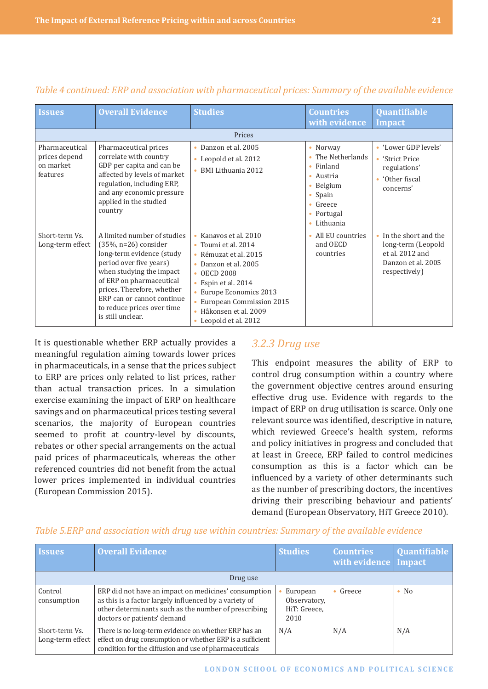| <i><u><b>Issues</b></u></i>                              | <b>Overall Evidence</b>                                                                                                                                                                                                                                                               | <b>Studies</b>                                                                                                                                                                                                                                        | <b>Countries</b><br>with evidence                                                                                                                           | Quantifiable<br><b>Impact</b>                                                                          |
|----------------------------------------------------------|---------------------------------------------------------------------------------------------------------------------------------------------------------------------------------------------------------------------------------------------------------------------------------------|-------------------------------------------------------------------------------------------------------------------------------------------------------------------------------------------------------------------------------------------------------|-------------------------------------------------------------------------------------------------------------------------------------------------------------|--------------------------------------------------------------------------------------------------------|
|                                                          |                                                                                                                                                                                                                                                                                       | Prices                                                                                                                                                                                                                                                |                                                                                                                                                             |                                                                                                        |
| Pharmaceutical<br>prices depend<br>on market<br>features | Pharmaceutical prices<br>correlate with country<br>GDP per capita and can be<br>affected by levels of market<br>regulation, including ERP,<br>and any economic pressure<br>applied in the studied<br>country                                                                          | • Danzon et al. 2005<br>• Leopold et al. 2012<br>• BMI Lithuania 2012                                                                                                                                                                                 | • Norway<br>The Netherlands<br>Finland<br>$\bullet$<br>Austria<br>$\bullet$<br>Belgium<br>٠<br>Spain<br>٠<br>Greece<br>٠<br>Portugal<br>٠<br>Lithuania<br>٠ | • 'Lower GDP levels'<br>'Strict Price<br>٠<br>regulations'<br>'Other fiscal<br>٠<br>concerns'          |
| Short-term Vs.<br>Long-term effect                       | A limited number of studies<br>$(35\%, n=26)$ consider<br>long-term evidence (study<br>period over five years)<br>when studying the impact<br>of ERP on pharmaceutical<br>prices. Therefore, whether<br>ERP can or cannot continue<br>to reduce prices over time<br>is still unclear. | • Kanavos et al. 2010<br>• Toumi et al. 2014<br>• Rémuzat et al. 2015<br>• Danzon et al. 2005<br>$\cdot$ OECD 2008<br>• Espin et al. 2014<br>• Europe Economics 2013<br>• European Commission 2015<br>· Håkonsen et al. 2009<br>• Leopold et al. 2012 | • All EU countries<br>and OECD<br>countries                                                                                                                 | • In the short and the<br>long-term (Leopold<br>et al. 2012 and<br>Danzon et al. 2005<br>respectively) |

#### <span id="page-20-0"></span>*Table 4 continued: ERP and association with pharmaceutical prices: Summary of the available evidence*

It is questionable whether ERP actually provides a meaningful regulation aiming towards lower prices in pharmaceuticals, in a sense that the prices subject to ERP are prices only related to list prices, rather than actual transaction prices. In a simulation exercise examining the impact of ERP on healthcare savings and on pharmaceutical prices testing several scenarios, the majority of European countries seemed to profit at country-level by discounts, rebates or other special arrangements on the actual paid prices of pharmaceuticals, whereas the other referenced countries did not benefit from the actual lower prices implemented in individual countries (European Commission 2015).

#### *3.2.3 Drug use*

This endpoint measures the ability of ERP to control drug consumption within a country where the government objective centres around ensuring effective drug use. Evidence with regards to the impact of ERP on drug utilisation is scarce. Only one relevant source was identified, descriptive in nature, which reviewed Greece's health system, reforms and policy initiatives in progress and concluded that at least in Greece, ERP failed to control medicines consumption as this is a factor which can be influenced by a variety of other determinants such as the number of prescribing doctors, the incentives driving their prescribing behaviour and patients' demand (European Observatory, HiT Greece 2010).

| <b>Issues</b>                      | <b>Overall Evidence</b>                                                                                                                                                                               | <b>Studies</b>                                   | <b>Countries</b><br>with evidence   Impact | Quantifiable |  |  |
|------------------------------------|-------------------------------------------------------------------------------------------------------------------------------------------------------------------------------------------------------|--------------------------------------------------|--------------------------------------------|--------------|--|--|
| Drug use                           |                                                                                                                                                                                                       |                                                  |                                            |              |  |  |
| Control<br>consumption             | ERP did not have an impact on medicines' consumption<br>as this is a factor largely influenced by a variety of<br>other determinants such as the number of prescribing<br>doctors or patients' demand | European<br>Observatory.<br>HiT: Greece,<br>2010 | Greece                                     | $\bullet$ No |  |  |
| Short-term Vs.<br>Long-term effect | There is no long-term evidence on whether ERP has an<br>effect on drug consumption or whether ERP is a sufficient<br>condition for the diffusion and use of pharmaceuticals                           | N/A                                              | N/A                                        | N/A          |  |  |

#### *Table 5.ERP and association with drug use within countries: Summary of the available evidence*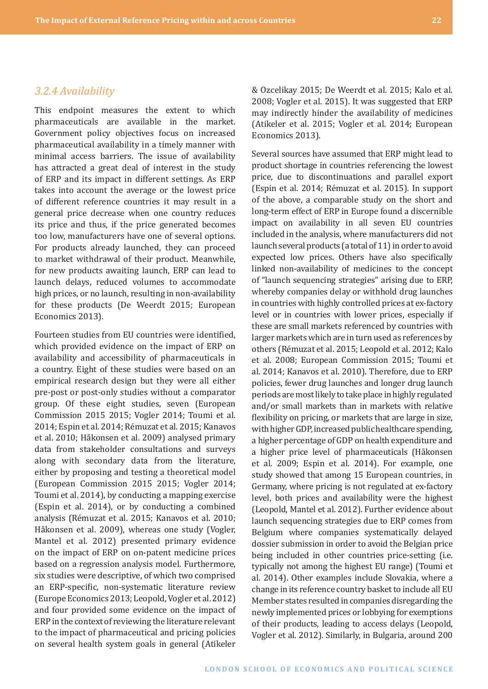#### <span id="page-21-0"></span>*3.2.4 Availability*

This endpoint measures the extent to which pharmaceuticals are available in the market. Government policy objectives focus on increased pharmaceutical availability in a timely manner with minimal access barriers. The issue of availability has attracted a great deal of interest in the study of ERP and its impact in different settings. As ERP takes into account the average or the lowest price of different reference countries it may result in a general price decrease when one country reduces its price and thus, if the price generated becomes too low, manufacturers have one of several options. For products already launched, they can proceed to market withdrawal of their product. Meanwhile, for new products awaiting launch, ERP can lead to launch delays, reduced volumes to accommodate high prices, or no launch, resulting in non-availability for these products (De Weerdt 2015; European Economics 2013).

Fourteen studies from EU countries were identified, which provided evidence on the impact of ERP on availability and accessibility of pharmaceuticals in a country. Eight of these studies were based on an empirical research design but they were all either pre-post or post-only studies without a comparator group. Of these eight studies, seven (European Commission 2015 2015; Vogler 2014; Toumi et al. 2014; Espin et al. 2014; Rémuzat et al. 2015; Kanavos et al. 2010; Håkonsen et al. 2009) analysed primary data from stakeholder consultations and surveys along with secondary data from the literature, either by proposing and testing a theoretical model (European Commission 2015 2015; Vogler 2014; Toumi et al. 2014), by conducting a mapping exercise (Espin et al. 2014), or by conducting a combined analysis (Rémuzat et al. 2015; Kanavos et al. 2010; Håkonsen et al. 2009), whereas one study (Vogler, Mantel et al. 2012) presented primary evidence on the impact of ERP on on-patent medicine prices based on a regression analysis model. Furthermore, six studies were descriptive, of which two comprised an ERP-specific, non-systematic literature review (Europe Economics 2013; Leopold, Vogler et al. 2012) and four provided some evidence on the impact of ERP in the context of reviewing the literature relevant to the impact of pharmaceutical and pricing policies on several health system goals in general (Atikeler & Ozcelikay 2015; De Weerdt et al. 2015; Kalo et al. 2008; Vogler et al. 2015). It was suggested that ERP may indirectly hinder the availability of medicines (Atikeler et al. 2015; Vogler et al. 2014; European Economics 2013).

Several sources have assumed that ERP might lead to product shortage in countries referencing the lowest price, due to discontinuations and parallel export (Espin et al. 2014; Rémuzat et al. 2015). In support of the above, a comparable study on the short and long-term effect of ERP in Europe found a discernible impact on availability in all seven EU countries included in the analysis, where manufacturers did not launch several products (a total of 11) in order to avoid expected low prices. Others have also specifically linked non-availability of medicines to the concept of "launch sequencing strategies" arising due to ERP, whereby companies delay or withhold drug launches in countries with highly controlled prices at ex-factory level or in countries with lower prices, especially if these are small markets referenced by countries with larger markets which are in turn used as references by others (Rémuzat et al. 2015; Leopold et al. 2012; Kalo et al. 2008; European Commission 2015; Toumi et al. 2014; Kanavos et al. 2010). Therefore, due to ERP policies, fewer drug launches and longer drug launch periods are most likely to take place in highly regulated and/or small markets than in markets with relative flexibility on pricing, or markets that are large in size, with higher GDP, increased public healthcare spending, a higher percentage of GDP on health expenditure and a higher price level of pharmaceuticals (Håkonsen et al. 2009; Espin et al. 2014). For example, one study showed that among 15 European countries, in Germany, where pricing is not regulated at ex-factory level, both prices and availability were the highest (Leopold, Mantel et al. 2012). Further evidence about launch sequencing strategies due to ERP comes from Belgium where companies systematically delayed dossier submission in order to avoid the Belgian price being included in other countries price-setting (i.e. typically not among the highest EU range) (Toumi et al. 2014). Other examples include Slovakia, where a change in its reference country basket to include all EU Member states resulted in companies disregarding the newly implemented prices or lobbying for exemptions of their products, leading to access delays (Leopold, Vogler et al. 2012). Similarly, in Bulgaria, around 200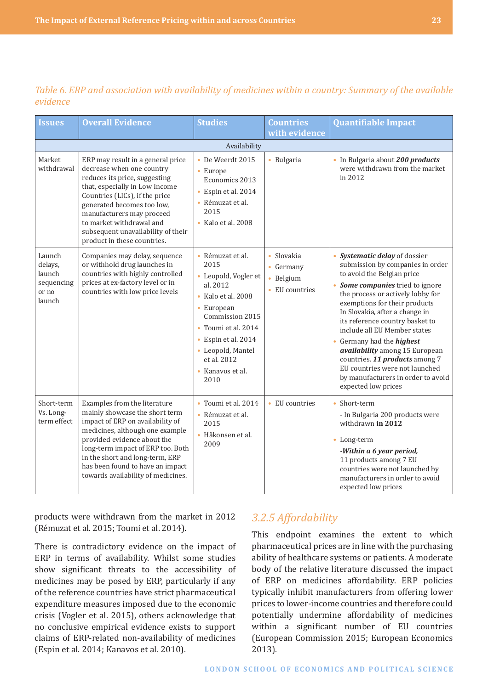| <b>Issues</b>                                                | <b>Overall Evidence</b>                                                                                                                                                                                                                                                                                                         | <b>Studies</b>                                                                                                                                                                                                                               | <b>Countries</b><br>with evidence                      | <b>Quantifiable Impact</b>                                                                                                                                                                                                                                                                                                                                                                                                                                                                                      |
|--------------------------------------------------------------|---------------------------------------------------------------------------------------------------------------------------------------------------------------------------------------------------------------------------------------------------------------------------------------------------------------------------------|----------------------------------------------------------------------------------------------------------------------------------------------------------------------------------------------------------------------------------------------|--------------------------------------------------------|-----------------------------------------------------------------------------------------------------------------------------------------------------------------------------------------------------------------------------------------------------------------------------------------------------------------------------------------------------------------------------------------------------------------------------------------------------------------------------------------------------------------|
|                                                              |                                                                                                                                                                                                                                                                                                                                 | Availability                                                                                                                                                                                                                                 |                                                        |                                                                                                                                                                                                                                                                                                                                                                                                                                                                                                                 |
| Market<br>withdrawal                                         | ERP may result in a general price<br>decrease when one country<br>reduces its price, suggesting<br>that, especially in Low Income<br>Countries (LICs), if the price<br>generated becomes too low,<br>manufacturers may proceed<br>to market withdrawal and<br>subsequent unavailability of their<br>product in these countries. | De Weerdt 2015<br>$\bullet$<br>• Europe<br>Economics 2013<br>• Espin et al. 2014<br>• Rémuzat et al.<br>2015<br>• Kalo et al. 2008                                                                                                           | · Bulgaria                                             | • In Bulgaria about 200 products<br>were withdrawn from the market<br>in 2012                                                                                                                                                                                                                                                                                                                                                                                                                                   |
| Launch<br>delays,<br>launch<br>sequencing<br>or no<br>launch | Companies may delay, sequence<br>or withhold drug launches in<br>countries with highly controlled<br>prices at ex-factory level or in<br>countries with low price levels                                                                                                                                                        | • Rémuzat et al.<br>2015<br>• Leopold, Vogler et<br>al. 2012<br>$\bullet$ Kalo et al. 2008<br>• European<br>Commission 2015<br>• Toumi et al. 2014<br>Espin et al. 2014<br>٠<br>• Leopold, Mantel<br>et al. 2012<br>• Kanavos et al.<br>2010 | • Slovakia<br>• Germany<br>· Belgium<br>• EU countries | Systematic delay of dossier<br>submission by companies in order<br>to avoid the Belgian price<br>Some companies tried to ignore<br>the process or actively lobby for<br>exemptions for their products<br>In Slovakia, after a change in<br>its reference country basket to<br>include all EU Member states<br>Germany had the <i>highest</i><br>availability among 15 European<br>countries. 11 products among 7<br>EU countries were not launched<br>by manufacturers in order to avoid<br>expected low prices |
| Short-term<br>Vs. Long-<br>term effect                       | Examples from the literature<br>mainly showcase the short term<br>impact of ERP on availability of<br>medicines, although one example<br>provided evidence about the<br>long-term impact of ERP too. Both<br>in the short and long-term, ERP<br>has been found to have an impact<br>towards availability of medicines.          | Toumi et al. 2014<br>$\bullet$<br>· Rémuzat et al.<br>2015<br>· Håkonsen et al.<br>2009                                                                                                                                                      | • EU countries                                         | Short-term<br>- In Bulgaria 200 products were<br>withdrawn in 2012<br>• Long-term<br>-Within a 6 year period,<br>11 products among 7 EU<br>countries were not launched by<br>manufacturers in order to avoid<br>expected low prices                                                                                                                                                                                                                                                                             |

<span id="page-22-0"></span>*Table 6. ERP and association with availability of medicines within a country: Summary of the available evidence*

products were withdrawn from the market in 2012 (Rémuzat et al. 2015; Toumi et al. 2014).

There is contradictory evidence on the impact of ERP in terms of availability. Whilst some studies show significant threats to the accessibility of medicines may be posed by ERP, particularly if any of the reference countries have strict pharmaceutical expenditure measures imposed due to the economic crisis (Vogler et al. 2015), others acknowledge that no conclusive empirical evidence exists to support claims of ERP-related non-availability of medicines (Espin et al. 2014; Kanavos et al. 2010).

# *3.2.5 Affordability*

This endpoint examines the extent to which pharmaceutical prices are in line with the purchasing ability of healthcare systems or patients. A moderate body of the relative literature discussed the impact of ERP on medicines affordability. ERP policies typically inhibit manufacturers from offering lower prices to lower-income countries and therefore could potentially undermine affordability of medicines within a significant number of EU countries (European Commission 2015; European Economics 2013).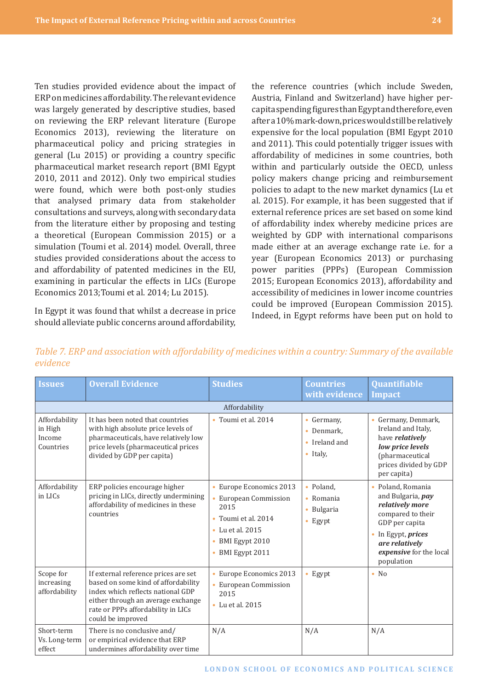Ten studies provided evidence about the impact of ERP on medicines affordability. The relevant evidence was largely generated by descriptive studies, based on reviewing the ERP relevant literature (Europe Economics 2013), reviewing the literature on pharmaceutical policy and pricing strategies in general (Lu 2015) or providing a country specific pharmaceutical market research report (BMI Egypt 2010, 2011 and 2012). Only two empirical studies were found, which were both post-only studies that analysed primary data from stakeholder consultations and surveys, along with secondary data from the literature either by proposing and testing a theoretical (European Commission 2015) or a simulation (Toumi et al. 2014) model. Overall, three studies provided considerations about the access to and affordability of patented medicines in the EU, examining in particular the effects in LICs (Europe Economics 2013;Toumi et al. 2014; Lu 2015).

In Egypt it was found that whilst a decrease in price should alleviate public concerns around affordability, the reference countries (which include Sweden, Austria, Finland and Switzerland) have higher percapitaspendingfiguresthanEgyptandtherefore,even after a 10% mark-down, prices would still be relatively expensive for the local population (BMI Egypt 2010 and 2011). This could potentially trigger issues with affordability of medicines in some countries, both within and particularly outside the OECD, unless policy makers change pricing and reimbursement policies to adapt to the new market dynamics (Lu et al. 2015). For example, it has been suggested that if external reference prices are set based on some kind of affordability index whereby medicine prices are weighted by GDP with international comparisons made either at an average exchange rate i.e. for a year (European Economics 2013) or purchasing power parities (PPPs) (European Commission 2015; European Economics 2013), affordability and accessibility of medicines in lower income countries could be improved (European Commission 2015). Indeed, in Egypt reforms have been put on hold to

*Table 7. ERP and association with affordability of medicines within a country: Summary of the available evidence*

| <b>Issues</b>                                   | <b>Overall Evidence</b>                                                                                                                                                                                           | <b>Studies</b>                                                                                                                                    | <b>Countries</b>                                                      | Quantifiable                                                                                                                                                                                                   |  |
|-------------------------------------------------|-------------------------------------------------------------------------------------------------------------------------------------------------------------------------------------------------------------------|---------------------------------------------------------------------------------------------------------------------------------------------------|-----------------------------------------------------------------------|----------------------------------------------------------------------------------------------------------------------------------------------------------------------------------------------------------------|--|
|                                                 |                                                                                                                                                                                                                   |                                                                                                                                                   | with evidence                                                         | <b>Impact</b>                                                                                                                                                                                                  |  |
|                                                 |                                                                                                                                                                                                                   | Affordability                                                                                                                                     |                                                                       |                                                                                                                                                                                                                |  |
| Affordability<br>in High<br>Income<br>Countries | It has been noted that countries<br>with high absolute price levels of<br>pharmaceuticals, have relatively low<br>price levels (pharmaceutical prices<br>divided by GDP per capita)                               | Toumi et al. 2014                                                                                                                                 | • Germany,<br>• Denmark.<br>$\bullet$ Ireland and<br>$\bullet$ Italy, | • Germany, Denmark,<br>Ireland and Italy,<br>have <i>relatively</i><br>low price levels<br>(pharmaceutical<br>prices divided by GDP<br>per capita)                                                             |  |
| Affordability<br>in LICs                        | ERP policies encourage higher<br>pricing in LICs, directly undermining<br>affordability of medicines in these<br>countries                                                                                        | • Europe Economics 2013<br>• European Commission<br>2015<br>Toumi et al. 2014<br>$\bullet$ Lu et al. 2015<br>• BMI Egypt 2010<br>· BMI Egypt 2011 | • Poland,<br>$\bullet$ Romania<br>• Bulgaria<br>• Egypt               | Poland, Romania<br>$\bullet$<br>and Bulgaria, pay<br>relatively more<br>compared to their<br>GDP per capita<br>In Egypt, <i>prices</i><br>$\bullet$<br>are relatively<br>expensive for the local<br>population |  |
| Scope for<br>increasing<br>affordability        | If external reference prices are set<br>based on some kind of affordability<br>index which reflects national GDP<br>either through an average exchange<br>rate or PPPs affordability in LICs<br>could be improved | • Europe Economics 2013<br>European Commission<br>2015<br>• Lu et al. 2015                                                                        | • Egypt                                                               | $\bullet$ No                                                                                                                                                                                                   |  |
| Short-term<br>Vs. Long-term<br>effect           | There is no conclusive and/<br>or empirical evidence that ERP<br>undermines affordability over time                                                                                                               | N/A                                                                                                                                               | N/A                                                                   | N/A                                                                                                                                                                                                            |  |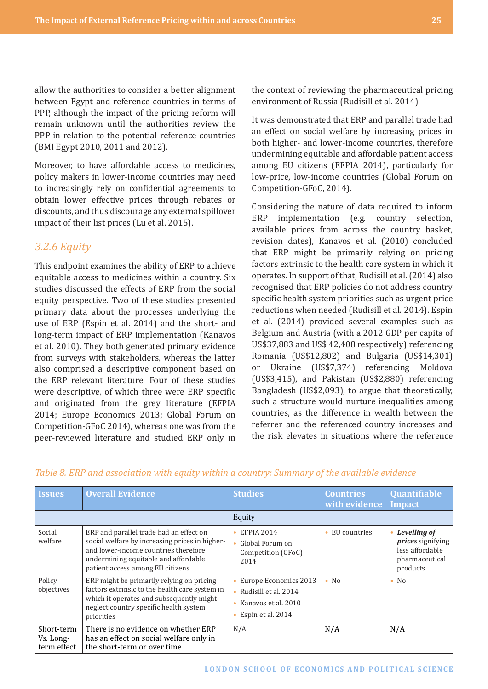<span id="page-24-0"></span>allow the authorities to consider a better alignment between Egypt and reference countries in terms of PPP, although the impact of the pricing reform will remain unknown until the authorities review the PPP in relation to the potential reference countries (BMI Egypt 2010, 2011 and 2012).

Moreover, to have affordable access to medicines, policy makers in lower-income countries may need to increasingly rely on confidential agreements to obtain lower effective prices through rebates or discounts, and thus discourage any external spillover impact of their list prices (Lu et al. 2015).

## *3.2.6 Equity*

This endpoint examines the ability of ERP to achieve equitable access to medicines within a country. Six studies discussed the effects of ERP from the social equity perspective. Two of these studies presented primary data about the processes underlying the use of ERP (Espin et al. 2014) and the short- and long-term impact of ERP implementation (Kanavos et al. 2010). They both generated primary evidence from surveys with stakeholders, whereas the latter also comprised a descriptive component based on the ERP relevant literature. Four of these studies were descriptive, of which three were ERP specific and originated from the grey literature (EFPIA 2014; Europe Economics 2013; Global Forum on Competition-GFoC 2014), whereas one was from the peer-reviewed literature and studied ERP only in

the context of reviewing the pharmaceutical pricing environment of Russia (Rudisill et al. 2014).

It was demonstrated that ERP and parallel trade had an effect on social welfare by increasing prices in both higher- and lower-income countries, therefore undermining equitable and affordable patient access among EU citizens (EFPIA 2014), particularly for low-price, low-income countries (Global Forum on Competition-GFoC, 2014).

Considering the nature of data required to inform ERP implementation (e.g. country selection, available prices from across the country basket, revision dates), Kanavos et al. (2010) concluded that ERP might be primarily relying on pricing factors extrinsic to the health care system in which it operates. In support of that, Rudisill et al. (2014) also recognised that ERP policies do not address country specific health system priorities such as urgent price reductions when needed (Rudisill et al. 2014). Espin et al. (2014) provided several examples such as Belgium and Austria (with a 2012 GDP per capita of US\$37,883 and US\$ 42,408 respectively) referencing Romania (US\$12,802) and Bulgaria (US\$14,301) or Ukraine (US\$7,374) referencing Moldova (US\$3,415), and Pakistan (US\$2,880) referencing Bangladesh (US\$2,093), to argue that theoretically, such a structure would nurture inequalities among countries, as the difference in wealth between the referrer and the referenced country increases and the risk elevates in situations where the reference

| <b>Issues</b>                          | <b>Overall Evidence</b>                                                                                                                                                                                       | <b>Studies</b>                                                                            | <b>Countries</b><br>with evidence | Quantifiable<br><b>Impact</b>                                                             |  |
|----------------------------------------|---------------------------------------------------------------------------------------------------------------------------------------------------------------------------------------------------------------|-------------------------------------------------------------------------------------------|-----------------------------------|-------------------------------------------------------------------------------------------|--|
|                                        |                                                                                                                                                                                                               | Equity                                                                                    |                                   |                                                                                           |  |
| Social<br>welfare                      | ERP and parallel trade had an effect on<br>social welfare by increasing prices in higher-<br>and lower-income countries therefore<br>undermining equitable and affordable<br>patient access among EU citizens | <b>EFPIA 2014</b><br>Global Forum on<br>Competition (GFoC)<br>2014                        | • EU countries                    | Levelling of<br><i>prices</i> signifying<br>less affordable<br>pharmaceutical<br>products |  |
| Policy<br>objectives                   | ERP might be primarily relying on pricing<br>factors extrinsic to the health care system in<br>which it operates and subsequently might<br>neglect country specific health system<br>priorities               | Europe Economics 2013<br>Rudisill et al. 2014<br>Kanavos et al. 2010<br>Espin et al. 2014 | $\bullet$ No                      | $\bullet$ No                                                                              |  |
| Short-term<br>Vs. Long-<br>term effect | There is no evidence on whether ERP<br>has an effect on social welfare only in<br>the short-term or over time                                                                                                 | N/A                                                                                       | N/A                               | N/A                                                                                       |  |

#### *Table 8. ERP and association with equity within a country: Summary of the available evidence*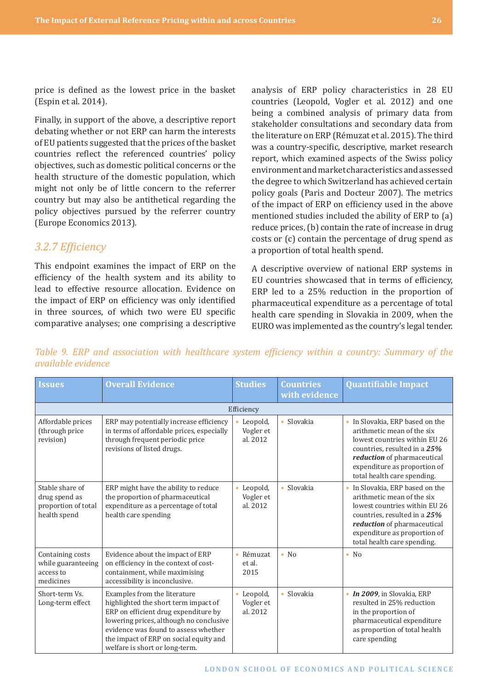<span id="page-25-0"></span>price is defined as the lowest price in the basket (Espin et al. 2014).

Finally, in support of the above, a descriptive report debating whether or not ERP can harm the interests of EU patients suggested that the prices of the basket countries reflect the referenced countries' policy objectives, such as domestic political concerns or the health structure of the domestic population, which might not only be of little concern to the referrer country but may also be antithetical regarding the policy objectives pursued by the referrer country (Europe Economics 2013).

## *3.2.7 Efficiency*

This endpoint examines the impact of ERP on the efficiency of the health system and its ability to lead to effective resource allocation. Evidence on the impact of ERP on efficiency was only identified in three sources, of which two were EU specific comparative analyses; one comprising a descriptive

analysis of ERP policy characteristics in 28 EU countries (Leopold, Vogler et al. 2012) and one being a combined analysis of primary data from stakeholder consultations and secondary data from the literature on ERP (Rémuzat et al. 2015). The third was a country-specific, descriptive, market research report, which examined aspects of the Swiss policy environment and market characteristics and assessed the degree to which Switzerland has achieved certain policy goals (Paris and Docteur 2007). The metrics of the impact of ERP on efficiency used in the above mentioned studies included the ability of ERP to (a) reduce prices, (b) contain the rate of increase in drug costs or (c) contain the percentage of drug spend as a proportion of total health spend.

A descriptive overview of national ERP systems in EU countries showcased that in terms of efficiency, ERP led to a 25% reduction in the proportion of pharmaceutical expenditure as a percentage of total health care spending in Slovakia in 2009, when the EURO was implemented as the country's legal tender.

*Table 9. ERP and association with healthcare system efficiency within a country: Summary of the available evidence*

| <b>Issues</b>                                                           | <b>Overall Evidence</b>                                                                                                                                                                                                                                                     | <b>Studies</b>                                 | <b>Countries</b><br>with evidence | <b>Quantifiable Impact</b>                                                                                                                                                                                                 |
|-------------------------------------------------------------------------|-----------------------------------------------------------------------------------------------------------------------------------------------------------------------------------------------------------------------------------------------------------------------------|------------------------------------------------|-----------------------------------|----------------------------------------------------------------------------------------------------------------------------------------------------------------------------------------------------------------------------|
|                                                                         |                                                                                                                                                                                                                                                                             | Efficiency                                     |                                   |                                                                                                                                                                                                                            |
| Affordable prices<br>(through price<br>revision)                        | ERP may potentially increase efficiency<br>in terms of affordable prices, especially<br>through frequent periodic price<br>revisions of listed drugs.                                                                                                                       | Leopold,<br>۰<br>Vogler et<br>al. 2012         | Slovakia<br>$\bullet$             | In Slovakia, ERP based on the<br>arithmetic mean of the six<br>lowest countries within EU 26<br>countries, resulted in a 25%<br>reduction of pharmaceutical<br>expenditure as proportion of<br>total health care spending. |
| Stable share of<br>drug spend as<br>proportion of total<br>health spend | ERP might have the ability to reduce<br>the proportion of pharmaceutical<br>expenditure as a percentage of total<br>health care spending                                                                                                                                    | Leopold,<br>$\bullet$<br>Vogler et<br>al. 2012 | Slovakia<br>$\bullet$             | In Slovakia, ERP based on the<br>arithmetic mean of the six<br>lowest countries within EU 26<br>countries, resulted in a 25%<br>reduction of pharmaceutical<br>expenditure as proportion of<br>total health care spending. |
| Containing costs<br>while guaranteeing<br>access to<br>medicines        | Evidence about the impact of ERP<br>on efficiency in the context of cost-<br>containment, while maximising<br>accessibility is inconclusive.                                                                                                                                | • Rémuzat<br>et al.<br>2015                    | $\bullet$ No                      | $\bullet$ No                                                                                                                                                                                                               |
| Short-term Vs.<br>Long-term effect                                      | Examples from the literature<br>highlighted the short term impact of<br>ERP on efficient drug expenditure by<br>lowering prices, although no conclusive<br>evidence was found to assess whether<br>the impact of ERP on social equity and<br>welfare is short or long-term. | • Leopold,<br>Vogler et<br>al. 2012            | Slovakia<br>$\bullet$             | • In 2009, in Slovakia, ERP<br>resulted in 25% reduction<br>in the proportion of<br>pharmaceutical expenditure<br>as proportion of total health<br>care spending                                                           |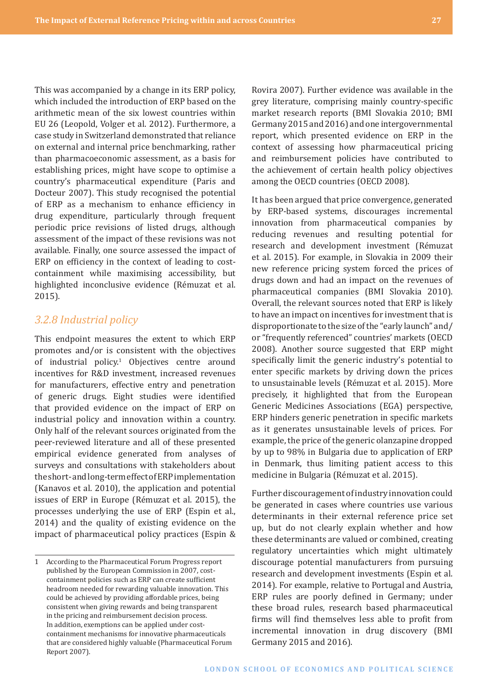<span id="page-26-0"></span>This was accompanied by a change in its ERP policy, which included the introduction of ERP based on the arithmetic mean of the six lowest countries within EU 26 (Leopold, Volger et al. 2012). Furthermore, a case study in Switzerland demonstrated that reliance on external and internal price benchmarking, rather than pharmacoeconomic assessment, as a basis for establishing prices, might have scope to optimise a country's pharmaceutical expenditure (Paris and Docteur 2007). This study recognised the potential of ERP as a mechanism to enhance efficiency in drug expenditure, particularly through frequent periodic price revisions of listed drugs, although assessment of the impact of these revisions was not available. Finally, one source assessed the impact of ERP on efficiency in the context of leading to costcontainment while maximising accessibility, but highlighted inconclusive evidence (Rémuzat et al. 2015).

## *3.2.8 Industrial policy*

This endpoint measures the extent to which ERP promotes and/or is consistent with the objectives of industrial policy.1 Objectives centre around incentives for R&D investment, increased revenues for manufacturers, effective entry and penetration of generic drugs. Eight studies were identified that provided evidence on the impact of ERP on industrial policy and innovation within a country. Only half of the relevant sources originated from the peer-reviewed literature and all of these presented empirical evidence generated from analyses of surveys and consultations with stakeholders about the short- and long-term effect of ERP implementation (Kanavos et al. 2010), the application and potential issues of ERP in Europe (Rémuzat et al. 2015), the processes underlying the use of ERP (Espin et al., 2014) and the quality of existing evidence on the impact of pharmaceutical policy practices (Espin &

Rovira 2007). Further evidence was available in the grey literature, comprising mainly country-specific market research reports (BMI Slovakia 2010; BMI Germany 2015 and 2016) and one intergovernmental report, which presented evidence on ERP in the context of assessing how pharmaceutical pricing and reimbursement policies have contributed to the achievement of certain health policy objectives among the OECD countries (OECD 2008).

It has been argued that price convergence, generated by ERP-based systems, discourages incremental innovation from pharmaceutical companies by reducing revenues and resulting potential for research and development investment (Rémuzat et al. 2015). For example, in Slovakia in 2009 their new reference pricing system forced the prices of drugs down and had an impact on the revenues of pharmaceutical companies (BMI Slovakia 2010). Overall, the relevant sources noted that ERP is likely to have an impact on incentives for investment that is disproportionate to the size of the "early launch" and/ or "frequently referenced" countries' markets (OECD 2008). Another source suggested that ERP might specifically limit the generic industry's potential to enter specific markets by driving down the prices to unsustainable levels (Rémuzat et al. 2015). More precisely, it highlighted that from the European Generic Medicines Associations (EGA) perspective, ERP hinders generic penetration in specific markets as it generates unsustainable levels of prices. For example, the price of the generic olanzapine dropped by up to 98% in Bulgaria due to application of ERP in Denmark, thus limiting patient access to this medicine in Bulgaria (Rémuzat et al. 2015).

Further discouragement of industry innovation could be generated in cases where countries use various determinants in their external reference price set up, but do not clearly explain whether and how these determinants are valued or combined, creating regulatory uncertainties which might ultimately discourage potential manufacturers from pursuing research and development investments (Espin et al. 2014). For example, relative to Portugal and Austria, ERP rules are poorly defined in Germany; under these broad rules, research based pharmaceutical firms will find themselves less able to profit from incremental innovation in drug discovery (BMI Germany 2015 and 2016).

<sup>1</sup> According to the Pharmaceutical Forum Progress report published by the European Commission in 2007, costcontainment policies such as ERP can create sufficient headroom needed for rewarding valuable innovation. This could be achieved by providing affordable prices, being consistent when giving rewards and being transparent in the pricing and reimbursement decision process. In addition, exemptions can be applied under costcontainment mechanisms for innovative pharmaceuticals that are considered highly valuable (Pharmaceutical Forum Report 2007).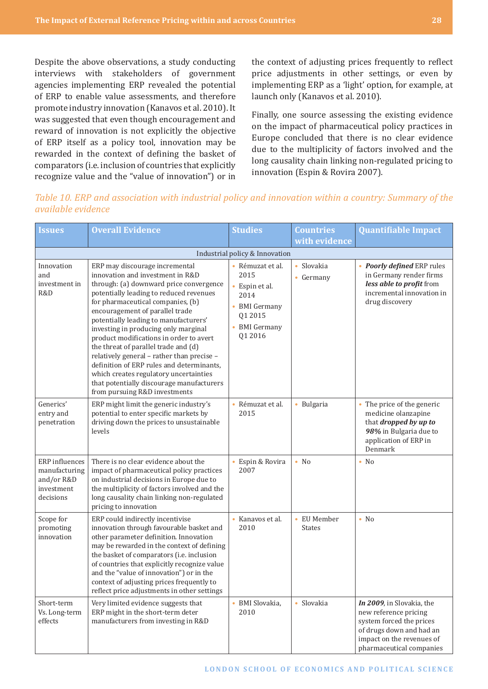Despite the above observations, a study conducting interviews with stakeholders of government agencies implementing ERP revealed the potential of ERP to enable value assessments, and therefore promote industry innovation (Kanavos et al. 2010). It was suggested that even though encouragement and reward of innovation is not explicitly the objective of ERP itself as a policy tool, innovation may be rewarded in the context of defining the basket of comparators (i.e. inclusion of countries that explicitly recognize value and the "value of innovation") or in the context of adjusting prices frequently to reflect price adjustments in other settings, or even by implementing ERP as a 'light' option, for example, at launch only (Kanavos et al. 2010).

Finally, one source assessing the existing evidence on the impact of pharmaceutical policy practices in Europe concluded that there is no clear evidence due to the multiplicity of factors involved and the long causality chain linking non-regulated pricing to innovation (Espin & Rovira 2007).

*Table 10. ERP and association with industrial policy and innovation within a country: Summary of the available evidence*

| <b>Issues</b>                                                            | <b>Overall Evidence</b>                                                                                                                                                                                                                                                                                                                                                                                                                                                                                                                                                                                                 | <b>Studies</b>                                                                                                                                               | <b>Countries</b>             | <b>Quantifiable Impact</b>                                                                                                                                          |
|--------------------------------------------------------------------------|-------------------------------------------------------------------------------------------------------------------------------------------------------------------------------------------------------------------------------------------------------------------------------------------------------------------------------------------------------------------------------------------------------------------------------------------------------------------------------------------------------------------------------------------------------------------------------------------------------------------------|--------------------------------------------------------------------------------------------------------------------------------------------------------------|------------------------------|---------------------------------------------------------------------------------------------------------------------------------------------------------------------|
|                                                                          |                                                                                                                                                                                                                                                                                                                                                                                                                                                                                                                                                                                                                         |                                                                                                                                                              | with evidence                |                                                                                                                                                                     |
| Innovation<br>and<br>investment in<br>R&D                                | ERP may discourage incremental<br>innovation and investment in R&D<br>through: (a) downward price convergence<br>potentially leading to reduced revenues<br>for pharmaceutical companies, (b)<br>encouragement of parallel trade<br>potentially leading to manufacturers'<br>investing in producing only marginal<br>product modifications in order to avert<br>the threat of parallel trade and (d)<br>relatively general - rather than precise -<br>definition of ERP rules and determinants,<br>which creates regulatory uncertainties<br>that potentially discourage manufacturers<br>from pursuing R&D investments | Industrial policy & Innovation<br>• Rémuzat et al.<br>2015<br>$\bullet$<br>Espin et al.<br>2014<br>• BMI Germany<br>Q1 2015<br><b>BMI</b> Germany<br>Q1 2016 | • Slovakia<br>• Germany      | • Poorly defined ERP rules<br>in Germany render firms<br>less able to profit from<br>incremental innovation in<br>drug discovery                                    |
| Generics'<br>entry and<br>penetration                                    | ERP might limit the generic industry's<br>potential to enter specific markets by<br>driving down the prices to unsustainable<br>levels                                                                                                                                                                                                                                                                                                                                                                                                                                                                                  | Rémuzat et al.<br>2015                                                                                                                                       | · Bulgaria                   | • The price of the generic<br>medicine olanzapine<br>that <i>dropped by up to</i><br>98% in Bulgaria due to<br>application of ERP in<br>Denmark                     |
| ERP influences<br>manufacturing<br>and/or R&D<br>investment<br>decisions | There is no clear evidence about the<br>impact of pharmaceutical policy practices<br>on industrial decisions in Europe due to<br>the multiplicity of factors involved and the<br>long causality chain linking non-regulated<br>pricing to innovation                                                                                                                                                                                                                                                                                                                                                                    | Espin & Rovira<br>2007                                                                                                                                       | $\bullet$ No                 | $\bullet$ No                                                                                                                                                        |
| Scope for<br>promoting<br>innovation                                     | ERP could indirectly incentivise<br>innovation through favourable basket and<br>other parameter definition. Innovation<br>may be rewarded in the context of defining<br>the basket of comparators (i.e. inclusion<br>of countries that explicitly recognize value<br>and the "value of innovation") or in the<br>context of adjusting prices frequently to<br>reflect price adjustments in other settings                                                                                                                                                                                                               | Kanavos et al.<br>2010                                                                                                                                       | • EU Member<br><b>States</b> | $\bullet$ No                                                                                                                                                        |
| Short-term<br>Vs. Long-term<br>effects                                   | Very limited evidence suggests that<br>ERP might in the short-term deter<br>manufacturers from investing in R&D                                                                                                                                                                                                                                                                                                                                                                                                                                                                                                         | <b>BMI</b> Slovakia,<br>2010                                                                                                                                 | · Slovakia                   | In 2009, in Slovakia, the<br>new reference pricing<br>system forced the prices<br>of drugs down and had an<br>impact on the revenues of<br>pharmaceutical companies |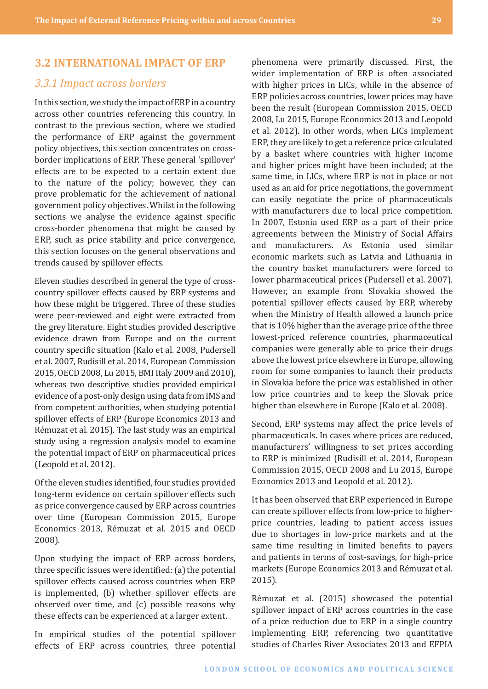#### <span id="page-28-0"></span>**3.2 INTERNATIONAL IMPACT OF ERP**

#### *3.3.1 Impact across borders*

In this section, we study the impact of ERP in a country across other countries referencing this country. In contrast to the previous section, where we studied the performance of ERP against the government policy objectives, this section concentrates on crossborder implications of ERP. These general 'spillover' effects are to be expected to a certain extent due to the nature of the policy; however, they can prove problematic for the achievement of national government policy objectives. Whilst in the following sections we analyse the evidence against specific cross-border phenomena that might be caused by ERP, such as price stability and price convergence, this section focuses on the general observations and trends caused by spillover effects.

Eleven studies described in general the type of crosscountry spillover effects caused by ERP systems and how these might be triggered. Three of these studies were peer-reviewed and eight were extracted from the grey literature. Eight studies provided descriptive evidence drawn from Europe and on the current country specific situation (Kalo et al. 2008, Pudersell et al. 2007, Rudisill et al. 2014, European Commission 2015, OECD 2008, Lu 2015, BMI Italy 2009 and 2010), whereas two descriptive studies provided empirical evidence of a post-only design using data from IMS and from competent authorities, when studying potential spillover effects of ERP (Europe Economics 2013 and Rémuzat et al. 2015). The last study was an empirical study using a regression analysis model to examine the potential impact of ERP on pharmaceutical prices (Leopold et al. 2012).

Ofthe eleven studies identified, four studies provided long-term evidence on certain spillover effects such as price convergence caused by ERP across countries over time (European Commission 2015, Europe Economics 2013, Rémuzat et al. 2015 and OECD 2008).

Upon studying the impact of ERP across borders, three specific issues were identified: (a) the potential spillover effects caused across countries when ERP is implemented, (b) whether spillover effects are observed over time, and (c) possible reasons why these effects can be experienced at a larger extent.

In empirical studies of the potential spillover effects of ERP across countries, three potential

phenomena were primarily discussed. First, the wider implementation of ERP is often associated with higher prices in LICs, while in the absence of ERP policies across countries, lower prices may have been the result (European Commission 2015, OECD 2008, Lu 2015, Europe Economics 2013 and Leopold et al. 2012). In other words, when LICs implement ERP, they are likely to get a reference price calculated by a basket where countries with higher income and higher prices might have been included; at the same time, in LICs, where ERP is not in place or not used as an aid for price negotiations, the government can easily negotiate the price of pharmaceuticals with manufacturers due to local price competition. In 2007, Estonia used ERP as a part of their price agreements between the Ministry of Social Affairs and manufacturers. As Estonia used similar economic markets such as Latvia and Lithuania in the country basket manufacturers were forced to lower pharmaceutical prices (Pudersell et al. 2007). However, an example from Slovakia showed the potential spillover effects caused by ERP, whereby when the Ministry of Health allowed a launch price that is 10% higher than the average price of the three lowest-priced reference countries, pharmaceutical companies were generally able to price their drugs above the lowest price elsewhere in Europe, allowing room for some companies to launch their products in Slovakia before the price was established in other low price countries and to keep the Slovak price higher than elsewhere in Europe (Kalo et al. 2008).

Second, ERP systems may affect the price levels of pharmaceuticals. In cases where prices are reduced, manufacturers' willingness to set prices according to ERP is minimized (Rudisill et al. 2014, European Commission 2015, OECD 2008 and Lu 2015, Europe Economics 2013 and Leopold et al. 2012).

It has been observed that ERP experienced in Europe can create spillover effects from low-price to higherprice countries, leading to patient access issues due to shortages in low-price markets and at the same time resulting in limited benefits to payers and patients in terms of cost-savings, for high-price markets (Europe Economics 2013 and Rémuzat et al. 2015).

Rémuzat et al. (2015) showcased the potential spillover impact of ERP across countries in the case of a price reduction due to ERP in a single country implementing ERP, referencing two quantitative studies of Charles River Associates 2013 and EFPIA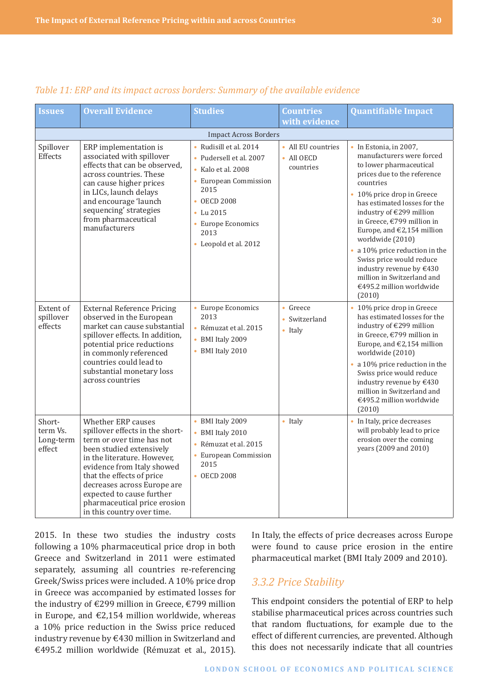| <b>Issues</b>                             | <b>Overall Evidence</b>                                                                                                                                                                                                                                                                                                            | <b>Studies</b>                                                                                                                                                                                        | <b>Countries</b>                                      | <b>Quantifiable Impact</b>                                                                                                                                                                                                                                                                                                                                                                                                                                           |
|-------------------------------------------|------------------------------------------------------------------------------------------------------------------------------------------------------------------------------------------------------------------------------------------------------------------------------------------------------------------------------------|-------------------------------------------------------------------------------------------------------------------------------------------------------------------------------------------------------|-------------------------------------------------------|----------------------------------------------------------------------------------------------------------------------------------------------------------------------------------------------------------------------------------------------------------------------------------------------------------------------------------------------------------------------------------------------------------------------------------------------------------------------|
|                                           |                                                                                                                                                                                                                                                                                                                                    |                                                                                                                                                                                                       | with evidence                                         |                                                                                                                                                                                                                                                                                                                                                                                                                                                                      |
|                                           |                                                                                                                                                                                                                                                                                                                                    | <b>Impact Across Borders</b>                                                                                                                                                                          |                                                       |                                                                                                                                                                                                                                                                                                                                                                                                                                                                      |
| Spillover<br>Effects                      | ERP implementation is<br>associated with spillover<br>effects that can be observed,<br>across countries. These<br>can cause higher prices<br>in LICs, launch delays<br>and encourage 'launch<br>sequencing' strategies<br>from pharmaceutical<br>manufacturers                                                                     | • Rudisill et al. 2014<br>• Pudersell et al. 2007<br>$\bullet$ Kalo et al. 2008<br>• European Commission<br>2015<br>• OECD 2008<br>• Lu $2015$<br>• Europe Economics<br>2013<br>• Leopold et al. 2012 | • All EU countries<br>$\bullet$ All OECD<br>countries | • In Estonia, in 2007,<br>manufacturers were forced<br>to lower pharmaceutical<br>prices due to the reference<br>countries<br>• 10% price drop in Greece<br>has estimated losses for the<br>industry of €299 million<br>in Greece, €799 million in<br>Europe, and $E2,154$ million<br>worldwide (2010)<br>• a 10% price reduction in the<br>Swiss price would reduce<br>industry revenue by €430<br>million in Switzerland and<br>€495.2 million worldwide<br>(2010) |
| Extent of<br>spillover<br>effects         | <b>External Reference Pricing</b><br>observed in the European<br>market can cause substantial<br>spillover effects. In addition,<br>potential price reductions<br>in commonly referenced<br>countries could lead to<br>substantial monetary loss<br>across countries                                                               | • Europe Economics<br>2013<br>· Rémuzat et al. 2015<br>• BMI Italy 2009<br>• BMI Italy 2010                                                                                                           | • Greece<br>• Switzerland<br>• Italy                  | • 10% price drop in Greece<br>has estimated losses for the<br>industry of €299 million<br>in Greece, €799 million in<br>Europe, and €2,154 million<br>worldwide (2010)<br>• a 10% price reduction in the<br>Swiss price would reduce<br>industry revenue by €430<br>million in Switzerland and<br>€495.2 million worldwide<br>(2010)                                                                                                                                 |
| Short-<br>term Vs.<br>Long-term<br>effect | Whether ERP causes<br>spillover effects in the short-<br>term or over time has not<br>been studied extensively<br>in the literature. However,<br>evidence from Italy showed<br>that the effects of price<br>decreases across Europe are<br>expected to cause further<br>pharmaceutical price erosion<br>in this country over time. | • BMI Italy 2009<br>• BMI Italy 2010<br>• Rémuzat et al. 2015<br>• European Commission<br>2015<br>• OECD 2008                                                                                         | • Italy                                               | • In Italy, price decreases<br>will probably lead to price<br>erosion over the coming<br>years (2009 and 2010)                                                                                                                                                                                                                                                                                                                                                       |

#### <span id="page-29-0"></span>*Table 11: ERP and its impact across borders: Summary of the available evidence*

2015. In these two studies the industry costs following a 10% pharmaceutical price drop in both Greece and Switzerland in 2011 were estimated separately, assuming all countries re-referencing Greek/Swiss prices were included. A 10% price drop in Greece was accompanied by estimated losses for the industry of €299 million in Greece, €799 million in Europe, and €2,154 million worldwide, whereas a 10% price reduction in the Swiss price reduced industry revenue by €430 million in Switzerland and €495.2 million worldwide (Rémuzat et al., 2015).

In Italy, the effects of price decreases across Europe were found to cause price erosion in the entire pharmaceutical market (BMI Italy 2009 and 2010).

## *3.3.2 Price Stability*

This endpoint considers the potential of ERP to help stabilise pharmaceutical prices across countries such that random fluctuations, for example due to the effect of different currencies, are prevented. Although this does not necessarily indicate that all countries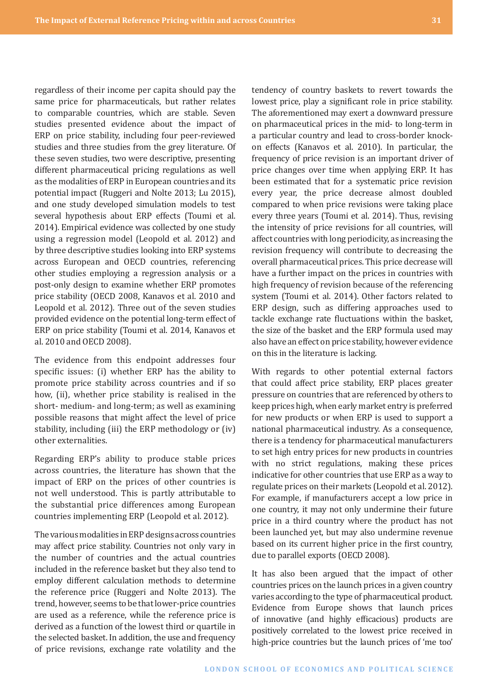regardless of their income per capita should pay the same price for pharmaceuticals, but rather relates to comparable countries, which are stable. Seven studies presented evidence about the impact of ERP on price stability, including four peer-reviewed studies and three studies from the grey literature. Of these seven studies, two were descriptive, presenting different pharmaceutical pricing regulations as well as the modalities of ERP in European countries and its potential impact (Ruggeri and Nolte 2013; Lu 2015), and one study developed simulation models to test several hypothesis about ERP effects (Toumi et al. 2014). Empirical evidence was collected by one study using a regression model (Leopold et al. 2012) and by three descriptive studies looking into ERP systems across European and OECD countries, referencing other studies employing a regression analysis or a post-only design to examine whether ERP promotes price stability (OECD 2008, Kanavos et al. 2010 and Leopold et al. 2012). Three out of the seven studies provided evidence on the potential long-term effect of ERP on price stability (Toumi et al. 2014, Kanavos et al. 2010 and OECD 2008).

The evidence from this endpoint addresses four specific issues: (i) whether ERP has the ability to promote price stability across countries and if so how, (ii), whether price stability is realised in the short- medium- and long-term; as well as examining possible reasons that might affect the level of price stability, including (iii) the ERP methodology or (iv) other externalities.

Regarding ERP's ability to produce stable prices across countries, the literature has shown that the impact of ERP on the prices of other countries is not well understood. This is partly attributable to the substantial price differences among European countries implementing ERP (Leopold et al. 2012).

The various modalities in ERP designs across countries may affect price stability. Countries not only vary in the number of countries and the actual countries included in the reference basket but they also tend to employ different calculation methods to determine the reference price (Ruggeri and Nolte 2013). The trend, however, seems to be that lower-price countries are used as a reference, while the reference price is derived as a function of the lowest third or quartile in the selected basket. In addition, the use and frequency of price revisions, exchange rate volatility and the

tendency of country baskets to revert towards the lowest price, play a significant role in price stability. The aforementioned may exert a downward pressure on pharmaceutical prices in the mid- to long-term in a particular country and lead to cross-border knockon effects (Kanavos et al. 2010). In particular, the frequency of price revision is an important driver of price changes over time when applying ERP. It has been estimated that for a systematic price revision every year, the price decrease almost doubled compared to when price revisions were taking place every three years (Toumi et al. 2014). Thus, revising the intensity of price revisions for all countries, will affect countries with long periodicity, as increasing the revision frequency will contribute to decreasing the overall pharmaceutical prices. This price decrease will have a further impact on the prices in countries with high frequency of revision because of the referencing system (Toumi et al. 2014). Other factors related to ERP design, such as differing approaches used to tackle exchange rate fluctuations within the basket, the size of the basket and the ERP formula used may also have an effect on price stability, however evidence on this in the literature is lacking.

With regards to other potential external factors that could affect price stability, ERP places greater pressure on countries that are referenced by others to keep prices high, when early market entry is preferred for new products or when ERP is used to support a national pharmaceutical industry. As a consequence, there is a tendency for pharmaceutical manufacturers to set high entry prices for new products in countries with no strict regulations, making these prices indicative for other countries that use ERP as a way to regulate prices on their markets (Leopold et al. 2012). For example, if manufacturers accept a low price in one country, it may not only undermine their future price in a third country where the product has not been launched yet, but may also undermine revenue based on its current higher price in the first country, due to parallel exports (OECD 2008).

It has also been argued that the impact of other countries prices on the launch prices in a given country varies according to the type of pharmaceutical product. Evidence from Europe shows that launch prices of innovative (and highly efficacious) products are positively correlated to the lowest price received in high-price countries but the launch prices of 'me too'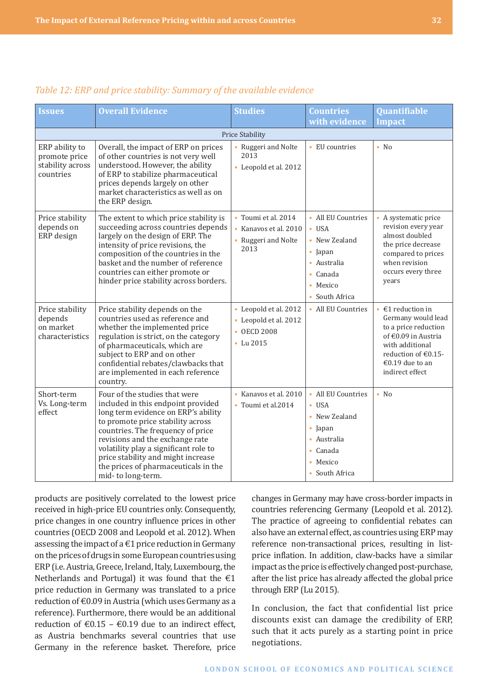| <b>Issues</b>                                                    | <b>Overall Evidence</b>                                                                                                                                                                                                                                                                                                                                             | <b>Studies</b>                                                              | <b>Countries</b>                                                                                                                                     | Quantifiable                                                                                                                                                                                       |
|------------------------------------------------------------------|---------------------------------------------------------------------------------------------------------------------------------------------------------------------------------------------------------------------------------------------------------------------------------------------------------------------------------------------------------------------|-----------------------------------------------------------------------------|------------------------------------------------------------------------------------------------------------------------------------------------------|----------------------------------------------------------------------------------------------------------------------------------------------------------------------------------------------------|
|                                                                  |                                                                                                                                                                                                                                                                                                                                                                     |                                                                             | with evidence                                                                                                                                        | <b>Impact</b>                                                                                                                                                                                      |
|                                                                  |                                                                                                                                                                                                                                                                                                                                                                     | Price Stability                                                             |                                                                                                                                                      |                                                                                                                                                                                                    |
| ERP ability to<br>promote price<br>stability across<br>countries | Overall, the impact of ERP on prices<br>of other countries is not very well<br>understood. However, the ability<br>of ERP to stabilize pharmaceutical<br>prices depends largely on other<br>market characteristics as well as on<br>the ERP design.                                                                                                                 | Ruggeri and Nolte<br>2013<br>• Leopold et al. 2012                          | • EU countries                                                                                                                                       | $\bullet$ No                                                                                                                                                                                       |
| Price stability<br>depends on<br>ERP design                      | The extent to which price stability is<br>succeeding across countries depends<br>largely on the design of ERP. The<br>intensity of price revisions, the<br>composition of the countries in the<br>basket and the number of reference<br>countries can either promote or<br>hinder price stability across borders.                                                   | • Toumi et al. 2014<br>• Kanavos et al. 2010<br>• Ruggeri and Nolte<br>2013 | • All EU Countries<br>$\bullet$ USA<br>• New Zealand<br>$\bullet$ Japan<br>• Australia<br>Canada<br>$\bullet$<br>Mexico<br>$\bullet$<br>South Africa | • A systematic price<br>revision every year<br>almost doubled<br>the price decrease<br>compared to prices<br>when revision<br>occurs every three<br>years                                          |
| Price stability<br>depends<br>on market<br>characteristics       | Price stability depends on the<br>countries used as reference and<br>whether the implemented price<br>regulation is strict, on the category<br>of pharmaceuticals, which are<br>subject to ERP and on other<br>confidential rebates/clawbacks that<br>are implemented in each reference<br>country.                                                                 | • Leopold et al. 2012<br>• Leopold et al. 2012<br>• OECD 2008<br>• Lu 2015  | • All EU Countries                                                                                                                                   | $\cdot$ €1 reduction in<br>Germany would lead<br>to a price reduction<br>of €0.09 in Austria<br>with additional<br>reduction of $\text{\textsterling}0.15$ -<br>€0.19 due to an<br>indirect effect |
| Short-term<br>Vs. Long-term<br>effect                            | Four of the studies that were<br>included in this endpoint provided<br>long term evidence on ERP's ability<br>to promote price stability across<br>countries. The frequency of price<br>revisions and the exchange rate<br>volatility play a significant role to<br>price stability and might increase<br>the prices of pharmaceuticals in the<br>mid-to long-term. | · Kanavos et al. 2010<br>• Toumi et al.2014                                 | • All EU Countries<br>$\bullet$ USA<br>• New Zealand<br>• Japan<br>· Australia<br>Canada<br>$\bullet$<br>Mexico<br>$\bullet$<br>• South Africa       | $\bullet$ No                                                                                                                                                                                       |

#### *Table 12: ERP and price stability: Summary of the available evidence*

products are positively correlated to the lowest price received in high-price EU countries only. Consequently, price changes in one country influence prices in other countries (OECD 2008 and Leopold et al. 2012). When assessing the impact of a  $\epsilon$ 1 price reduction in Germany on the prices of drugs in some European countries using ERP (i.e. Austria, Greece, Ireland, Italy, Luxembourg, the Netherlands and Portugal) it was found that the  $\epsilon$ 1 price reduction in Germany was translated to a price reduction of €0.09 in Austria (which uses Germany as a reference). Furthermore, there would be an additional reduction of  $\epsilon$ 0.15 –  $\epsilon$ 0.19 due to an indirect effect, as Austria benchmarks several countries that use Germany in the reference basket. Therefore, price

changes in Germany may have cross-border impacts in countries referencing Germany (Leopold et al. 2012). The practice of agreeing to confidential rebates can also have an external effect, as countries using ERP may reference non-transactional prices, resulting in listprice inflation. In addition, claw-backs have a similar impact as the price is effectively changed post-purchase, after the list price has already affected the global price through ERP (Lu 2015).

In conclusion, the fact that confidential list price discounts exist can damage the credibility of ERP, such that it acts purely as a starting point in price negotiations.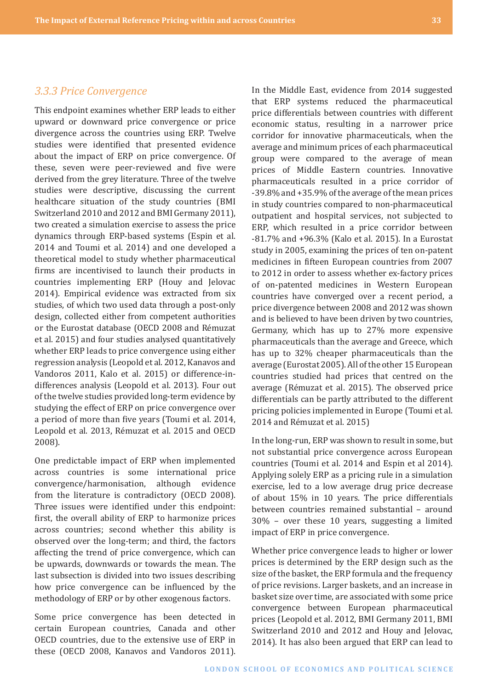#### <span id="page-32-0"></span>*3.3.3 Price Convergence*

This endpoint examines whether ERP leads to either upward or downward price convergence or price divergence across the countries using ERP. Twelve studies were identified that presented evidence about the impact of ERP on price convergence. Of these, seven were peer-reviewed and five were derived from the grey literature. Three of the twelve studies were descriptive, discussing the current healthcare situation of the study countries (BMI Switzerland 2010 and 2012 and BMI Germany 2011), two created a simulation exercise to assess the price dynamics through ERP-based systems (Espin et al. 2014 and Toumi et al. 2014) and one developed a theoretical model to study whether pharmaceutical firms are incentivised to launch their products in countries implementing ERP (Houy and Jelovac 2014). Empirical evidence was extracted from six studies, of which two used data through a post-only design, collected either from competent authorities or the Eurostat database (OECD 2008 and Rémuzat et al. 2015) and four studies analysed quantitatively whether ERP leads to price convergence using either regression analysis (Leopold et al. 2012, Kanavos and Vandoros 2011, Kalo et al. 2015) or difference-indifferences analysis (Leopold et al. 2013). Four out of the twelve studies provided long-term evidence by studying the effect of ERP on price convergence over a period of more than five years (Toumi et al. 2014, Leopold et al. 2013, Rémuzat et al. 2015 and OECD 2008).

One predictable impact of ERP when implemented across countries is some international price convergence/harmonisation, although evidence from the literature is contradictory (OECD 2008). Three issues were identified under this endpoint: first, the overall ability of ERP to harmonize prices across countries; second whether this ability is observed over the long-term; and third, the factors affecting the trend of price convergence, which can be upwards, downwards or towards the mean. The last subsection is divided into two issues describing how price convergence can be influenced by the methodology of ERP or by other exogenous factors.

Some price convergence has been detected in certain European countries, Canada and other OECD countries, due to the extensive use of ERP in these (OECD 2008, Kanavos and Vandoros 2011).

In the Middle East, evidence from 2014 suggested that ERP systems reduced the pharmaceutical price differentials between countries with different economic status, resulting in a narrower price corridor for innovative pharmaceuticals, when the average and minimum prices of each pharmaceutical group were compared to the average of mean prices of Middle Eastern countries. Innovative pharmaceuticals resulted in a price corridor of -39.8% and +35.9% of the average of the mean prices in study countries compared to non-pharmaceutical outpatient and hospital services, not subjected to ERP, which resulted in a price corridor between -81.7% and +96.3% (Kalo et al. 2015). In a Eurostat study in 2005, examining the prices of ten on-patent medicines in fifteen European countries from 2007 to 2012 in order to assess whether ex-factory prices of on-patented medicines in Western European countries have converged over a recent period, a price divergence between 2008 and 2012 was shown and is believed to have been driven by two countries, Germany, which has up to 27% more expensive pharmaceuticals than the average and Greece, which has up to 32% cheaper pharmaceuticals than the average (Eurostat 2005). All of the other 15 European countries studied had prices that centred on the average (Rémuzat et al. 2015). The observed price differentials can be partly attributed to the different pricing policies implemented in Europe (Toumi et al. 2014 and Rémuzat et al. 2015)

In the long-run, ERP was shown to result in some, but not substantial price convergence across European countries (Toumi et al. 2014 and Espin et al 2014). Applying solely ERP as a pricing rule in a simulation exercise, led to a low average drug price decrease of about 15% in 10 years. The price differentials between countries remained substantial – around 30% – over these 10 years, suggesting a limited impact of ERP in price convergence.

Whether price convergence leads to higher or lower prices is determined by the ERP design such as the size of the basket, the ERP formula and the frequency of price revisions. Larger baskets, and an increase in basket size over time, are associated with some price convergence between European pharmaceutical prices (Leopold et al. 2012, BMI Germany 2011, BMI Switzerland 2010 and 2012 and Houy and Jelovac, 2014). It has also been argued that ERP can lead to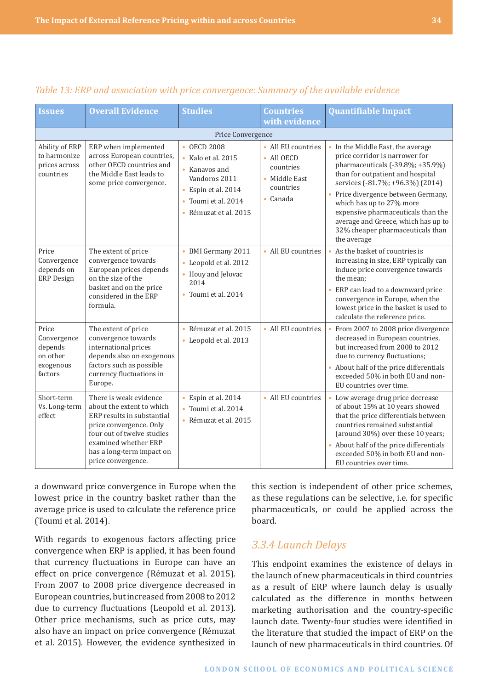| <b>Issues</b>                                                       | <b>Overall Evidence</b>                                                                                                                                                                                               | <b>Studies</b>                                                                                                                              | <b>Countries</b>                                                                                | <b>Quantifiable Impact</b>                                                                                                                                                                                                                                                                                                                                                         |
|---------------------------------------------------------------------|-----------------------------------------------------------------------------------------------------------------------------------------------------------------------------------------------------------------------|---------------------------------------------------------------------------------------------------------------------------------------------|-------------------------------------------------------------------------------------------------|------------------------------------------------------------------------------------------------------------------------------------------------------------------------------------------------------------------------------------------------------------------------------------------------------------------------------------------------------------------------------------|
|                                                                     |                                                                                                                                                                                                                       |                                                                                                                                             | with evidence                                                                                   |                                                                                                                                                                                                                                                                                                                                                                                    |
|                                                                     |                                                                                                                                                                                                                       | Price Convergence                                                                                                                           |                                                                                                 |                                                                                                                                                                                                                                                                                                                                                                                    |
| Ability of ERP<br>to harmonize<br>prices across<br>countries        | ERP when implemented<br>across European countries,<br>other OECD countries and<br>the Middle East leads to<br>some price convergence.                                                                                 | • OECD 2008<br>Kalo et al. 2015<br>• Kanavos and<br>Vandoros 2011<br>• Espin et al. 2014<br>Toumi et al. 2014<br>ò<br>· Rémuzat et al. 2015 | • All EU countries<br>$\bullet$ All OECD<br>countries<br>• Middle East<br>countries<br>• Canada | • In the Middle East, the average<br>price corridor is narrower for<br>pharmaceuticals (-39.8%; +35.9%)<br>than for outpatient and hospital<br>services (-81.7%; +96.3%) (2014)<br>• Price divergence between Germany,<br>which has up to 27% more<br>expensive pharmaceuticals than the<br>average and Greece, which has up to<br>32% cheaper pharmaceuticals than<br>the average |
| Price<br>Convergence<br>depends on<br><b>ERP</b> Design             | The extent of price<br>convergence towards<br>European prices depends<br>on the size of the<br>basket and on the price<br>considered in the ERP<br>formula.                                                           | • BMI Germany 2011<br>• Leopold et al. 2012<br>• Houy and Jelovac<br>2014<br>Toumi et al. 2014                                              | • All EU countries                                                                              | As the basket of countries is<br>increasing in size, ERP typically can<br>induce price convergence towards<br>the mean;<br>ERP can lead to a downward price<br>convergence in Europe, when the<br>lowest price in the basket is used to<br>calculate the reference price.                                                                                                          |
| Price<br>Convergence<br>depends<br>on other<br>exogenous<br>factors | The extent of price<br>convergence towards<br>international prices<br>depends also on exogenous<br>factors such as possible<br>currency fluctuations in<br>Europe.                                                    | • Rémuzat et al. 2015<br>• Leopold et al. 2013                                                                                              | • All EU countries                                                                              | From 2007 to 2008 price divergence<br>decreased in European countries,<br>but increased from 2008 to 2012<br>due to currency fluctuations;<br>About half of the price differentials<br>exceeded 50% in both EU and non-<br>EU countries over time.                                                                                                                                 |
| Short-term<br>Vs. Long-term<br>effect                               | There is weak evidence<br>about the extent to which<br>ERP results in substantial<br>price convergence. Only<br>four out of twelve studies<br>examined whether ERP<br>has a long-term impact on<br>price convergence. | · Espin et al. 2014<br>• Toumi et al. 2014<br>• Rémuzat et al. 2015                                                                         | • All EU countries                                                                              | • Low average drug price decrease<br>of about 15% at 10 years showed<br>that the price differentials between<br>countries remained substantial<br>(around 30%) over these 10 years;<br>• About half of the price differentials<br>exceeded 50% in both EU and non-<br>EU countries over time.                                                                                      |

## <span id="page-33-0"></span>*Table 13: ERP and association with price convergence: Summary of the available evidence*

a downward price convergence in Europe when the lowest price in the country basket rather than the average price is used to calculate the reference price (Toumi et al. 2014).

With regards to exogenous factors affecting price convergence when ERP is applied, it has been found that currency fluctuations in Europe can have an effect on price convergence (Rémuzat et al. 2015). From 2007 to 2008 price divergence decreased in European countries, but increased from 2008 to 2012 due to currency fluctuations (Leopold et al. 2013). Other price mechanisms, such as price cuts, may also have an impact on price convergence (Rémuzat et al. 2015). However, the evidence synthesized in

this section is independent of other price schemes, as these regulations can be selective, i.e. for specific pharmaceuticals, or could be applied across the board.

## *3.3.4 Launch Delays*

This endpoint examines the existence of delays in the launch of new pharmaceuticals in third countries as a result of ERP where launch delay is usually calculated as the difference in months between marketing authorisation and the country-specific launch date. Twenty-four studies were identified in the literature that studied the impact of ERP on the launch of new pharmaceuticals in third countries. Of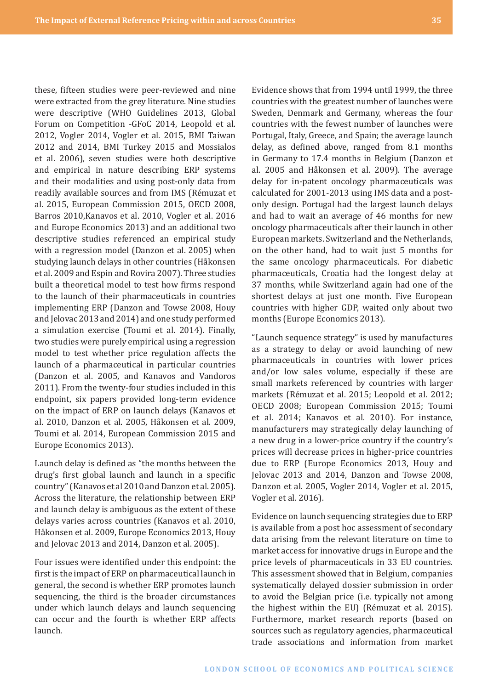these, fifteen studies were peer-reviewed and nine were extracted from the grey literature. Nine studies were descriptive (WHO Guidelines 2013, Global Forum on Competition -GFoC 2014, Leopold et al. 2012, Vogler 2014, Vogler et al. 2015, BMI Taiwan 2012 and 2014, BMI Turkey 2015 and Mossialos et al. 2006), seven studies were both descriptive and empirical in nature describing ERP systems and their modalities and using post-only data from readily available sources and from IMS (Rémuzat et al. 2015, European Commission 2015, OECD 2008, Barros 2010,Kanavos et al. 2010, Vogler et al. 2016 and Europe Economics 2013) and an additional two descriptive studies referenced an empirical study with a regression model (Danzon et al. 2005) when studying launch delays in other countries (Håkonsen et al. 2009 and Espin and Rovira 2007). Three studies built a theoretical model to test how firms respond to the launch of their pharmaceuticals in countries implementing ERP (Danzon and Towse 2008, Houy and Jelovac 2013 and 2014) and one study performed a simulation exercise (Toumi et al. 2014). Finally, two studies were purely empirical using a regression model to test whether price regulation affects the launch of a pharmaceutical in particular countries (Danzon et al. 2005, and Kanavos and Vandoros 2011). From the twenty-four studies included in this endpoint, six papers provided long-term evidence on the impact of ERP on launch delays (Kanavos et al. 2010, Danzon et al. 2005, Håkonsen et al. 2009, Toumi et al. 2014, European Commission 2015 and Europe Economics 2013).

Launch delay is defined as "the months between the drug's first global launch and launch in a specific country" (Kanavos et al 2010 and Danzon et al. 2005). Across the literature, the relationship between ERP and launch delay is ambiguous as the extent of these delays varies across countries (Kanavos et al. 2010, Håkonsen et al. 2009, Europe Economics 2013, Houy and Jelovac 2013 and 2014, Danzon et al. 2005).

Four issues were identified under this endpoint: the firstis the impact of ERP on pharmaceutical launch in general, the second is whether ERP promotes launch sequencing, the third is the broader circumstances under which launch delays and launch sequencing can occur and the fourth is whether ERP affects launch.

Evidence shows that from 1994 until 1999, the three countries with the greatest number of launches were Sweden, Denmark and Germany, whereas the four countries with the fewest number of launches were Portugal, Italy, Greece, and Spain; the average launch delay, as defined above, ranged from 8.1 months in Germany to 17.4 months in Belgium (Danzon et al. 2005 and Håkonsen et al. 2009). The average delay for in-patent oncology pharmaceuticals was calculated for 2001-2013 using IMS data and a postonly design. Portugal had the largest launch delays and had to wait an average of 46 months for new oncology pharmaceuticals after their launch in other European markets. Switzerland and the Netherlands, on the other hand, had to wait just 5 months for the same oncology pharmaceuticals. For diabetic pharmaceuticals, Croatia had the longest delay at 37 months, while Switzerland again had one of the shortest delays at just one month. Five European countries with higher GDP, waited only about two months (Europe Economics 2013).

"Launch sequence strategy" is used by manufactures as a strategy to delay or avoid launching of new pharmaceuticals in countries with lower prices and/or low sales volume, especially if these are small markets referenced by countries with larger markets (Rémuzat et al. 2015; Leopold et al. 2012; OECD 2008; European Commission 2015; Toumi et al. 2014; Kanavos et al. 2010). For instance, manufacturers may strategically delay launching of a new drug in a lower-price country if the country's prices will decrease prices in higher-price countries due to ERP (Europe Economics 2013, Houy and Jelovac 2013 and 2014, Danzon and Towse 2008, Danzon et al. 2005, Vogler 2014, Vogler et al. 2015, Vogler et al. 2016).

Evidence on launch sequencing strategies due to ERP is available from a post hoc assessment of secondary data arising from the relevant literature on time to market access for innovative drugs in Europe and the price levels of pharmaceuticals in 33 EU countries. This assessment showed that in Belgium, companies systematically delayed dossier submission in order to avoid the Belgian price (i.e. typically not among the highest within the EU) (Rémuzat et al. 2015). Furthermore, market research reports (based on sources such as regulatory agencies, pharmaceutical trade associations and information from market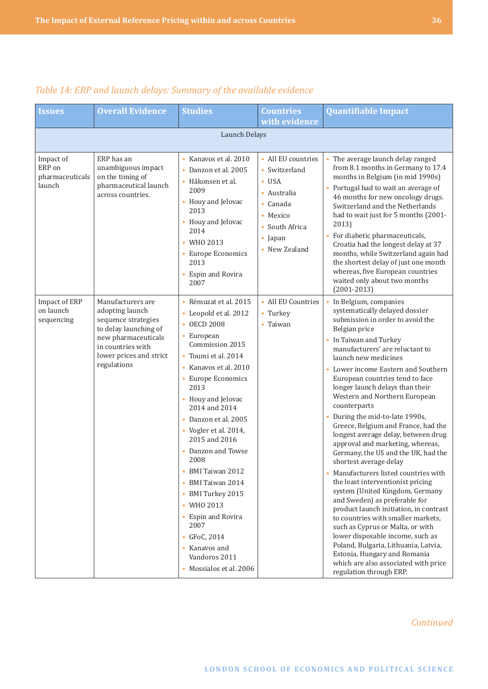| <b>Issues</b>                                    | <b>Overall Evidence</b>                                                                                                                                                    | <b>Studies</b>                                                                                                                                                                                                                                                                                                                                                                                                                                                                                                                              | <b>Countries</b><br>with evidence                                                                                                                                 | <b>Quantifiable Impact</b>                                                                                                                                                                                                                                                                                                                                                                                                                                                                                                                                                                                                                                                                                                                                                                                                                                                                                                                                                                                                                 |  |  |  |  |  |
|--------------------------------------------------|----------------------------------------------------------------------------------------------------------------------------------------------------------------------------|---------------------------------------------------------------------------------------------------------------------------------------------------------------------------------------------------------------------------------------------------------------------------------------------------------------------------------------------------------------------------------------------------------------------------------------------------------------------------------------------------------------------------------------------|-------------------------------------------------------------------------------------------------------------------------------------------------------------------|--------------------------------------------------------------------------------------------------------------------------------------------------------------------------------------------------------------------------------------------------------------------------------------------------------------------------------------------------------------------------------------------------------------------------------------------------------------------------------------------------------------------------------------------------------------------------------------------------------------------------------------------------------------------------------------------------------------------------------------------------------------------------------------------------------------------------------------------------------------------------------------------------------------------------------------------------------------------------------------------------------------------------------------------|--|--|--|--|--|
|                                                  | Launch Delays                                                                                                                                                              |                                                                                                                                                                                                                                                                                                                                                                                                                                                                                                                                             |                                                                                                                                                                   |                                                                                                                                                                                                                                                                                                                                                                                                                                                                                                                                                                                                                                                                                                                                                                                                                                                                                                                                                                                                                                            |  |  |  |  |  |
| Impact of<br>ERP on<br>pharmaceuticals<br>launch | ERP has an<br>unambiguous impact<br>on the timing of<br>pharmaceutical launch<br>across countries.                                                                         | • Kanavos et al. 2010<br>• Danzon et al. 2005<br>· Håkonsen et al.<br>2009<br>• Houy and Jelovac<br>2013<br>• Houy and Jelovac<br>2014<br>• WHO 2013<br>• Europe Economics<br>2013<br>• Espin and Rovira<br>2007                                                                                                                                                                                                                                                                                                                            | • All EU countries<br>• Switzerland<br>$\bullet$ USA<br>• Australia<br>$\bullet$ Canada<br>$\bullet$ Mexico<br>• South Africa<br>$\bullet$ Japan<br>• New Zealand | • The average launch delay ranged<br>from 8.1 months in Germany to 17.4<br>months in Belgium (in mid 1990s)<br>• Portugal had to wait an average of<br>46 months for new oncology drugs.<br>Switzerland and the Netherlands<br>had to wait just for 5 months (2001-<br>2013)<br>• For diabetic pharmaceuticals,<br>Croatia had the longest delay at 37<br>months, while Switzerland again had<br>the shortest delay of just one month<br>whereas, five European countries<br>waited only about two months<br>$(2001 - 2013)$                                                                                                                                                                                                                                                                                                                                                                                                                                                                                                               |  |  |  |  |  |
| Impact of ERP<br>on launch<br>sequencing         | Manufacturers are<br>adopting launch<br>sequence strategies<br>to delay launching of<br>new pharmaceuticals<br>in countries with<br>lower prices and strict<br>regulations | Rémuzat et al. 2015<br>$\bullet$<br>• Leopold et al. 2012<br>• OECD 2008<br>• European<br>Commission 2015<br>Toumi et al. 2014<br>• Kanavos et al. 2010<br>• Europe Economics<br>2013<br>• Houy and Jelovac<br>2014 and 2014<br>Danzon et al. 2005<br>• Vogler et al. 2014,<br>2015 and 2016<br>• Danzon and Towse<br>2008<br>BMI Taiwan 2012<br>٠<br>BMI Taiwan 2014<br>$\bullet$<br>BMI Turkey 2015<br>$\bullet$<br>• WHO 2013<br>• Espin and Rovira<br>2007<br>• GFoC, 2014<br>• Kanavos and<br>Vandoros 2011<br>• Mossialos et al. 2006 | • All EU Countries<br>• Turkey<br>• Taiwan                                                                                                                        | • In Belgium, companies<br>systematically delayed dossier<br>submission in order to avoid the<br>Belgian price<br>• In Taiwan and Turkey<br>manufacturers' are reluctant to<br>launch new medicines<br>• Lower income Eastern and Southern<br>European countries tend to face<br>longer launch delays than their<br>Western and Northern European<br>counterparts<br>• During the mid-to-late 1990s,<br>Greece, Belgium and France, had the<br>longest average delay, between drug<br>approval and marketing, whereas,<br>Germany, the US and the UK, had the<br>shortest average delay<br>Manufacturers listed countries with<br>the least interventionist pricing<br>system (United Kingdom, Germany<br>and Sweden) as preferable for<br>product launch initiation, in contrast<br>to countries with smaller markets,<br>such as Cyprus or Malta, or with<br>lower disposable income, such as<br>Poland, Bulgaria, Lithuania, Latvia,<br>Estonia, Hungary and Romania<br>which are also associated with price<br>regulation through ERP. |  |  |  |  |  |

## *Table 14: ERP and launch delays: Summary of the available evidence*

*Continued*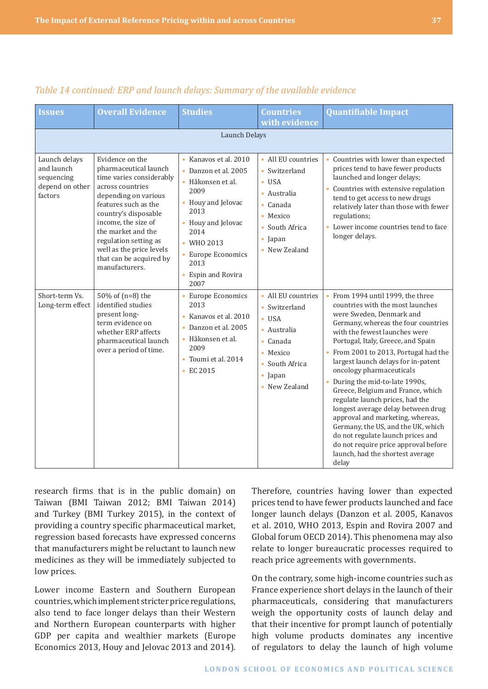| <b>Issues</b>                                                           | <b>Overall Evidence</b>                                                                                                                                                                                                                                                                                         | <b>Studies</b>                                                                                                                                                                                                      | <b>Countries</b><br>with evidence                                                                                                                                 | <b>Quantifiable Impact</b>                                                                                                                                                                                                                                                                                                                                                                                                                                                                                                                                                                                                                                                     |  |  |  |  |  |
|-------------------------------------------------------------------------|-----------------------------------------------------------------------------------------------------------------------------------------------------------------------------------------------------------------------------------------------------------------------------------------------------------------|---------------------------------------------------------------------------------------------------------------------------------------------------------------------------------------------------------------------|-------------------------------------------------------------------------------------------------------------------------------------------------------------------|--------------------------------------------------------------------------------------------------------------------------------------------------------------------------------------------------------------------------------------------------------------------------------------------------------------------------------------------------------------------------------------------------------------------------------------------------------------------------------------------------------------------------------------------------------------------------------------------------------------------------------------------------------------------------------|--|--|--|--|--|
|                                                                         | Launch Delays                                                                                                                                                                                                                                                                                                   |                                                                                                                                                                                                                     |                                                                                                                                                                   |                                                                                                                                                                                                                                                                                                                                                                                                                                                                                                                                                                                                                                                                                |  |  |  |  |  |
| Launch delays<br>and launch<br>sequencing<br>depend on other<br>factors | Evidence on the<br>pharmaceutical launch<br>time varies considerably<br>across countries<br>depending on various<br>features such as the<br>country's disposable<br>income, the size of<br>the market and the<br>regulation setting as<br>well as the price levels<br>that can be acquired by<br>manufacturers. | • Kanavos et al. 2010<br>• Danzon et al. 2005<br>Håkonsen et al.<br>2009<br>• Houy and Jelovac<br>2013<br>• Houy and Jelovac<br>2014<br>• WHO 2013<br>• Europe Economics<br>2013<br><b>Espin and Rovira</b><br>2007 | • All EU countries<br>• Switzerland<br>$\bullet$ USA<br>· Australia<br>$\bullet$ Canada<br>• Mexico<br>South Africa<br>$\bullet$ Japan<br>• New Zealand           | • Countries with lower than expected<br>prices tend to have fewer products<br>launched and longer delays;<br>• Countries with extensive regulation<br>tend to get access to new drugs<br>relatively later than those with fewer<br>regulations;<br>• Lower income countries tend to face<br>longer delays.                                                                                                                                                                                                                                                                                                                                                                     |  |  |  |  |  |
| Short-term Vs.<br>Long-term effect                                      | 50% of (n=8) the<br>identified studies<br>present long-<br>term evidence on<br>whether ERP affects<br>pharmaceutical launch<br>over a period of time.                                                                                                                                                           | • Europe Economics<br>2013<br>· Kanavos et al. 2010<br>Danzon et al. 2005<br>$\bullet$<br>· Håkonsen et al.<br>2009<br>• Toumi et al. 2014<br>$\cdot$ EC 2015                                                       | • All EU countries<br>• Switzerland<br>$\bullet$ USA<br>• Australia<br>$\bullet$ Canada<br>$\bullet$ Mexico<br>• South Africa<br>$\bullet$ Japan<br>• New Zealand | • From 1994 until 1999, the three<br>countries with the most launches<br>were Sweden, Denmark and<br>Germany, whereas the four countries<br>with the fewest launches were<br>Portugal, Italy, Greece, and Spain<br>• From 2001 to 2013, Portugal had the<br>largest launch delays for in-patent<br>oncology pharmaceuticals<br>During the mid-to-late 1990s,<br>Greece, Belgium and France, which<br>regulate launch prices, had the<br>longest average delay between drug<br>approval and marketing, whereas,<br>Germany, the US, and the UK, which<br>do not regulate launch prices and<br>do not require price approval before<br>launch, had the shortest average<br>delay |  |  |  |  |  |

#### *Table 14 continued: ERP and launch delays: Summary of the available evidence*

research firms that is in the public domain) on Taiwan (BMI Taiwan 2012; BMI Taiwan 2014) and Turkey (BMI Turkey 2015), in the context of providing a country specific pharmaceutical market, regression based forecasts have expressed concerns that manufacturers might be reluctant to launch new medicines as they will be immediately subjected to low prices.

Lower income Eastern and Southern European countries, which implement stricter price regulations, also tend to face longer delays than their Western and Northern European counterparts with higher GDP per capita and wealthier markets (Europe Economics 2013, Houy and Jelovac 2013 and 2014).

Therefore, countries having lower than expected prices tend to have fewer products launched and face longer launch delays (Danzon et al. 2005, Kanavos et al. 2010, WHO 2013, Espin and Rovira 2007 and Global forum OECD 2014). This phenomena may also relate to longer bureaucratic processes required to reach price agreements with governments.

On the contrary, some high-income countries such as France experience short delays in the launch of their pharmaceuticals, considering that manufacturers weigh the opportunity costs of launch delay and that their incentive for prompt launch of potentially high volume products dominates any incentive of regulators to delay the launch of high volume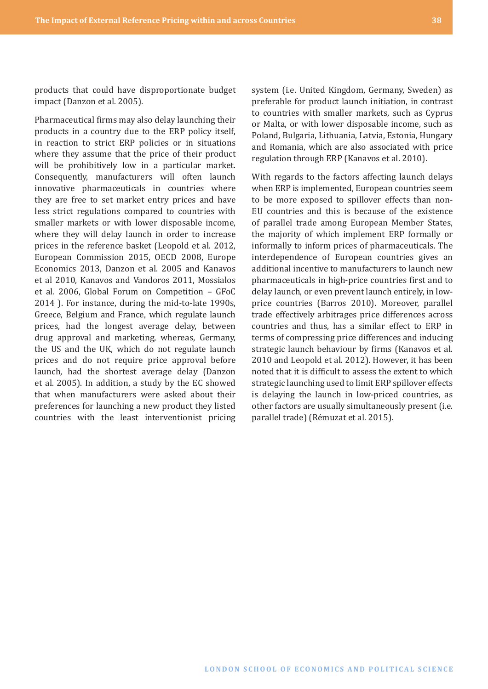Pharmaceutical firms may also delay launching their products in a country due to the ERP policy itself, in reaction to strict ERP policies or in situations where they assume that the price of their product will be prohibitively low in a particular market. Consequently, manufacturers will often launch innovative pharmaceuticals in countries where they are free to set market entry prices and have less strict regulations compared to countries with smaller markets or with lower disposable income, where they will delay launch in order to increase prices in the reference basket (Leopold et al. 2012, European Commission 2015, OECD 2008, Europe Economics 2013, Danzon et al. 2005 and Kanavos et al 2010, Kanavos and Vandoros 2011, Mossialos et al. 2006, Global Forum on Competition – GFoC 2014 ). For instance, during the mid-to-late 1990s, Greece, Belgium and France, which regulate launch prices, had the longest average delay, between drug approval and marketing, whereas, Germany, the US and the UK, which do not regulate launch prices and do not require price approval before launch, had the shortest average delay (Danzon et al. 2005). In addition, a study by the EC showed that when manufacturers were asked about their preferences for launching a new product they listed countries with the least interventionist pricing

system (i.e. United Kingdom, Germany, Sweden) as preferable for product launch initiation, in contrast to countries with smaller markets, such as Cyprus or Malta, or with lower disposable income, such as Poland, Bulgaria, Lithuania, Latvia, Estonia, Hungary and Romania, which are also associated with price regulation through ERP (Kanavos et al. 2010).

With regards to the factors affecting launch delays when ERP is implemented, European countries seem to be more exposed to spillover effects than non-EU countries and this is because of the existence of parallel trade among European Member States, the majority of which implement ERP formally or informally to inform prices of pharmaceuticals. The interdependence of European countries gives an additional incentive to manufacturers to launch new pharmaceuticals in high-price countries first and to delay launch, or even prevent launch entirely, in lowprice countries (Barros 2010). Moreover, parallel trade effectively arbitrages price differences across countries and thus, has a similar effect to ERP in terms of compressing price differences and inducing strategic launch behaviour by firms (Kanavos et al. 2010 and Leopold et al. 2012). However, it has been noted that it is difficult to assess the extent to which strategic launching used to limit ERP spillover effects is delaying the launch in low-priced countries, as other factors are usually simultaneously present (i.e. parallel trade) (Rémuzat et al. 2015).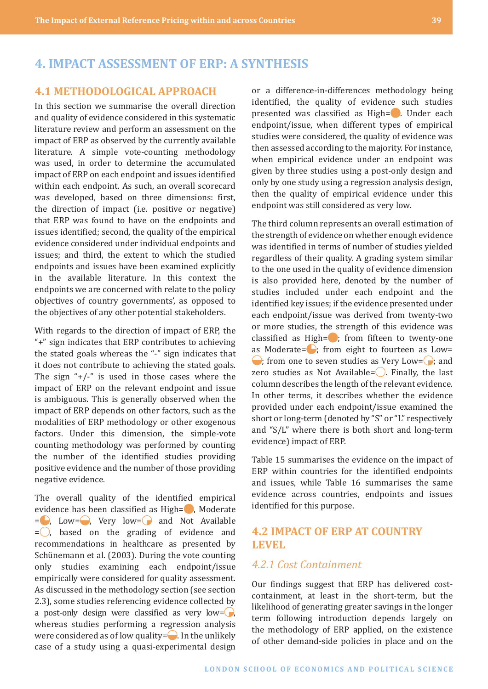## <span id="page-38-0"></span>**4. IMPACT ASSESSMENT OF ERP: A SYNTHESIS**

## **4.1 METHODOLOGICAL APPROACH**

In this section we summarise the overall direction and quality of evidence considered in this systematic literature review and perform an assessment on the impact of ERP as observed by the currently available literature. A simple vote-counting methodology was used, in order to determine the accumulated impact of ERP on each endpoint and issues identified within each endpoint. As such, an overall scorecard was developed, based on three dimensions: first, the direction of impact (i.e. positive or negative) that ERP was found to have on the endpoints and issues identified; second, the quality of the empirical evidence considered under individual endpoints and issues; and third, the extent to which the studied endpoints and issues have been examined explicitly in the available literature. In this context the endpoints we are concerned with relate to the policy objectives of country governments', as opposed to the objectives of any other potential stakeholders.

With regards to the direction of impact of ERP, the "+" sign indicates that ERP contributes to achieving the stated goals whereas the "-" sign indicates that it does not contribute to achieving the stated goals. The sign  $4/-$ " is used in those cases where the impact of ERP on the relevant endpoint and issue is ambiguous. This is generally observed when the impact of ERP depends on other factors, such as the modalities of ERP methodology or other exogenous factors. Under this dimension, the simple-vote counting methodology was performed by counting the number of the identified studies providing positive evidence and the number of those providing negative evidence.

The overall quality of the identified empirical evidence has been classified as High=, Moderate  $=$ , Low=, Very low=, and Not Available  $=$  , based on the grading of evidence and recommendations in healthcare as presented by Schünemann et al. (2003). During the vote counting only studies examining each endpoint/issue empirically were considered for quality assessment. As discussed in the methodology section (see section 2.3), some studies referencing evidence collected by a post-only design were classified as very low= $\Box$ , whereas studies performing a regression analysis were considered as of low quality= $\Box$ . In the unlikely case of a study using a quasi-experimental design

or a difference-in-differences methodology being identified, the quality of evidence such studies presented was classified as High= . Under each endpoint/issue, when different types of empirical studies were considered, the quality of evidence was then assessed according to the majority. For instance, when empirical evidence under an endpoint was given by three studies using a post-only design and only by one study using a regression analysis design, then the quality of empirical evidence under this endpoint was still considered as very low.

The third column represents an overall estimation of the strength of evidence on whether enough evidence was identified in terms of number of studies yielded regardless of their quality. A grading system similar to the one used in the quality of evidence dimension is also provided here, denoted by the number of studies included under each endpoint and the identified key issues; if the evidence presented under each endpoint/issue was derived from twenty-two or more studies, the strength of this evidence was classified as High= $\bullet$ ; from fifteen to twenty-one as Moderate= $\bigcirc$ ; from eight to fourteen as Low=  $\bigcirc$ ; from one to seven studies as Very Low= $\bigcirc$ ; and zero studies as Not Available= $\bigcirc$ . Finally, the last column describes the length of the relevant evidence. In other terms, it describes whether the evidence provided under each endpoint/issue examined the short or long-term (denoted by "S" or "L" respectively and "S/L" where there is both short and long-term evidence) impact of ERP.

Table 15 summarises the evidence on the impact of ERP within countries for the identified endpoints and issues, while Table 16 summarises the same evidence across countries, endpoints and issues identified for this purpose.

#### **4.2 IMPACT OF ERP AT COUNTRY LEVEL**

## *4.2.1 Cost Containment*

Our findings suggest that ERP has delivered costcontainment, at least in the short-term, but the likelihood of generating greater savings in the longer term following introduction depends largely on the methodology of ERP applied, on the existence of other demand-side policies in place and on the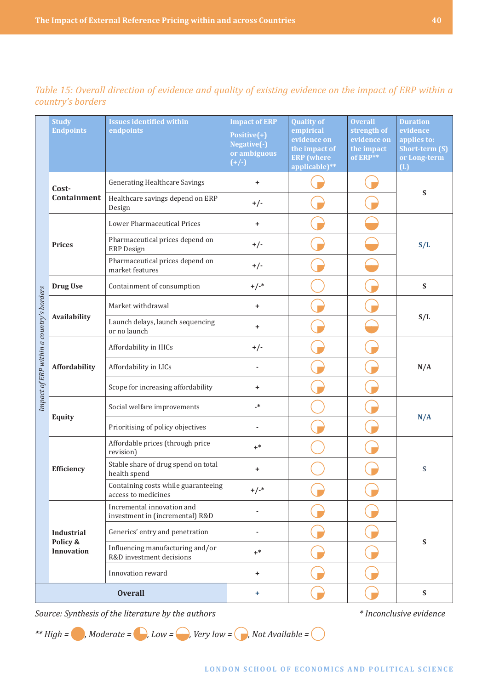|                                          | <b>Study</b><br><b>Endpoints</b> | <b>Issues identified within</b><br>endpoints                  | <b>Impact of ERP</b><br>Positive(+)<br>Negative(-)<br>or ambiguous<br>$(+/-)$ | <b>Quality of</b><br>empirical<br>evidence on<br>the impact of<br><b>ERP</b> (where<br>applicable)** | <b>Overall</b><br>strength of<br>evidence on<br>the impact<br>of ERP** | <b>Duration</b><br>evidence<br>applies to:<br>Short-term (S)<br>or Long-term<br>(L) |
|------------------------------------------|----------------------------------|---------------------------------------------------------------|-------------------------------------------------------------------------------|------------------------------------------------------------------------------------------------------|------------------------------------------------------------------------|-------------------------------------------------------------------------------------|
|                                          | Cost-                            | <b>Generating Healthcare Savings</b>                          | ٠                                                                             |                                                                                                      |                                                                        | ${\mathbf S}$                                                                       |
|                                          | Containment                      | Healthcare savings depend on ERP<br>Design                    | $+/-$                                                                         |                                                                                                      |                                                                        |                                                                                     |
|                                          |                                  | Lower Pharmaceutical Prices                                   | $\ddot{}$                                                                     |                                                                                                      |                                                                        |                                                                                     |
|                                          | <b>Prices</b>                    | Pharmaceutical prices depend on<br><b>ERP</b> Design          | $+/-$                                                                         |                                                                                                      |                                                                        | S/L                                                                                 |
|                                          |                                  | Pharmaceutical prices depend on<br>market features            | $+/-$                                                                         |                                                                                                      |                                                                        |                                                                                     |
|                                          | <b>Drug Use</b>                  | Containment of consumption                                    | $+/-$ *                                                                       |                                                                                                      |                                                                        | ${\bf S}$                                                                           |
|                                          |                                  | Market withdrawal                                             | ٠                                                                             |                                                                                                      |                                                                        |                                                                                     |
| Impact of ERP within a country's borders | Availability                     | Launch delays, launch sequencing<br>or no launch              | $\ddot{}$                                                                     |                                                                                                      |                                                                        | S/L                                                                                 |
|                                          | Affordability                    | Affordability in HICs                                         | $+/-$                                                                         |                                                                                                      |                                                                        |                                                                                     |
|                                          |                                  | Affordability in LICs                                         |                                                                               |                                                                                                      |                                                                        | N/A                                                                                 |
|                                          |                                  | Scope for increasing affordability                            | +                                                                             |                                                                                                      |                                                                        |                                                                                     |
|                                          | <b>Equity</b>                    | Social welfare improvements                                   | _*                                                                            |                                                                                                      |                                                                        | N/A                                                                                 |
|                                          |                                  | Prioritising of policy objectives                             |                                                                               |                                                                                                      |                                                                        |                                                                                     |
|                                          |                                  | Affordable prices (through price<br>revision)                 | $+^*$                                                                         |                                                                                                      |                                                                        |                                                                                     |
|                                          | <b>Efficiency</b>                | Stable share of drug spend on total<br>health spend           | ٠                                                                             |                                                                                                      |                                                                        | S                                                                                   |
|                                          |                                  | Containing costs while guaranteeing<br>access to medicines    | $+/-$ *                                                                       |                                                                                                      |                                                                        |                                                                                     |
|                                          |                                  | Incremental innovation and<br>investment in (incremental) R&D |                                                                               |                                                                                                      |                                                                        |                                                                                     |
|                                          | <b>Industrial</b><br>Policy &    | Generics' entry and penetration                               |                                                                               |                                                                                                      |                                                                        | $\mathbf S$                                                                         |
|                                          | <b>Innovation</b>                | Influencing manufacturing and/or<br>R&D investment decisions  | $+^*$                                                                         |                                                                                                      |                                                                        |                                                                                     |
|                                          |                                  | Innovation reward                                             | +                                                                             |                                                                                                      |                                                                        |                                                                                     |
|                                          |                                  | <b>Overall</b>                                                | ÷                                                                             |                                                                                                      |                                                                        | ${\bf S}$                                                                           |

*Table 15: Overall direction of evidence and quality of existing evidence on the impact of ERP within a country's borders*

*Source: Synthesis of the literature by the authors \* Inconclusive evidence*

\*\* *High* =  $\bigcirc$ , *Moderate* =  $\bigcirc$ , *Low* =  $\bigcirc$ , *Very low* =  $\bigcirc$ , *Not Available* =  $\bigcirc$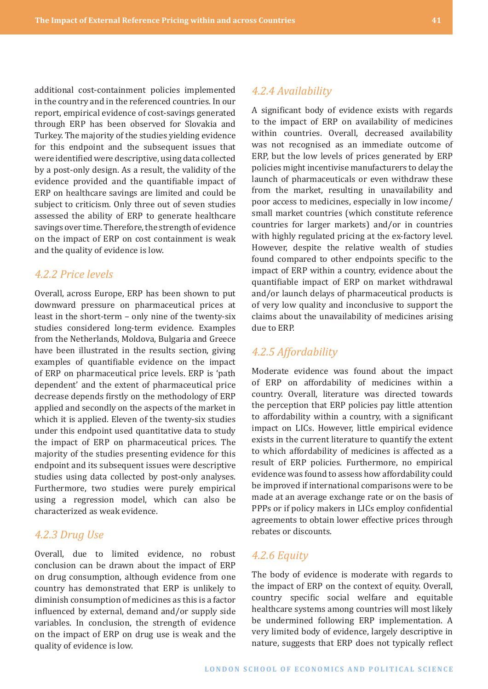<span id="page-40-0"></span>additional cost-containment policies implemented in the country and in the referenced countries. In our report, empirical evidence of cost-savings generated through ERP has been observed for Slovakia and Turkey. The majority of the studies yielding evidence for this endpoint and the subsequent issues that were identified were descriptive, using data collected by a post-only design. As a result, the validity of the evidence provided and the quantifiable impact of ERP on healthcare savings are limited and could be subject to criticism. Only three out of seven studies assessed the ability of ERP to generate healthcare savings over time. Therefore, the strength of evidence on the impact of ERP on cost containment is weak and the quality of evidence is low.

## *4.2.2 Price levels*

Overall, across Europe, ERP has been shown to put downward pressure on pharmaceutical prices at least in the short-term – only nine of the twenty-six studies considered long-term evidence. Examples from the Netherlands, Moldova, Bulgaria and Greece have been illustrated in the results section, giving examples of quantifiable evidence on the impact of ERP on pharmaceutical price levels. ERP is 'path dependent' and the extent of pharmaceutical price decrease depends firstly on the methodology of ERP applied and secondly on the aspects of the market in which it is applied. Eleven of the twenty-six studies under this endpoint used quantitative data to study the impact of ERP on pharmaceutical prices. The majority of the studies presenting evidence for this endpoint and its subsequent issues were descriptive studies using data collected by post-only analyses. Furthermore, two studies were purely empirical using a regression model, which can also be characterized as weak evidence.

## *4.2.3 Drug Use*

Overall, due to limited evidence, no robust conclusion can be drawn about the impact of ERP on drug consumption, although evidence from one country has demonstrated that ERP is unlikely to diminish consumption of medicines as this is a factor influenced by external, demand and/or supply side variables. In conclusion, the strength of evidence on the impact of ERP on drug use is weak and the quality of evidence is low.

#### *4.2.4 Availability*

A significant body of evidence exists with regards to the impact of ERP on availability of medicines within countries. Overall, decreased availability was not recognised as an immediate outcome of ERP, but the low levels of prices generated by ERP policies might incentivise manufacturers to delay the launch of pharmaceuticals or even withdraw these from the market, resulting in unavailability and poor access to medicines, especially in low income/ small market countries (which constitute reference countries for larger markets) and/or in countries with highly regulated pricing at the ex-factory level. However, despite the relative wealth of studies found compared to other endpoints specific to the impact of ERP within a country, evidence about the quantifiable impact of ERP on market withdrawal and/or launch delays of pharmaceutical products is of very low quality and inconclusive to support the claims about the unavailability of medicines arising due to ERP.

## *4.2.5 Affordability*

Moderate evidence was found about the impact of ERP on affordability of medicines within a country. Overall, literature was directed towards the perception that ERP policies pay little attention to affordability within a country, with a significant impact on LICs. However, little empirical evidence exists in the current literature to quantify the extent to which affordability of medicines is affected as a result of ERP policies. Furthermore, no empirical evidence was found to assess how affordability could be improved if international comparisons were to be made at an average exchange rate or on the basis of PPPs or if policy makers in LICs employ confidential agreements to obtain lower effective prices through rebates or discounts.

## *4.2.6 Equity*

The body of evidence is moderate with regards to the impact of ERP on the context of equity. Overall, country specific social welfare and equitable healthcare systems among countries will most likely be undermined following ERP implementation. A very limited body of evidence, largely descriptive in nature, suggests that ERP does not typically reflect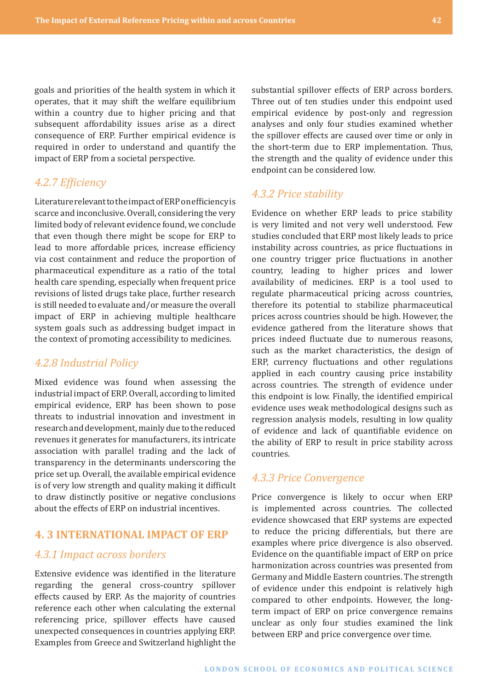<span id="page-41-0"></span>goals and priorities of the health system in which it operates, that it may shift the welfare equilibrium within a country due to higher pricing and that subsequent affordability issues arise as a direct consequence of ERP. Further empirical evidence is required in order to understand and quantify the impact of ERP from a societal perspective.

## *4.2.7 Efficiency*

LiteraturerelevanttotheimpactofERPonefficiencyis scarce and inconclusive. Overall, considering the very limited body of relevant evidence found, we conclude that even though there might be scope for ERP to lead to more affordable prices, increase efficiency via cost containment and reduce the proportion of pharmaceutical expenditure as a ratio of the total health care spending, especially when frequent price revisions of listed drugs take place, further research is still needed to evaluate and/or measure the overall impact of ERP in achieving multiple healthcare system goals such as addressing budget impact in the context of promoting accessibility to medicines.

## *4.2.8 Industrial Policy*

Mixed evidence was found when assessing the industrial impact of ERP. Overall, according to limited empirical evidence, ERP has been shown to pose threats to industrial innovation and investment in research and development, mainly due to the reduced revenues it generates for manufacturers, its intricate association with parallel trading and the lack of transparency in the determinants underscoring the price set up. Overall, the available empirical evidence is of very low strength and quality making it difficult to draw distinctly positive or negative conclusions about the effects of ERP on industrial incentives.

## **4. 3 INTERNATIONAL IMPACT OF ERP**

#### *4.3.1 Impact across borders*

Extensive evidence was identified in the literature regarding the general cross-country spillover effects caused by ERP. As the majority of countries reference each other when calculating the external referencing price, spillover effects have caused unexpected consequences in countries applying ERP. Examples from Greece and Switzerland highlight the

substantial spillover effects of ERP across borders. Three out of ten studies under this endpoint used empirical evidence by post-only and regression analyses and only four studies examined whether the spillover effects are caused over time or only in the short-term due to ERP implementation. Thus, the strength and the quality of evidence under this endpoint can be considered low.

#### *4.3.2 Price stability*

Evidence on whether ERP leads to price stability is very limited and not very well understood. Few studies concluded that ERP most likely leads to price instability across countries, as price fluctuations in one country trigger price fluctuations in another country, leading to higher prices and lower availability of medicines. ERP is a tool used to regulate pharmaceutical pricing across countries, therefore its potential to stabilize pharmaceutical prices across countries should be high. However, the evidence gathered from the literature shows that prices indeed fluctuate due to numerous reasons, such as the market characteristics, the design of ERP, currency fluctuations and other regulations applied in each country causing price instability across countries. The strength of evidence under this endpoint is low. Finally, the identified empirical evidence uses weak methodological designs such as regression analysis models, resulting in low quality of evidence and lack of quantifiable evidence on the ability of ERP to result in price stability across countries.

## *4.3.3 Price Convergence*

Price convergence is likely to occur when ERP is implemented across countries. The collected evidence showcased that ERP systems are expected to reduce the pricing differentials, but there are examples where price divergence is also observed. Evidence on the quantifiable impact of ERP on price harmonization across countries was presented from Germany and Middle Eastern countries. The strength of evidence under this endpoint is relatively high compared to other endpoints. However, the longterm impact of ERP on price convergence remains unclear as only four studies examined the link between ERP and price convergence over time.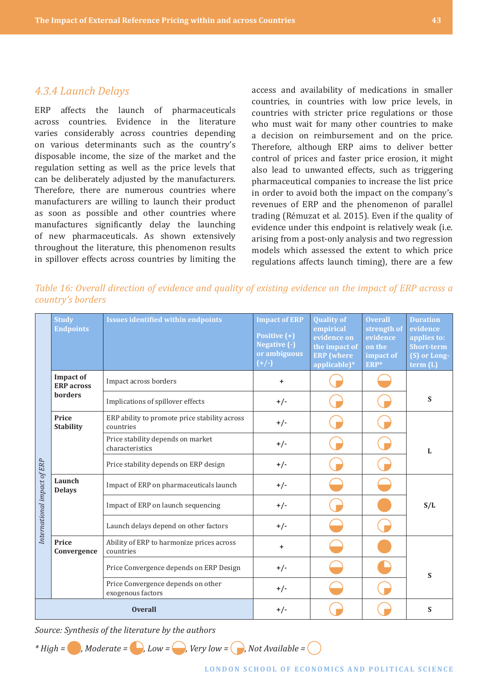#### <span id="page-42-0"></span>*4.3.4 Launch Delays*

ERP affects the launch of pharmaceuticals across countries. Evidence in the literature varies considerably across countries depending on various determinants such as the country's disposable income, the size of the market and the regulation setting as well as the price levels that can be deliberately adjusted by the manufacturers. Therefore, there are numerous countries where manufacturers are willing to launch their product as soon as possible and other countries where manufactures significantly delay the launching of new pharmaceuticals. As shown extensively throughout the literature, this phenomenon results in spillover effects across countries by limiting the

access and availability of medications in smaller countries, in countries with low price levels, in countries with stricter price regulations or those who must wait for many other countries to make a decision on reimbursement and on the price. Therefore, although ERP aims to deliver better control of prices and faster price erosion, it might also lead to unwanted effects, such as triggering pharmaceutical companies to increase the list price in order to avoid both the impact on the company's revenues of ERP and the phenomenon of parallel trading (Rémuzat et al. 2015). Even if the quality of evidence under this endpoint is relatively weak (i.e. arising from a post-only analysis and two regression models which assessed the extent to which price regulations affects launch timing), there are a few

*Table 16: Overall direction of evidence and quality of existing evidence on the impact of ERP across a country's borders*

|                             | <b>Study</b><br><b>Endpoints</b>      | <b>Issues identified within endpoints</b>                  | <b>Impact of ERP</b><br>Positive (+)<br>Negative (-)<br>or ambiguous<br>$(+/-)$ | <b>Quality of</b><br>empirical<br>evidence on<br>the impact of<br><b>ERP</b> (where<br>applicable)* | <b>Overall</b><br>strength of<br>evidence<br>on the<br>impact of<br>ERP* | <b>Duration</b><br>evidence<br>applies to:<br><b>Short-term</b><br>(S) or Long-<br>term (L) |
|-----------------------------|---------------------------------------|------------------------------------------------------------|---------------------------------------------------------------------------------|-----------------------------------------------------------------------------------------------------|--------------------------------------------------------------------------|---------------------------------------------------------------------------------------------|
|                             | <b>Impact of</b><br><b>ERP</b> across | Impact across borders                                      | $\ddot{}$                                                                       |                                                                                                     |                                                                          |                                                                                             |
|                             | <b>borders</b>                        | Implications of spillover effects                          | $+/-$                                                                           |                                                                                                     |                                                                          | S                                                                                           |
|                             | Price<br><b>Stability</b>             | ERP ability to promote price stability across<br>countries | $+/-$                                                                           |                                                                                                     |                                                                          |                                                                                             |
|                             |                                       | Price stability depends on market<br>characteristics       | $+/-$                                                                           |                                                                                                     |                                                                          | L                                                                                           |
|                             |                                       | Price stability depends on ERP design                      | $+/-$                                                                           |                                                                                                     |                                                                          |                                                                                             |
|                             | Launch<br><b>Delays</b>               | Impact of ERP on pharmaceuticals launch                    | $+/-$                                                                           |                                                                                                     |                                                                          |                                                                                             |
|                             |                                       | Impact of ERP on launch sequencing                         | $+/-$                                                                           |                                                                                                     |                                                                          | S/L                                                                                         |
| International impact of ERP |                                       | Launch delays depend on other factors                      | $+/-$                                                                           |                                                                                                     |                                                                          |                                                                                             |
|                             | Price<br>Convergence                  | Ability of ERP to harmonize prices across<br>countries     | +                                                                               |                                                                                                     |                                                                          |                                                                                             |
|                             |                                       | Price Convergence depends on ERP Design                    | $+/-$                                                                           |                                                                                                     |                                                                          | S                                                                                           |
|                             |                                       | Price Convergence depends on other<br>exogenous factors    | $+/-$                                                                           |                                                                                                     |                                                                          |                                                                                             |
|                             |                                       | <b>Overall</b>                                             | $+/-$                                                                           |                                                                                                     |                                                                          | S                                                                                           |

*Source: Synthesis of the literature by the authors*

 $*$  *High* =  $\bigcirc$ , Moderate =  $\bigcirc$ , Low =  $\bigcirc$ , Very low =  $\bigcirc$ , Not Available =  $\bigcirc$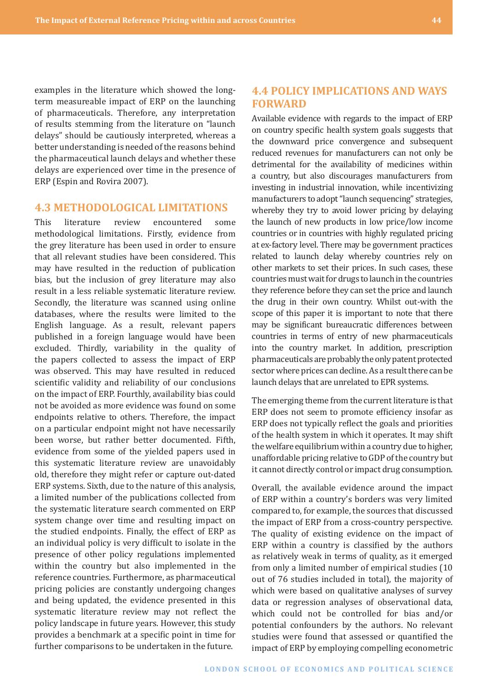<span id="page-43-0"></span>examples in the literature which showed the longterm measureable impact of ERP on the launching of pharmaceuticals. Therefore, any interpretation of results stemming from the literature on "launch delays" should be cautiously interpreted, whereas a better understanding is needed of the reasons behind the pharmaceutical launch delays and whether these delays are experienced over time in the presence of ERP (Espin and Rovira 2007).

#### **4.3 METHODOLOGICAL LIMITATIONS**

This literature review encountered some methodological limitations. Firstly, evidence from the grey literature has been used in order to ensure that all relevant studies have been considered. This may have resulted in the reduction of publication bias, but the inclusion of grey literature may also result in a less reliable systematic literature review. Secondly, the literature was scanned using online databases, where the results were limited to the English language. As a result, relevant papers published in a foreign language would have been excluded. Thirdly, variability in the quality of the papers collected to assess the impact of ERP was observed. This may have resulted in reduced scientific validity and reliability of our conclusions on the impact of ERP. Fourthly, availability bias could not be avoided as more evidence was found on some endpoints relative to others. Therefore, the impact on a particular endpoint might not have necessarily been worse, but rather better documented. Fifth, evidence from some of the yielded papers used in this systematic literature review are unavoidably old, therefore they might refer or capture out-dated ERP systems. Sixth, due to the nature of this analysis, a limited number of the publications collected from the systematic literature search commented on ERP system change over time and resulting impact on the studied endpoints. Finally, the effect of ERP as an individual policy is very difficult to isolate in the presence of other policy regulations implemented within the country but also implemented in the reference countries. Furthermore, as pharmaceutical pricing policies are constantly undergoing changes and being updated, the evidence presented in this systematic literature review may not reflect the policy landscape in future years. However, this study provides a benchmark at a specific point in time for further comparisons to be undertaken in the future.

## **4.4 POLICY IMPLICATIONS AND WAYS FORWARD**

Available evidence with regards to the impact of ERP on country specific health system goals suggests that the downward price convergence and subsequent reduced revenues for manufacturers can not only be detrimental for the availability of medicines within a country, but also discourages manufacturers from investing in industrial innovation, while incentivizing manufacturers to adopt "launch sequencing" strategies, whereby they try to avoid lower pricing by delaying the launch of new products in low price/low income countries or in countries with highly regulated pricing at ex-factory level. There may be government practices related to launch delay whereby countries rely on other markets to set their prices. In such cases, these countries must wait for drugs to launch in the countries they reference before they can set the price and launch the drug in their own country. Whilst out-with the scope of this paper it is important to note that there may be significant bureaucratic differences between countries in terms of entry of new pharmaceuticals into the country market. In addition, prescription pharmaceuticals are probably the only patent protected sector where prices can decline. As a result there can be launch delays that are unrelated to EPR systems.

The emerging theme from the current literature is that ERP does not seem to promote efficiency insofar as ERP does not typically reflect the goals and priorities of the health system in which it operates. It may shift the welfare equilibrium within a country due to higher, unaffordable pricing relative to GDP of the country but it cannot directly control or impact drug consumption.

Overall, the available evidence around the impact of ERP within a country's borders was very limited compared to, for example, the sources that discussed the impact of ERP from a cross-country perspective. The quality of existing evidence on the impact of ERP within a country is classified by the authors as relatively weak in terms of quality, as it emerged from only a limited number of empirical studies (10 out of 76 studies included in total), the majority of which were based on qualitative analyses of survey data or regression analyses of observational data, which could not be controlled for bias and/or potential confounders by the authors. No relevant studies were found that assessed or quantified the impact of ERP by employing compelling econometric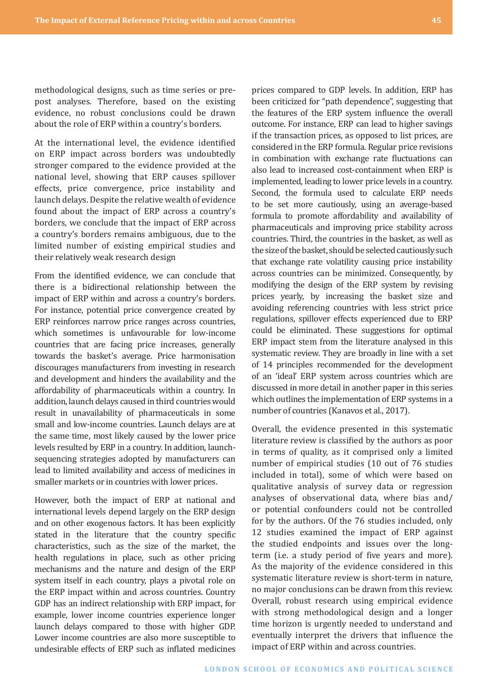methodological designs, such as time series or prepost analyses. Therefore, based on the existing evidence, no robust conclusions could be drawn about the role of ERP within a country's borders.

At the international level, the evidence identified on ERP impact across borders was undoubtedly stronger compared to the evidence provided at the national level, showing that ERP causes spillover effects, price convergence, price instability and launch delays. Despite the relative wealth of evidence found about the impact of ERP across a country's borders, we conclude that the impact of ERP across a country's borders remains ambiguous, due to the limited number of existing empirical studies and their relatively weak research design

From the identified evidence, we can conclude that there is a bidirectional relationship between the impact of ERP within and across a country's borders. For instance, potential price convergence created by ERP reinforces narrow price ranges across countries, which sometimes is unfavourable for low-income countries that are facing price increases, generally towards the basket's average. Price harmonisation discourages manufacturers from investing in research and development and hinders the availability and the affordability of pharmaceuticals within a country. In addition, launch delays caused in third countries would result in unavailability of pharmaceuticals in some small and low-income countries. Launch delays are at the same time, most likely caused by the lower price levels resulted by ERP in a country. In addition, launchsequencing strategies adopted by manufacturers can lead to limited availability and access of medicines in smaller markets or in countries with lower prices.

However, both the impact of ERP at national and international levels depend largely on the ERP design and on other exogenous factors. It has been explicitly stated in the literature that the country specific characteristics, such as the size of the market, the health regulations in place, such as other pricing mechanisms and the nature and design of the ERP system itself in each country, plays a pivotal role on the ERP impact within and across countries. Country GDP has an indirect relationship with ERP impact, for example, lower income countries experience longer launch delays compared to those with higher GDP. Lower income countries are also more susceptible to undesirable effects of ERP such as inflated medicines

prices compared to GDP levels. In addition, ERP has been criticized for "path dependence", suggesting that the features of the ERP system influence the overall outcome. For instance, ERP can lead to higher savings if the transaction prices, as opposed to list prices, are considered in the ERP formula. Regular price revisions in combination with exchange rate fluctuations can also lead to increased cost-containment when ERP is implemented, leading to lower price levels in a country. Second, the formula used to calculate ERP needs to be set more cautiously, using an average-based formula to promote affordability and availability of pharmaceuticals and improving price stability across countries. Third, the countries in the basket, as well as the size of the basket, should be selected cautiously such that exchange rate volatility causing price instability across countries can be minimized. Consequently, by modifying the design of the ERP system by revising prices yearly, by increasing the basket size and avoiding referencing countries with less strict price regulations, spillover effects experienced due to ERP could be eliminated. These suggestions for optimal ERP impact stem from the literature analysed in this systematic review. They are broadly in line with a set of 14 principles recommended for the development of an 'ideal' ERP system across countries which are discussed in more detail in another paper in this series which outlines the implementation of ERP systems in a number of countries (Kanavos et al., 2017).

Overall, the evidence presented in this systematic literature review is classified by the authors as poor in terms of quality, as it comprised only a limited number of empirical studies (10 out of 76 studies included in total), some of which were based on qualitative analysis of survey data or regression analyses of observational data, where bias and/ or potential confounders could not be controlled for by the authors. Of the 76 studies included, only 12 studies examined the impact of ERP against the studied endpoints and issues over the longterm (i.e. a study period of five years and more). As the majority of the evidence considered in this systematic literature review is short-term in nature, no major conclusions can be drawn from this review. Overall, robust research using empirical evidence with strong methodological design and a longer time horizon is urgently needed to understand and eventually interpret the drivers that influence the impact of ERP within and across countries.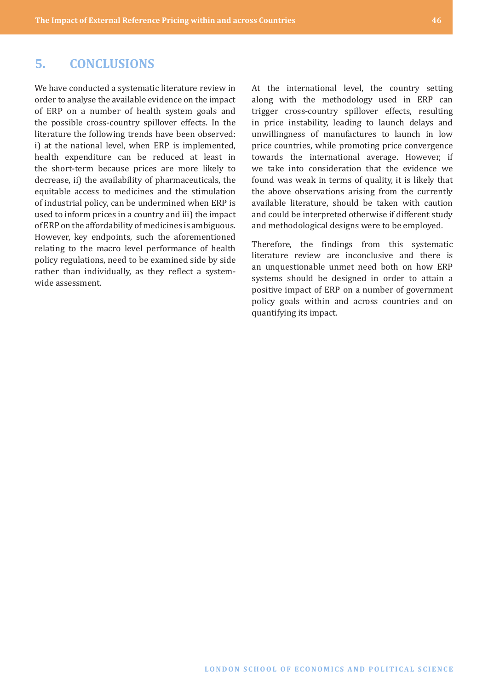## <span id="page-45-0"></span>**5. CONCLUSIONS**

We have conducted a systematic literature review in order to analyse the available evidence on the impact of ERP on a number of health system goals and the possible cross-country spillover effects. In the literature the following trends have been observed: i) at the national level, when ERP is implemented, health expenditure can be reduced at least in the short-term because prices are more likely to decrease, ii) the availability of pharmaceuticals, the equitable access to medicines and the stimulation of industrial policy, can be undermined when ERP is used to inform prices in a country and iii) the impact of ERP on the affordability of medicines is ambiguous. However, key endpoints, such the aforementioned relating to the macro level performance of health policy regulations, need to be examined side by side rather than individually, as they reflect a systemwide assessment.

At the international level, the country setting along with the methodology used in ERP can trigger cross-country spillover effects, resulting in price instability, leading to launch delays and unwillingness of manufactures to launch in low price countries, while promoting price convergence towards the international average. However, if we take into consideration that the evidence we found was weak in terms of quality, it is likely that the above observations arising from the currently available literature, should be taken with caution and could be interpreted otherwise if different study and methodological designs were to be employed.

Therefore, the findings from this systematic literature review are inconclusive and there is an unquestionable unmet need both on how ERP systems should be designed in order to attain a positive impact of ERP on a number of government policy goals within and across countries and on quantifying its impact.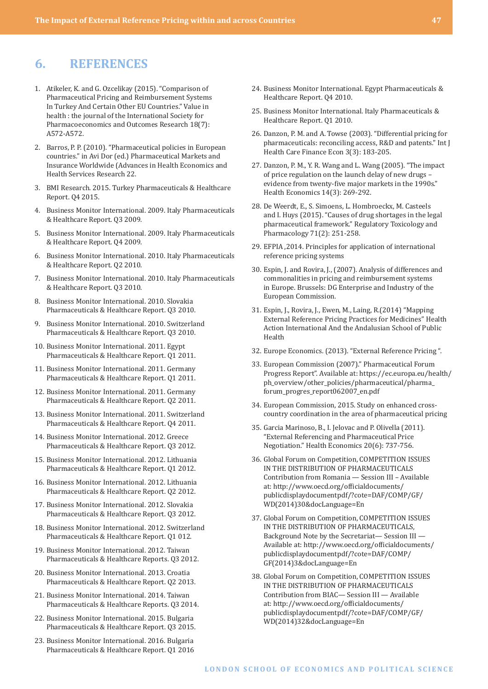## <span id="page-46-0"></span>**6. REFERENCES**

- 1. Atikeler, K. and G. Ozcelikay (2015). "Comparison of Pharmaceutical Pricing and Reimbursement Systems In Turkey And Certain Other EU Countries." Value in health : the journal of the International Society for Pharmacoeconomics and Outcomes Research 18(7): A572-A572.
- 2. Barros, P. P. (2010). "Pharmaceutical policies in European countries." in Avi Dor (ed.) Pharmaceutical Markets and Insurance Worldwide (Advances in Health Economics and Health Services Research 22.
- 3. BMI Research. 2015. Turkey Pharmaceuticals & Healthcare Report. Q4 2015.
- 4. Business Monitor International. 2009. Italy Pharmaceuticals & Healthcare Report. Q3 2009.
- 5. Business Monitor International. 2009. Italy Pharmaceuticals & Healthcare Report. Q4 2009.
- 6. Business Monitor International. 2010. Italy Pharmaceuticals & Healthcare Report. Q2 2010.
- 7. Business Monitor International. 2010. Italy Pharmaceuticals & Healthcare Report. Q3 2010.
- 8. Business Monitor International. 2010. Slovakia Pharmaceuticals & Healthcare Report. Q3 2010.
- 9. Business Monitor International. 2010. Switzerland Pharmaceuticals & Healthcare Report. Q3 2010.
- 10. Business Monitor International. 2011. Egypt Pharmaceuticals & Healthcare Report. Q1 2011.
- 11. Business Monitor International. 2011. Germany Pharmaceuticals & Healthcare Report. Q1 2011.
- 12. Business Monitor International. 2011. Germany Pharmaceuticals & Healthcare Report. Q2 2011.
- 13. Business Monitor International. 2011. Switzerland Pharmaceuticals & Healthcare Report. Q4 2011.
- 14. Business Monitor International. 2012. Greece Pharmaceuticals & Healthcare Report. Q3 2012.
- 15. Business Monitor International. 2012. Lithuania Pharmaceuticals & Healthcare Report. Q1 2012.
- 16. Business Monitor International. 2012. Lithuania Pharmaceuticals & Healthcare Report. Q2 2012.
- 17. Business Monitor International. 2012. Slovakia Pharmaceuticals & Healthcare Report. Q3 2012.
- 18. Business Monitor International. 2012. Switzerland Pharmaceuticals & Healthcare Report. Q1 012.
- 19. Business Monitor International. 2012. Taiwan Pharmaceuticals & Healthcare Reports. Q3 2012.
- 20. Business Monitor International. 2013. Croatia Pharmaceuticals & Healthcare Report. Q2 2013.
- 21. Business Monitor International. 2014. Taiwan Pharmaceuticals & Healthcare Reports. Q3 2014.
- 22. Business Monitor International. 2015. Bulgaria Pharmaceuticals & Healthcare Report. Q3 2015.
- 23. Business Monitor International. 2016. Bulgaria Pharmaceuticals & Healthcare Report. Q1 2016
- 24. Business Monitor International. Egypt Pharmaceuticals & Healthcare Report. Q4 2010.
- 25. Business Monitor International. Italy Pharmaceuticals & Healthcare Report. Q1 2010.
- 26. Danzon, P. M. and A. Towse (2003). "Differential pricing for pharmaceuticals: reconciling access, R&D and patents." Int J Health Care Finance Econ 3(3): 183-205.
- 27. Danzon, P. M., Y. R. Wang and L. Wang (2005). "The impact of price regulation on the launch delay of new drugs – evidence from twenty-five major markets in the 1990s." Health Economics 14(3): 269-292.
- 28. De Weerdt, E., S. Simoens, L. Hombroeckx, M. Casteels and I. Huys (2015). "Causes of drug shortages in the legal pharmaceutical framework." Regulatory Toxicology and Pharmacology 71(2): 251-258.
- 29. EFPIA ,2014. Principles for application of international reference pricing systems
- 30. Espin, J. and Rovira, J., (2007). Analysis of differences and commonalities in pricing and reimbursement systems in Europe. Brussels: DG Enterprise and Industry of the European Commission.
- 31. Espin, J., Rovira, J., Ewen, M., Laing, R.(2014) "Mapping External Reference Pricing Practices for Medicines" Health Action International And the Andalusian School of Public Health
- 32. Europe Economics. (2013). "External Reference Pricing ".
- 33. European Commission (2007)." Pharmaceutical Forum Progress Report". Available at: [https://ec.europa.eu/health/](https://ec.europa.eu/health/ph_overview/other_policies/pharmaceutical/pharma_forum_progres_report062007_en.pdf) [ph\\_overview/other\\_policies/pharmaceutical/pharma\\_](https://ec.europa.eu/health/ph_overview/other_policies/pharmaceutical/pharma_forum_progres_report062007_en.pdf) [forum\\_progres\\_report062007\\_en.pdf](https://ec.europa.eu/health/ph_overview/other_policies/pharmaceutical/pharma_forum_progres_report062007_en.pdf)
- 34. European Commission, 2015. Study on enhanced crosscountry coordination in the area of pharmaceutical pricing
- 35. Garcia Marinoso, B., I. Jelovac and P. Olivella (2011). "External Referencing and Pharmaceutical Price Negotiation." Health Economics 20(6): 737-756.
- 36. Global Forum on Competition, COMPETITION ISSUES IN THE DISTRIBUTION OF PHARMACEUTICALS Contribution from Romania — Session III – Available at: [http://www.oecd.org/officialdocuments/](http://www.oecd.org/officialdocuments/publicdisplaydocumentpdf/?cote=DAF/COMP/GF/WD(2014)30&docLanguage=En) [publicdisplaydocumentpdf/?cote=DAF/COMP/GF/](http://www.oecd.org/officialdocuments/publicdisplaydocumentpdf/?cote=DAF/COMP/GF/WD(2014)30&docLanguage=En) [WD\(2014\)30&docLanguage=En](http://www.oecd.org/officialdocuments/publicdisplaydocumentpdf/?cote=DAF/COMP/GF/WD(2014)30&docLanguage=En)
- 37. Global Forum on Competition, COMPETITION ISSUES IN THE DISTRIBUTION OF PHARMACEUTICALS, Background Note by the Secretariat— Session III — Available at: [http://www.oecd.org/officialdocuments/](http://www.oecd.org/officialdocuments/publicdisplaydocumentpdf/?cote=DAF/COMP/GF(2014)3&docLanguage=En) [publicdisplaydocumentpdf/?cote=DAF/COMP/](http://www.oecd.org/officialdocuments/publicdisplaydocumentpdf/?cote=DAF/COMP/GF(2014)3&docLanguage=En) [GF\(2014\)3&docLanguage=En](http://www.oecd.org/officialdocuments/publicdisplaydocumentpdf/?cote=DAF/COMP/GF(2014)3&docLanguage=En)
- 38. Global Forum on Competition, COMPETITION ISSUES IN THE DISTRIBUTION OF PHARMACEUTICALS Contribution from BIAC— Session III — Available at: [http://www.oecd.org/officialdocuments/](http://www.oecd.org/officialdocuments/publicdisplaydocumentpdf/?cote=DAF/COMP/GF/WD(2014)32&docLanguage=En) [publicdisplaydocumentpdf/?cote=DAF/COMP/GF/](http://www.oecd.org/officialdocuments/publicdisplaydocumentpdf/?cote=DAF/COMP/GF/WD(2014)32&docLanguage=En) [WD\(2014\)32&docLanguage=En](http://www.oecd.org/officialdocuments/publicdisplaydocumentpdf/?cote=DAF/COMP/GF/WD(2014)32&docLanguage=En)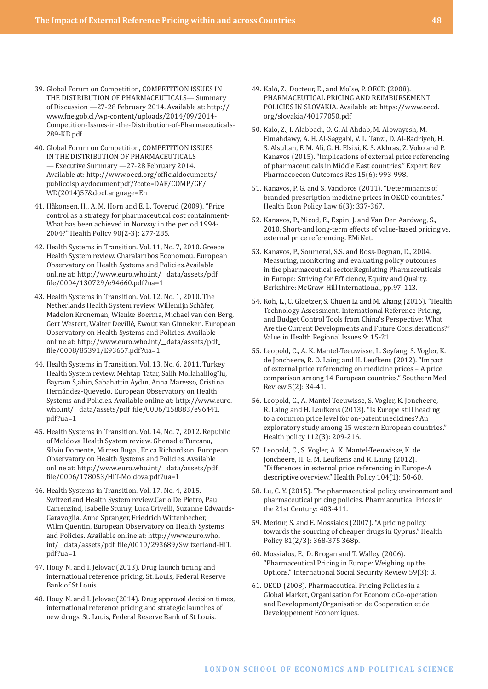- 39. Global Forum on Competition, COMPETITION ISSUES IN THE DISTRIBUTION OF PHARMACEUTICALS— Summary of Discussion —27-28 February 2014. Available at: [http://](http://www.fne.gob.cl/wp-content/uploads/2014/09/2014-Competition-Issues-in-the-Distribution-of-Pharmaceuticals-289-KB.pdf) [www.fne.gob.cl/wp-content/uploads/2014/09/2014-](http://www.fne.gob.cl/wp-content/uploads/2014/09/2014-Competition-Issues-in-the-Distribution-of-Pharmaceuticals-289-KB.pdf) [Competition-Issues-in-the-Distribution-of-Pharmaceuticals-](http://www.fne.gob.cl/wp-content/uploads/2014/09/2014-Competition-Issues-in-the-Distribution-of-Pharmaceuticals-289-KB.pdf)[289-KB.pdf](http://www.fne.gob.cl/wp-content/uploads/2014/09/2014-Competition-Issues-in-the-Distribution-of-Pharmaceuticals-289-KB.pdf)
- 40. Global Forum on Competition, COMPETITION ISSUES IN THE DISTRIBUTION OF PHARMACEUTICALS — Executive Summary —27-28 February 2014. Available at: [http://www.oecd.org/officialdocuments/](http://www.oecd.org/officialdocuments/publicdisplaydocumentpdf/?cote=DAF/COMP/GF/WD(2014)57&docLanguage=En) [publicdisplaydocumentpdf/?cote=DAF/COMP/GF/](http://www.oecd.org/officialdocuments/publicdisplaydocumentpdf/?cote=DAF/COMP/GF/WD(2014)57&docLanguage=En) [WD\(2014\)57&docLanguage=En](http://www.oecd.org/officialdocuments/publicdisplaydocumentpdf/?cote=DAF/COMP/GF/WD(2014)57&docLanguage=En)
- 41. Håkonsen, H., A. M. Horn and E. L. Toverud (2009). "Price control as a strategy for pharmaceutical cost containment-What has been achieved in Norway in the period 1994- 2004?" Health Policy 90(2-3): 277-285.
- 42. Health Systems in Transition. Vol. 11, No. 7, 2010. Greece Health System review. Charalambos Economou. European Observatory on Health Systems and Policies.Available online at: [http://www.euro.who.int/\\_\\_data/assets/pdf\\_](http://www.euro.who.int/__data/assets/pdf_file/0004/130729/e94660.pdf?ua=1) [file/0004/130729/e94660.pdf?ua=1](http://www.euro.who.int/__data/assets/pdf_file/0004/130729/e94660.pdf?ua=1)
- 43. Health Systems in Transition. Vol. 12, No. 1, 2010. The Netherlands Health System review. Willemijn Schäfer, Madelon Kroneman, Wienke Boerma, Michael van den Berg, Gert Westert, Walter Devillé, Ewout van Ginneken. European Observatory on Health Systems and Policies. Available online at: [http://www.euro.who.int/\\_\\_data/assets/pdf\\_](http://www.euro.who.int/__data/assets/pdf_file/0008/85391/E93667.pdf?ua=1) [file/0008/85391/E93667.pdf?ua=1](http://www.euro.who.int/__data/assets/pdf_file/0008/85391/E93667.pdf?ua=1)
- 44. Health Systems in Transition. Vol. 13, No. 6, 2011. Turkey Health System review. Mehtap Tatar, Salih Mollahalilog˘lu, Bayram S¸ahin, Sabahattin Aydın, Anna Maresso, Cristina Hernández-Quevedo. European Observatory on Health Systems and Policies. Available online at: [http://www.euro.](http://www.euro.who.int/__data/assets/pdf_file/0006/158883/e96441.pdf?ua=1) [who.int/\\_\\_data/assets/pdf\\_file/0006/158883/e96441.](http://www.euro.who.int/__data/assets/pdf_file/0006/158883/e96441.pdf?ua=1) [pdf?ua=1](http://www.euro.who.int/__data/assets/pdf_file/0006/158883/e96441.pdf?ua=1)
- 45. Health Systems in Transition. Vol. 14, No. 7, 2012. Republic of Moldova Health System review. Ghenadie Turcanu, Silviu Domente, Mircea Buga , Erica Richardson. European Observatory on Health Systems and Policies. Available online at: [http://www.euro.who.int/\\_\\_data/assets/pdf\\_](http://www.euro.who.int/__data/assets/pdf_file/0006/178053/HiT-Moldova.pdf?ua=1) [file/0006/178053/HiT-Moldova.pdf?ua=1](http://www.euro.who.int/__data/assets/pdf_file/0006/178053/HiT-Moldova.pdf?ua=1)
- 46. Health Systems in Transition. Vol. 17, No. 4, 2015. Switzerland Health System review.Carlo De Pietro, Paul Camenzind, Isabelle Sturny, Luca Crivelli, Suzanne Edwards-Garavoglia, Anne Spranger, Friedrich Wittenbecher, Wilm Quentin. European Observatory on Health Systems and Policies. Available online at: http://www.euro.who. int/\_\_data/assets/pdf\_file/0010/293689/Switzerland-HiT. pdf?ua=1
- 47. Houy, N. and I. Jelovac (2013). Drug launch timing and international reference pricing. St. Louis, Federal Reserve Bank of St Louis.
- 48. Houy, N. and I. Jelovac (2014). Drug approval decision times, international reference pricing and strategic launches of new drugs. St. Louis, Federal Reserve Bank of St Louis.
- 49. Kaló, Z., Docteur, E., and Moïse, P. OECD (2008). PHARMACEUTICAL PRICING AND REIMBURSEMENT POLICIES IN SLOVAKIA. Available at: https://www.oecd. org/slovakia/40177050.pdf
- 50. Kalo, Z., I. Alabbadi, O. G. Al Ahdab, M. Alowayesh, M. Elmahdawy, A. H. Al-Saggabi, V. L. Tanzi, D. Al-Badriyeh, H. S. Alsultan, F. M. Ali, G. H. Elsisi, K. S. Akhras, Z. Voko and P. Kanavos (2015). "Implications of external price referencing of pharmaceuticals in Middle East countries." Expert Rev Pharmacoecon Outcomes Res 15(6): 993-998.
- 51. Kanavos, P. G. and S. Vandoros (2011). "Determinants of branded prescription medicine prices in OECD countries." Health Econ Policy Law 6(3): 337-367.
- 52. Kanavos, P., Nicod, E., Espin, J. and Van Den Aardweg, S., 2010. Short-and long-term effects of value-based pricing vs. external price referencing. EMiNet.
- 53. Kanavos, P., Soumerai, S.S. and Ross-Degnan, D., 2004. Measuring, monitoring and evaluating policy outcomes in the pharmaceutical sector.Regulating Pharmaceuticals in Europe: Striving for Efficiency, Equity and Quality. Berkshire: McGraw-Hill International, pp.97-113.
- 54. Koh, L., C. Glaetzer, S. Chuen Li and M. Zhang (2016). "Health Technology Assessment, International Reference Pricing, and Budget Control Tools from China's Perspective: What Are the Current Developments and Future Considerations?" Value in Health Regional Issues 9: 15-21.
- 55. Leopold, C., A. K. Mantel-Teeuwisse, L. Seyfang, S. Vogler, K. de Joncheere, R. O. Laing and H. Leufkens (2012). "Impact of external price referencing on medicine prices – A price comparison among 14 European countries." Southern Med Review 5(2): 34-41.
- 56. Leopold, C., A. Mantel-Teeuwisse, S. Vogler, K. Joncheere, R. Laing and H. Leufkens (2013). "Is Europe still heading to a common price level for on-patent medicines? An exploratory study among 15 western European countries." Health policy 112(3): 209-216.
- 57. Leopold, C., S. Vogler, A. K. Mantel-Teeuwisse, K. de Joncheere, H. G. M. Leufkens and R. Laing (2012). "Differences in external price referencing in Europe-A descriptive overview." Health Policy 104(1): 50-60.
- 58. Lu, C. Y. (2015). The pharmaceutical policy environment and pharmaceutical pricing policies. Pharmaceutical Prices in the 21st Century: 403-411.
- 59. Merkur, S. and E. Mossialos (2007). "A pricing policy towards the sourcing of cheaper drugs in Cyprus." Health Policy 81(2/3): 368-375 368p.
- 60. Mossialos, E., D. Brogan and T. Walley (2006). "Pharmaceutical Pricing in Europe: Weighing up the Options." International Social Security Review 59(3): 3.
- 61. OECD (2008). Pharmaceutical Pricing Policies in a Global Market, Organisation for Economic Co-operation and Development/Organisation de Cooperation et de Developpement Economiques.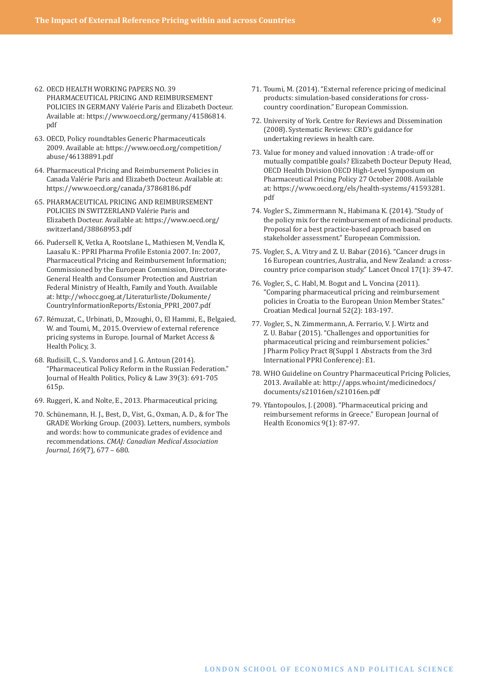- 62. OECD HEALTH WORKING PAPERS NO. 39 PHARMACEUTICAL PRICING AND REIMBURSEMENT POLICIES IN GERMANY Valérie Paris and Elizabeth Docteur. Available at: [https://www.oecd.org/germany/41586814.](https://www.oecd.org/germany/41586814.pdf) [pdf](https://www.oecd.org/germany/41586814.pdf)
- 63. OECD, Policy roundtables Generic Pharmaceuticals 2009. Available at: [https://www.oecd.org/competition/](https://www.oecd.org/competition/abuse/46138891.pdf) [abuse/46138891.pdf](https://www.oecd.org/competition/abuse/46138891.pdf)
- 64. Pharmaceutical Pricing and Reimbursement Policies in Canada Valérie Paris and Elizabeth Docteur. Available at: <https://www.oecd.org/canada/37868186.pdf>
- 65. PHARMACEUTICAL PRICING AND REIMBURSEMENT POLICIES IN SWITZERLAND Valérie Paris and Elizabeth Docteur. Available at: [https://www.oecd.org/](https://www.oecd.org/switzerland/38868953.pdf) [switzerland/38868953.pdf](https://www.oecd.org/switzerland/38868953.pdf)
- 66. Pudersell K, Vetka A, Rootslane L, Mathiesen M, Vendla K, Laasalu K.: PPRI Pharma Profile Estonia 2007. In: 2007, Pharmaceutical Pricing and Reimbursement Information; Commissioned by the European Commission, Directorate-General Health and Consumer Protection and Austrian Federal Ministry of Health, Family and Youth. Available at: [http://whocc.goeg.at/Literaturliste/Dokumente/](http://whocc.goeg.at/Literaturliste/Dokumente/CountryInformationReports/Estonia_PPRI_2007.pdf) [CountryInformationReports/Estonia\\_PPRI\\_2007.pdf](http://whocc.goeg.at/Literaturliste/Dokumente/CountryInformationReports/Estonia_PPRI_2007.pdf)
- 67. Rémuzat, C., Urbinati, D., Mzoughi, O., El Hammi, E., Belgaied, W. and Toumi, M., 2015. Overview of external reference pricing systems in Europe. Journal of Market Access & Health Policy, 3.
- 68. Rudisill, C., S. Vandoros and J. G. Antoun (2014). "Pharmaceutical Policy Reform in the Russian Federation." Journal of Health Politics, Policy & Law 39(3): 691-705 615p.
- 69. Ruggeri, K. and Nolte, E., 2013. Pharmaceutical pricing.
- 70. Schünemann, H. J., Best, D., Vist, G., Oxman, A. D., & for The GRADE Working Group. (2003). Letters, numbers, symbols and words: how to communicate grades of evidence and recommendations. *CMAJ: Canadian Medical Association Journal*, *169*(7), 677 – 680.
- 71. Toumi, M. (2014). "External reference pricing of medicinal products: simulation-based considerations for crosscountry coordination." European Commission.
- 72. University of York. Centre for Reviews and Dissemination (2008). Systematic Reviews: CRD's guidance for undertaking reviews in health care.
- 73. Value for money and valued innovation : A trade-off or mutually compatible goals? Elizabeth Docteur Deputy Head, OECD Health Division OECD High-Level Symposium on Pharmaceutical Pricing Policy 27 October 2008. Available at: [https://www.oecd.org/els/health-systems/41593281.](https://www.oecd.org/els/health-systems/41593281.pdf) [pdf](https://www.oecd.org/els/health-systems/41593281.pdf)
- 74. Vogler S., Zimmermann N., Habimana K. (2014). "Study of the policy mix for the reimbursement of medicinal products. Proposal for a best practice-based approach based on stakeholder assessment." Europeean Commission.
- 75. Vogler, S., A. Vitry and Z. U. Babar (2016). "Cancer drugs in 16 European countries, Australia, and New Zealand: a crosscountry price comparison study." Lancet Oncol 17(1): 39-47.
- 76. Vogler, S., C. Habl, M. Bogut and L. Voncina (2011). "Comparing pharmaceutical pricing and reimbursement policies in Croatia to the European Union Member States." Croatian Medical Journal 52(2): 183-197.
- 77. Vogler, S., N. Zimmermann, A. Ferrario, V. J. Wirtz and Z. U. Babar (2015). "Challenges and opportunities for pharmaceutical pricing and reimbursement policies." J Pharm Policy Pract 8(Suppl 1 Abstracts from the 3rd International PPRI Conference): E1.
- 78. WHO Guideline on Country Pharmaceutical Pricing Policies, 2013. Available at: [http://apps.who.int/medicinedocs/](http://apps.who.int/medicinedocs/documents/s21016en/s21016en.pdf) [documents/s21016en/s21016en.pdf](http://apps.who.int/medicinedocs/documents/s21016en/s21016en.pdf)
- 79. Yfantopoulos, J. (2008). "Pharmaceutical pricing and reimbursement reforms in Greece." European Journal of Health Economics 9(1): 87-97.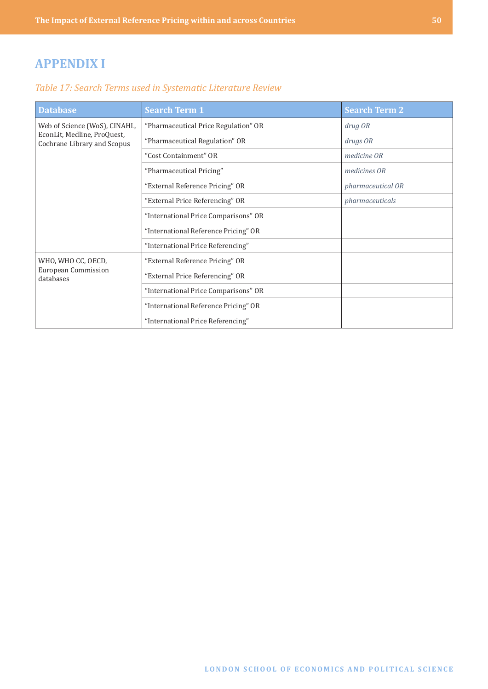# <span id="page-49-0"></span>**APPENDIX I**

## *Table 17: Search Terms used in Systematic Literature Review*

| <b>Database</b>                                            | <b>Search Term 1</b>                 | <b>Search Term 2</b> |
|------------------------------------------------------------|--------------------------------------|----------------------|
| Web of Science (WoS), CINAHL,                              | "Pharmaceutical Price Regulation" OR | drug OR              |
| EconLit, Medline, ProQuest,<br>Cochrane Library and Scopus | "Pharmaceutical Regulation" OR       | drugs OR             |
|                                                            | "Cost Containment" OR                | medicine OR          |
|                                                            | "Pharmaceutical Pricing"             | medicines OR         |
|                                                            | "External Reference Pricing" OR      | pharmaceutical OR    |
|                                                            | "External Price Referencing" OR      | pharmaceuticals      |
|                                                            | "International Price Comparisons" OR |                      |
|                                                            | "International Reference Pricing" OR |                      |
|                                                            | "International Price Referencing"    |                      |
| WHO, WHO CC, OECD,                                         | "External Reference Pricing" OR      |                      |
| <b>European Commission</b><br>databases                    | "External Price Referencing" OR      |                      |
|                                                            | "International Price Comparisons" OR |                      |
|                                                            | "International Reference Pricing" OR |                      |
|                                                            | "International Price Referencing"    |                      |